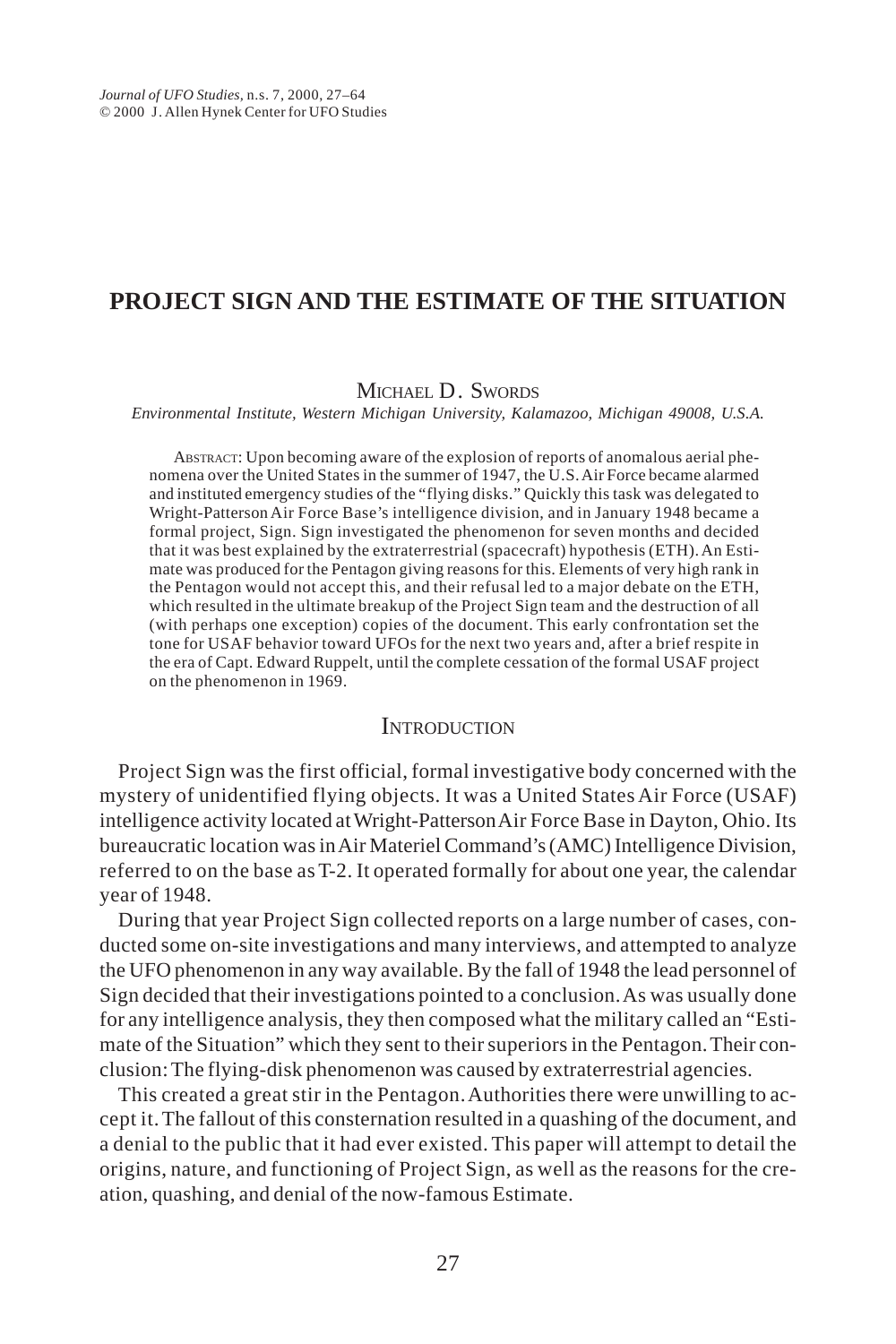# **PROJECT SIGN AND THE ESTIMATE OF THE SITUATION**

#### MICHAEL D. SWORDS

*Environmental Institute, Western Michigan University, Kalamazoo, Michigan 49008, U.S.A.*

 ABSTRACT: Upon becoming aware of the explosion of reports of anomalous aerial phenomena over the United States in the summer of 1947, the U.S. Air Force became alarmed and instituted emergency studies of the "flying disks." Quickly this task was delegated to Wright-Patterson Air Force Base's intelligence division, and in January 1948 became a formal project, Sign. Sign investigated the phenomenon for seven months and decided that it was best explained by the extraterrestrial (spacecraft) hypothesis (ETH). An Estimate was produced for the Pentagon giving reasons for this. Elements of very high rank in the Pentagon would not accept this, and their refusal led to a major debate on the ETH, which resulted in the ultimate breakup of the Project Sign team and the destruction of all (with perhaps one exception) copies of the document. This early confrontation set the tone for USAF behavior toward UFOs for the next two years and, after a brief respite in the era of Capt. Edward Ruppelt, until the complete cessation of the formal USAF project on the phenomenon in 1969.

#### **INTRODUCTION**

Project Sign was the first official, formal investigative body concerned with the mystery of unidentified flying objects. It was a United States Air Force (USAF) intelligence activity located at Wright-Patterson Air Force Base in Dayton, Ohio. Its bureaucratic location was in Air Materiel Command's (AMC) Intelligence Division, referred to on the base as T-2. It operated formally for about one year, the calendar year of 1948.

During that year Project Sign collected reports on a large number of cases, conducted some on-site investigations and many interviews, and attempted to analyze the UFO phenomenon in any way available. By the fall of 1948 the lead personnel of Sign decided that their investigations pointed to a conclusion. As was usually done for any intelligence analysis, they then composed what the military called an "Estimate of the Situation" which they sent to their superiors in the Pentagon. Their conclusion: The flying-disk phenomenon was caused by extraterrestrial agencies.

This created a great stir in the Pentagon. Authorities there were unwilling to accept it. The fallout of this consternation resulted in a quashing of the document, and a denial to the public that it had ever existed. This paper will attempt to detail the origins, nature, and functioning of Project Sign, as well as the reasons for the creation, quashing, and denial of the now-famous Estimate.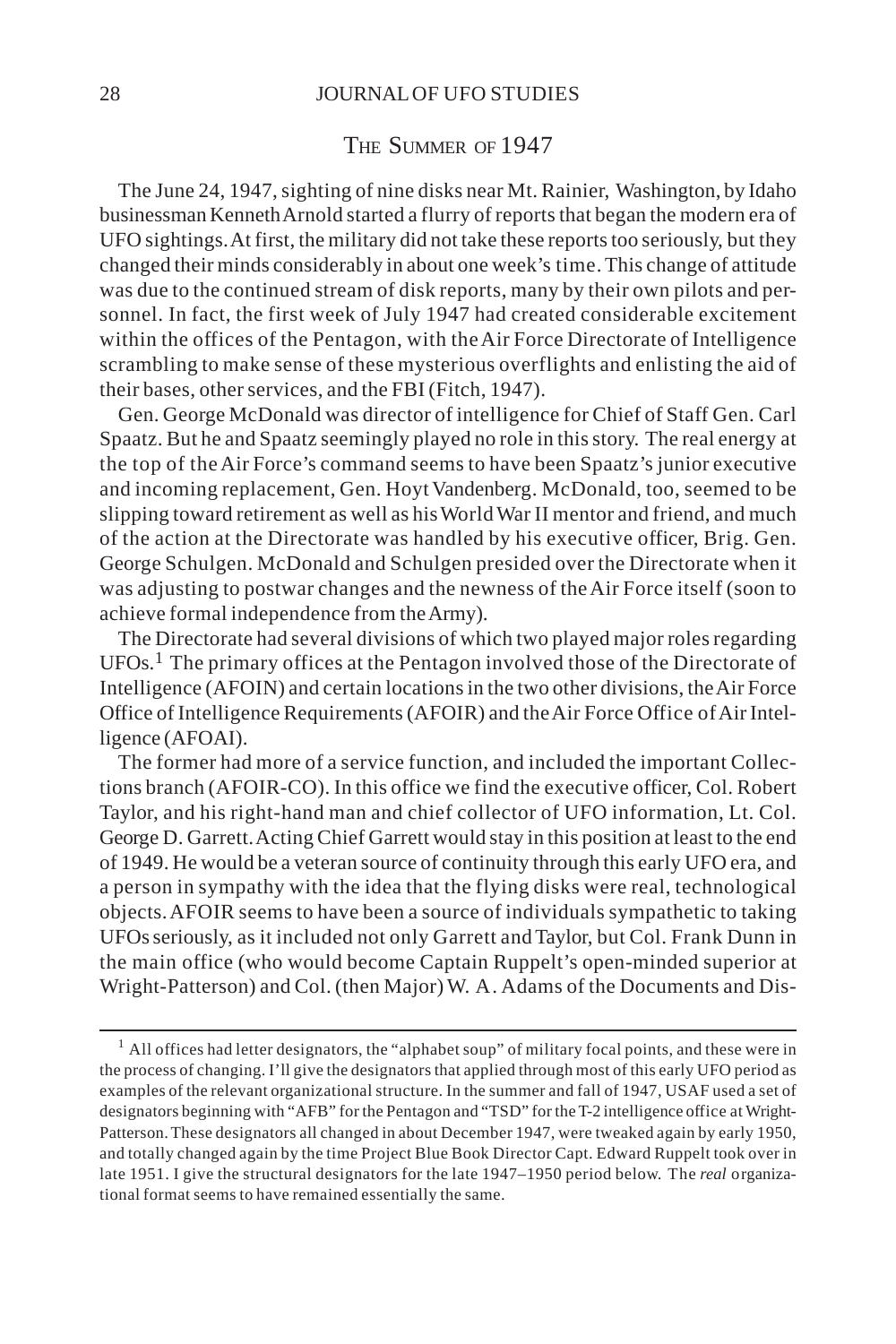#### THE SUMMER OF 1947

The June 24, 1947, sighting of nine disks near Mt. Rainier, Washington, by Idaho businessman Kenneth Arnold started a flurry of reports that began the modern era of UFO sightings. At first, the military did not take these reports too seriously, but they changed their minds considerably in about one week's time. This change of attitude was due to the continued stream of disk reports, many by their own pilots and personnel. In fact, the first week of July 1947 had created considerable excitement within the offices of the Pentagon, with the Air Force Directorate of Intelligence scrambling to make sense of these mysterious overflights and enlisting the aid of their bases, other services, and the FBI (Fitch, 1947).

Gen. George McDonald was director of intelligence for Chief of Staff Gen. Carl Spaatz. But he and Spaatz seemingly played no role in this story. The real energy at the top of the Air Force's command seems to have been Spaatz's junior executive and incoming replacement, Gen. Hoyt Vandenberg. McDonald, too, seemed to be slipping toward retirement as well as his World War II mentor and friend, and much of the action at the Directorate was handled by his executive officer, Brig. Gen. George Schulgen. McDonald and Schulgen presided over the Directorate when it was adjusting to postwar changes and the newness of the Air Force itself (soon to achieve formal independence from the Army).

The Directorate had several divisions of which two played major roles regarding UFOs.1 The primary offices at the Pentagon involved those of the Directorate of Intelligence (AFOIN) and certain locations in the two other divisions, the Air Force Office of Intelligence Requirements (AFOIR) and the Air Force Office of Air Intelligence (AFOAI).

The former had more of a service function, and included the important Collections branch (AFOIR-CO). In this office we find the executive officer, Col. Robert Taylor, and his right-hand man and chief collector of UFO information, Lt. Col. George D. Garrett. Acting Chief Garrett would stay in this position at least to the end of 1949. He would be a veteran source of continuity through this early UFO era, and a person in sympathy with the idea that the flying disks were real, technological objects. AFOIR seems to have been a source of individuals sympathetic to taking UFOs seriously, as it included not only Garrett and Taylor, but Col. Frank Dunn in the main office (who would become Captain Ruppelt's open-minded superior at Wright-Patterson) and Col. (then Major) W. A. Adams of the Documents and Dis-

<sup>&</sup>lt;sup>1</sup> All offices had letter designators, the "alphabet soup" of military focal points, and these were in the process of changing. I'll give the designators that applied through most of this early UFO period as examples of the relevant organizational structure. In the summer and fall of 1947, USAF used a set of designators beginning with "AFB" for the Pentagon and "TSD" for the T-2 intelligence office at Wright-Patterson. These designators all changed in about December 1947, were tweaked again by early 1950, and totally changed again by the time Project Blue Book Director Capt. Edward Ruppelt took over in late 1951. I give the structural designators for the late 1947–1950 period below. The *real* organizational format seems to have remained essentially the same.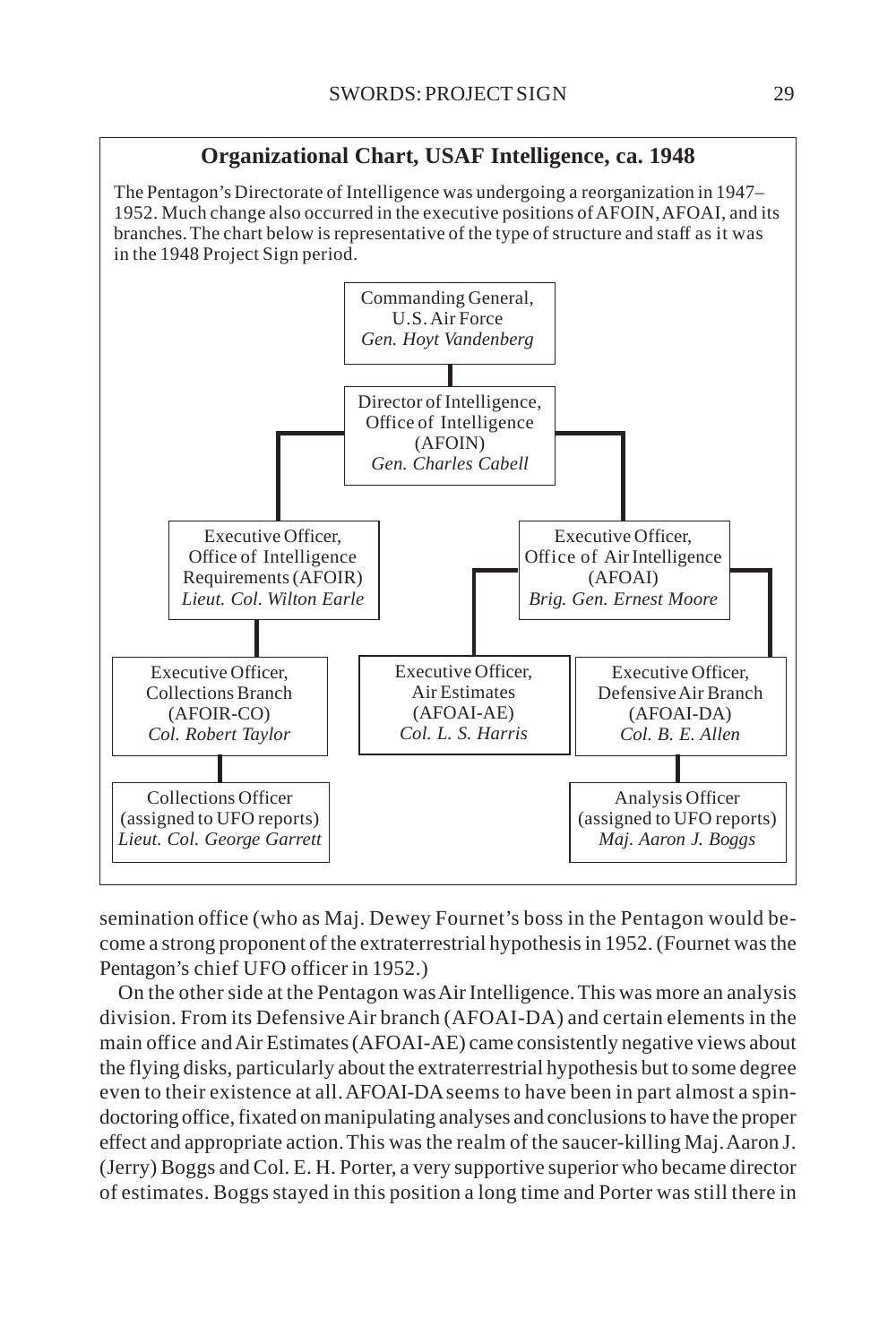

The Pentagon's Directorate of Intelligence was undergoing a reorganization in 1947– 1952. Much change also occurred in the executive positions of AFOIN, AFOAI, and its branches. The chart below is representative of the type of structure and staff as it was in the 1948 Project Sign period.



semination office (who as Maj. Dewey Fournet's boss in the Pentagon would become a strong proponent of the extraterrestrial hypothesis in 1952. (Fournet was the Pentagon's chief UFO officer in 1952.)

On the other side at the Pentagon was Air Intelligence. This was more an analysis division. From its Defensive Air branch (AFOAI-DA) and certain elements in the main office and Air Estimates (AFOAI-AE) came consistently negative views about the flying disks, particularly about the extraterrestrial hypothesis but to some degree even to their existence at all. AFOAI-DA seems to have been in part almost a spindoctoring office, fixated on manipulating analyses and conclusions to have the proper effect and appropriate action. This was the realm of the saucer-killing Maj. Aaron J. (Jerry) Boggs and Col. E. H. Porter, a very supportive superior who became director of estimates. Boggs stayed in this position a long time and Porter was still there in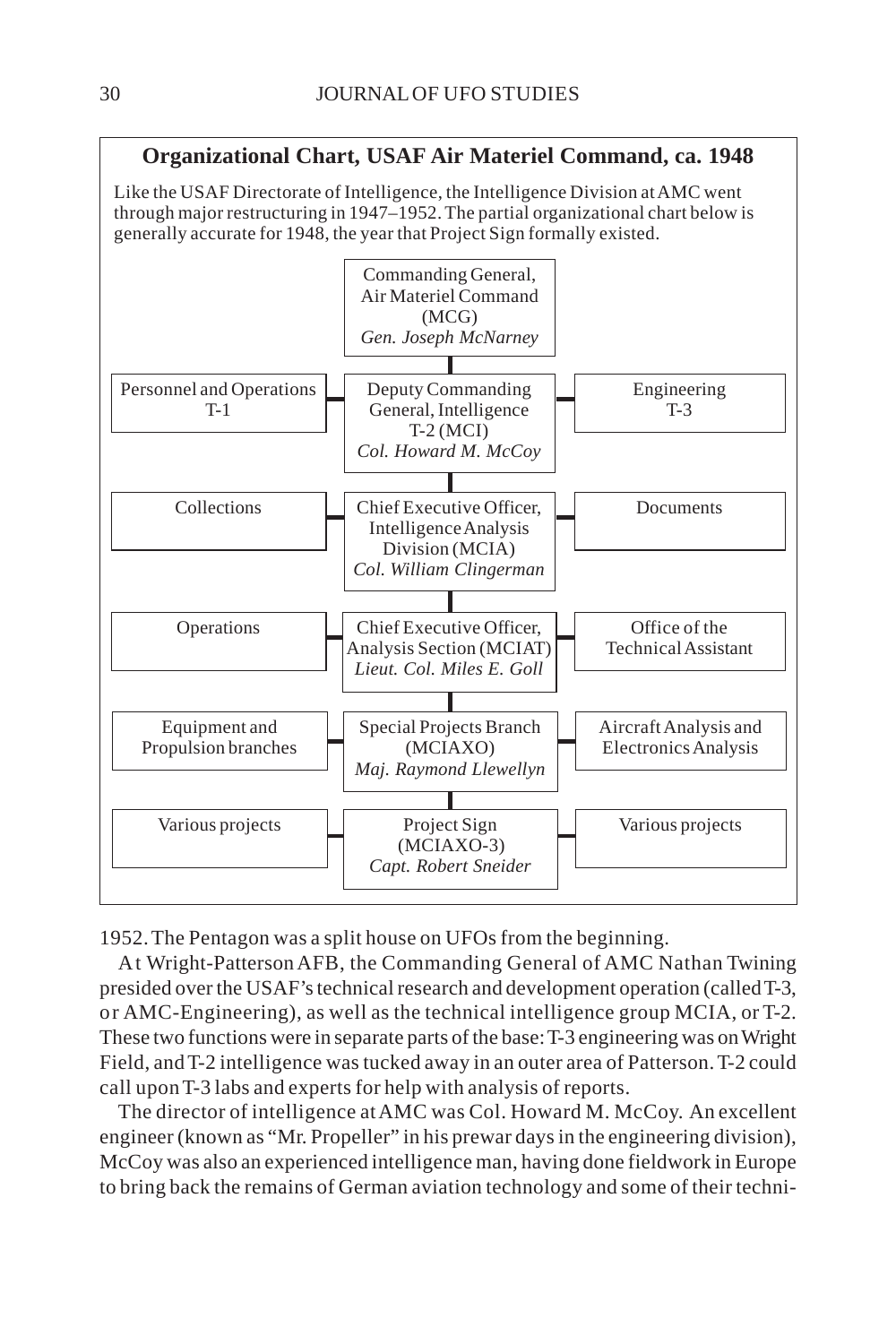# **Organizational Chart, USAF Air Materiel Command, ca. 1948**

Like the USAF Directorate of Intelligence, the Intelligence Division at AMC went through major restructuring in 1947–1952. The partial organizational chart below is generally accurate for 1948, the year that Project Sign formally existed.



1952. The Pentagon was a split house on UFOs from the beginning.

At Wright-Patterson AFB, the Commanding General of AMC Nathan Twining presided over the USAF's technical research and development operation (called T-3, or AMC-Engineering), as well as the technical intelligence group MCIA, or T-2. These two functions were in separate parts of the base: T-3 engineering was on Wright Field, and T-2 intelligence was tucked away in an outer area of Patterson. T-2 could call upon T-3 labs and experts for help with analysis of reports.

The director of intelligence at AMC was Col. Howard M. McCoy. An excellent engineer (known as "Mr. Propeller" in his prewar days in the engineering division), McCoy was also an experienced intelligence man, having done fieldwork in Europe to bring back the remains of German aviation technology and some of their techni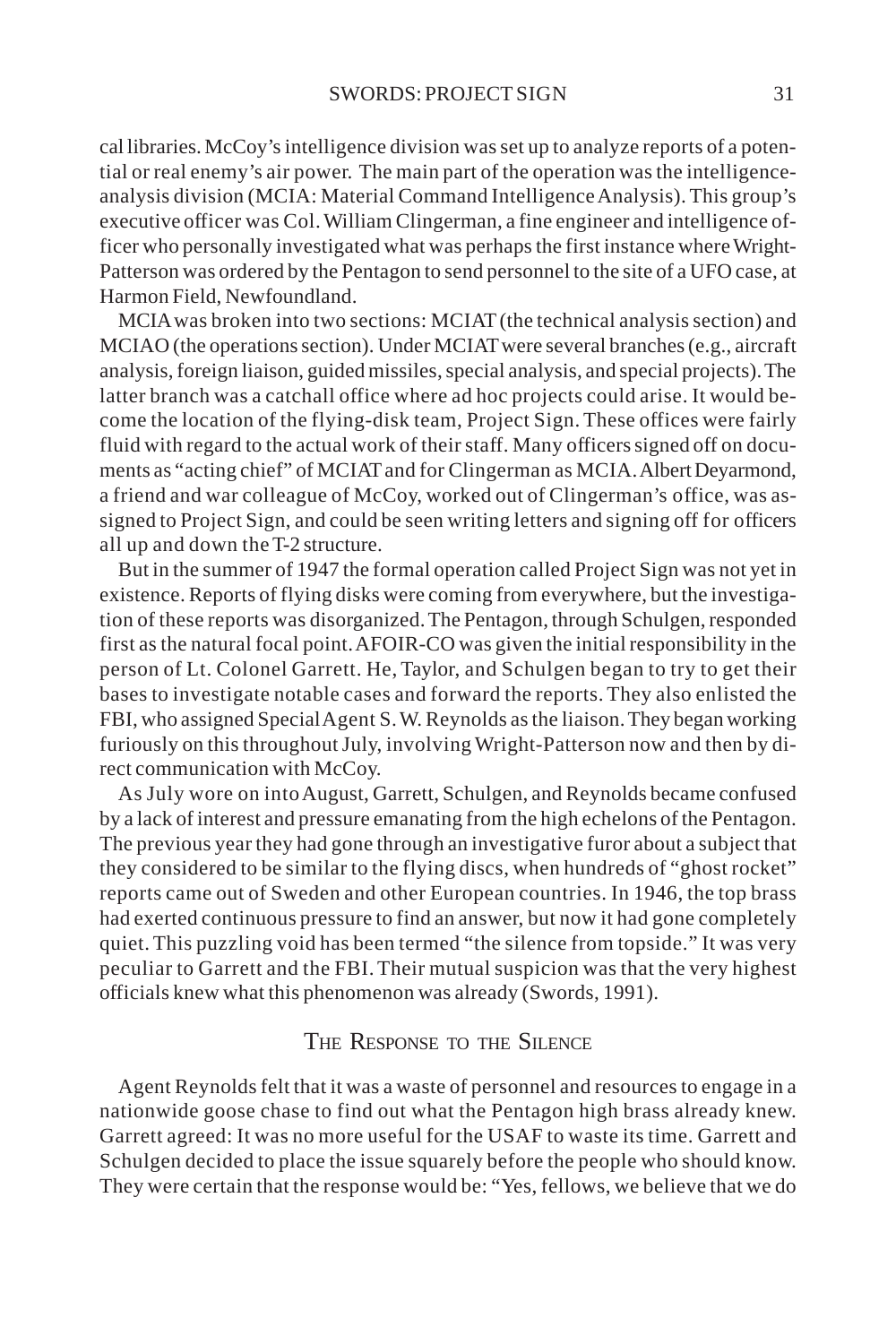cal libraries. McCoy's intelligence division was set up to analyze reports of a potential or real enemy's air power. The main part of the operation was the intelligenceanalysis division (MCIA: Material Command Intelligence Analysis). This group's executive officer was Col. William Clingerman, a fine engineer and intelligence officer who personally investigated what was perhaps the first instance where Wright-Patterson was ordered by the Pentagon to send personnel to the site of a UFO case, at Harmon Field, Newfoundland.

MCIA was broken into two sections: MCIAT (the technical analysis section) and MCIAO (the operations section). Under MCIAT were several branches (e.g., aircraft analysis, foreign liaison, guided missiles, special analysis, and special projects). The latter branch was a catchall office where ad hoc projects could arise. It would become the location of the flying-disk team, Project Sign. These offices were fairly fluid with regard to the actual work of their staff. Many officers signed off on documents as "acting chief" of MCIAT and for Clingerman as MCIA. Albert Deyarmond, a friend and war colleague of McCoy, worked out of Clingerman's office, was assigned to Project Sign, and could be seen writing letters and signing off for officers all up and down the T-2 structure.

But in the summer of 1947 the formal operation called Project Sign was not yet in existence. Reports of flying disks were coming from everywhere, but the investigation of these reports was disorganized. The Pentagon, through Schulgen, responded first as the natural focal point. AFOIR-CO was given the initial responsibility in the person of Lt. Colonel Garrett. He, Taylor, and Schulgen began to try to get their bases to investigate notable cases and forward the reports. They also enlisted the FBI, who assigned Special Agent S. W. Reynolds as the liaison. They began working furiously on this throughout July, involving Wright-Patterson now and then by direct communication with McCoy.

As July wore on into August, Garrett, Schulgen, and Reynolds became confused by a lack of interest and pressure emanating from the high echelons of the Pentagon. The previous year they had gone through an investigative furor about a subject that they considered to be similar to the flying discs, when hundreds of "ghost rocket" reports came out of Sweden and other European countries. In 1946, the top brass had exerted continuous pressure to find an answer, but now it had gone completely quiet. This puzzling void has been termed "the silence from topside." It was very peculiar to Garrett and the FBI. Their mutual suspicion was that the very highest officials knew what this phenomenon was already (Swords, 1991).

### THE RESPONSE TO THE SILENCE

Agent Reynolds felt that it was a waste of personnel and resources to engage in a nationwide goose chase to find out what the Pentagon high brass already knew. Garrett agreed: It was no more useful for the USAF to waste its time. Garrett and Schulgen decided to place the issue squarely before the people who should know. They were certain that the response would be: "Yes, fellows, we believe that we do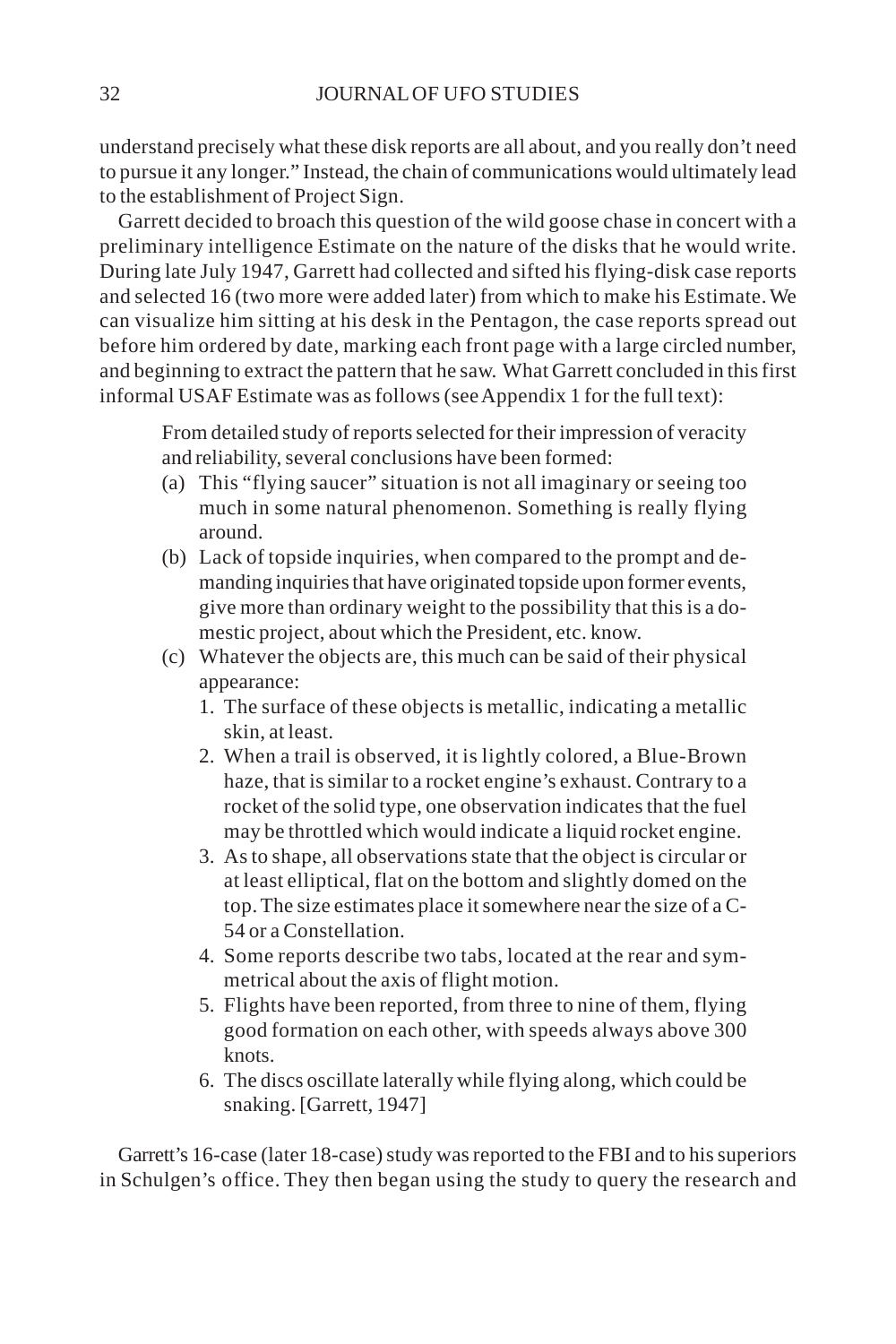understand precisely what these disk reports are all about, and you really don't need to pursue it any longer." Instead, the chain of communications would ultimately lead to the establishment of Project Sign.

Garrett decided to broach this question of the wild goose chase in concert with a preliminary intelligence Estimate on the nature of the disks that he would write. During late July 1947, Garrett had collected and sifted his flying-disk case reports and selected 16 (two more were added later) from which to make his Estimate. We can visualize him sitting at his desk in the Pentagon, the case reports spread out before him ordered by date, marking each front page with a large circled number, and beginning to extract the pattern that he saw. What Garrett concluded in this first informal USAF Estimate was as follows (see Appendix 1 for the full text):

From detailed study of reports selected for their impression of veracity and reliability, several conclusions have been formed:

- (a) This "flying saucer" situation is not all imaginary or seeing too much in some natural phenomenon. Something is really flying around.
- (b) Lack of topside inquiries, when compared to the prompt and demanding inquiries that have originated topside upon former events, give more than ordinary weight to the possibility that this is a domestic project, about which the President, etc. know.
- (c) Whatever the objects are, this much can be said of their physical appearance:
	- 1. The surface of these objects is metallic, indicating a metallic skin, at least.
	- 2. When a trail is observed, it is lightly colored, a Blue-Brown haze, that is similar to a rocket engine's exhaust. Contrary to a rocket of the solid type, one observation indicates that the fuel may be throttled which would indicate a liquid rocket engine.
	- 3. As to shape, all observations state that the object is circular or at least elliptical, flat on the bottom and slightly domed on the top. The size estimates place it somewhere near the size of a C-54 or a Constellation.
	- 4. Some reports describe two tabs, located at the rear and symmetrical about the axis of flight motion.
	- 5. Flights have been reported, from three to nine of them, flying good formation on each other, with speeds always above 300 knots.
	- 6. The discs oscillate laterally while flying along, which could be snaking. [Garrett, 1947]

Garrett's 16-case (later 18-case) study was reported to the FBI and to his superiors in Schulgen's office. They then began using the study to query the research and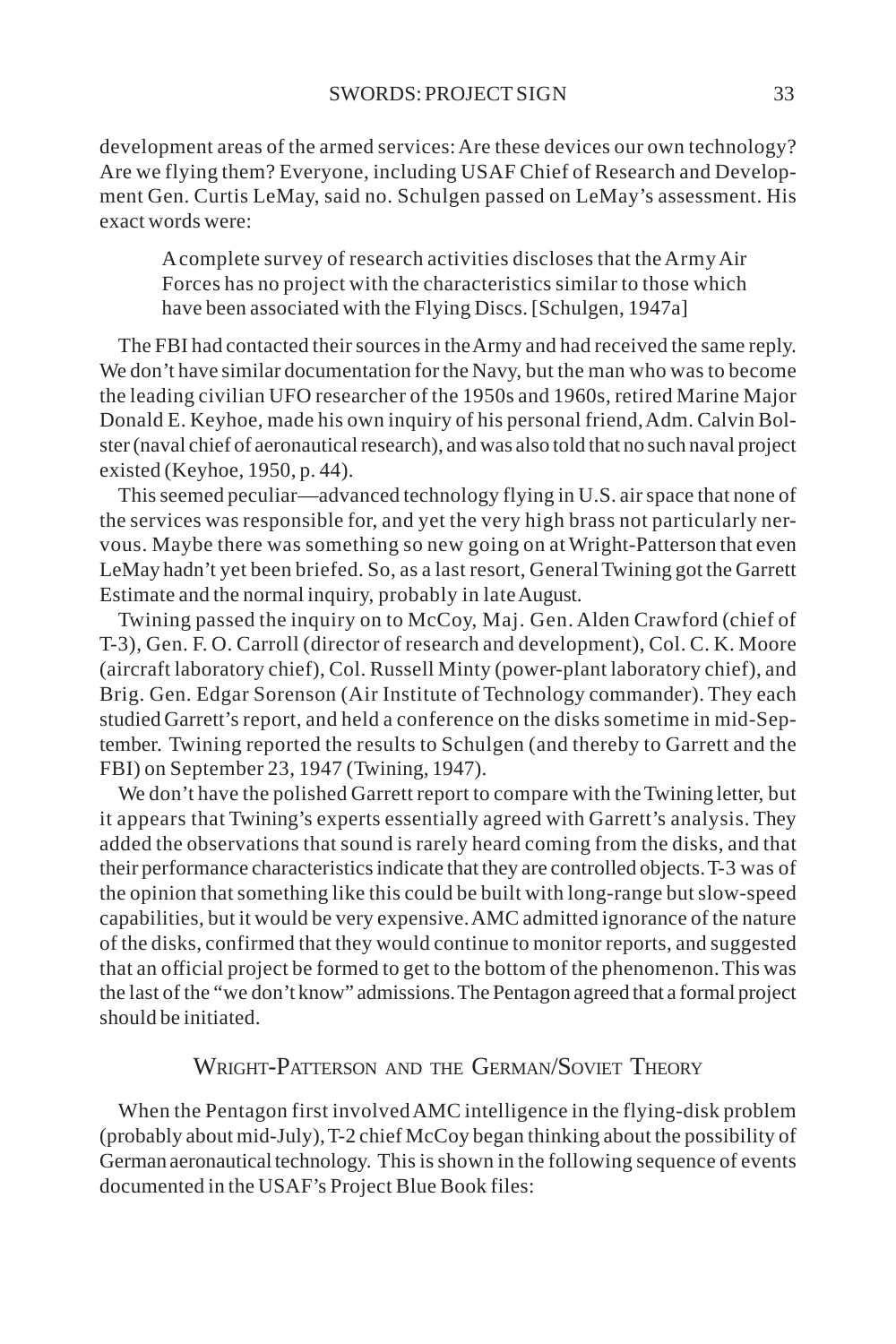development areas of the armed services: Are these devices our own technology? Are we flying them? Everyone, including USAF Chief of Research and Development Gen. Curtis LeMay, said no. Schulgen passed on LeMay's assessment. His exact words were:

A complete survey of research activities discloses that the Army Air Forces has no project with the characteristics similar to those which have been associated with the Flying Discs. [Schulgen, 1947a]

The FBI had contacted their sources in the Army and had received the same reply. We don't have similar documentation for the Navy, but the man who was to become the leading civilian UFO researcher of the 1950s and 1960s, retired Marine Major Donald E. Keyhoe, made his own inquiry of his personal friend, Adm. Calvin Bolster (naval chief of aeronautical research), and was also told that no such naval project existed (Keyhoe, 1950, p. 44).

This seemed peculiar—advanced technology flying in U.S. air space that none of the services was responsible for, and yet the very high brass not particularly nervous. Maybe there was something so new going on at Wright-Patterson that even LeMay hadn't yet been briefed. So, as a last resort, General Twining got the Garrett Estimate and the normal inquiry, probably in late August.

Twining passed the inquiry on to McCoy, Maj. Gen. Alden Crawford (chief of T-3), Gen. F. O. Carroll (director of research and development), Col. C. K. Moore (aircraft laboratory chief), Col. Russell Minty (power-plant laboratory chief), and Brig. Gen. Edgar Sorenson (Air Institute of Technology commander). They each studied Garrett's report, and held a conference on the disks sometime in mid-September. Twining reported the results to Schulgen (and thereby to Garrett and the FBI) on September 23, 1947 (Twining, 1947).

We don't have the polished Garrett report to compare with the Twining letter, but it appears that Twining's experts essentially agreed with Garrett's analysis. They added the observations that sound is rarely heard coming from the disks, and that their performance characteristics indicate that they are controlled objects. T-3 was of the opinion that something like this could be built with long-range but slow-speed capabilities, but it would be very expensive. AMC admitted ignorance of the nature of the disks, confirmed that they would continue to monitor reports, and suggested that an official project be formed to get to the bottom of the phenomenon. This was the last of the "we don't know" admissions. The Pentagon agreed that a formal project should be initiated.

# WRIGHT-PATTERSON AND THE GERMAN/SOVIET THEORY

When the Pentagon first involved AMC intelligence in the flying-disk problem (probably about mid-July), T-2 chief McCoy began thinking about the possibility of German aeronautical technology. This is shown in the following sequence of events documented in the USAF's Project Blue Book files: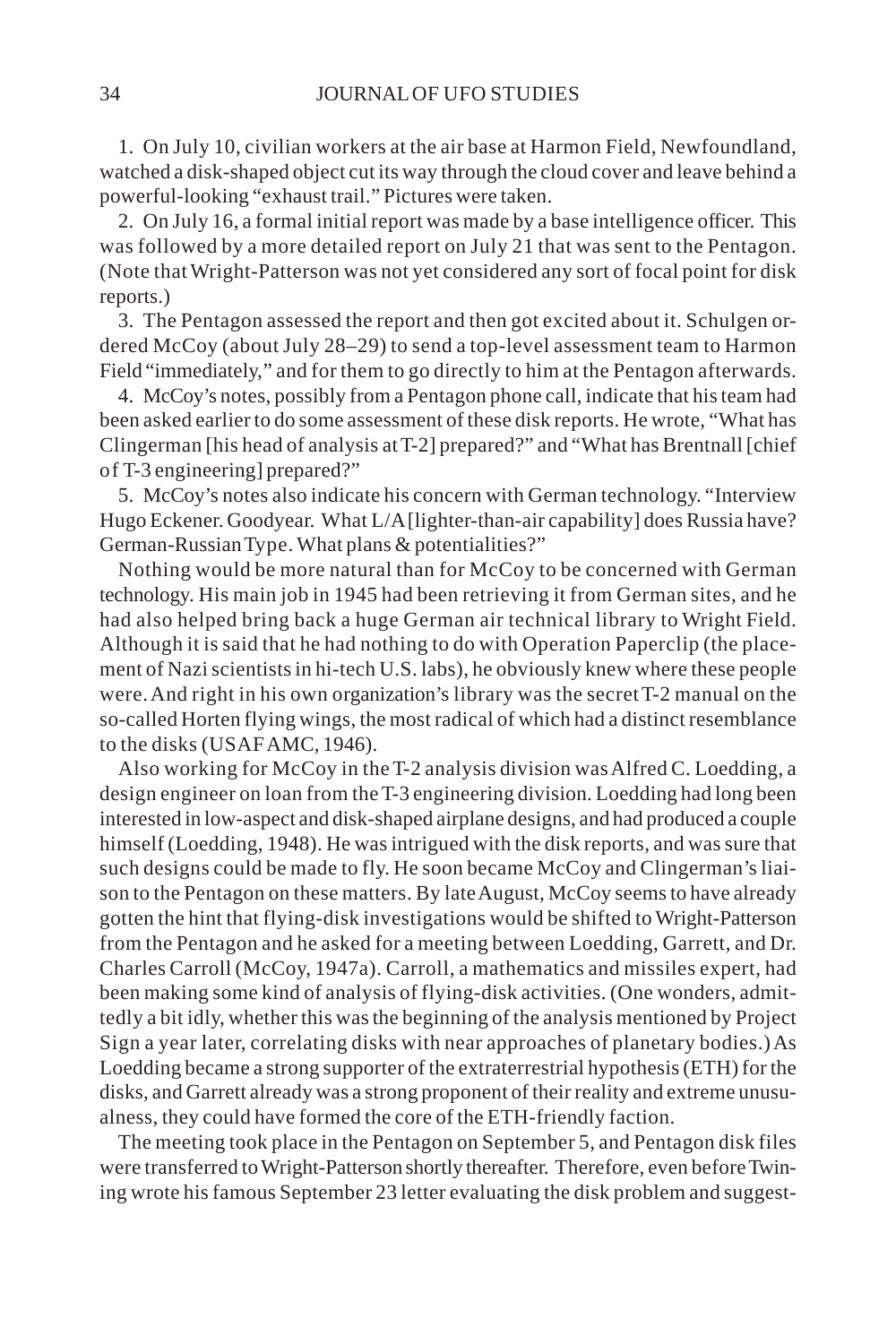1. On July 10, civilian workers at the air base at Harmon Field, Newfoundland, watched a disk-shaped object cut its way through the cloud cover and leave behind a powerful-looking "exhaust trail." Pictures were taken.

2. On July 16, a formal initial report was made by a base intelligence officer. This was followed by a more detailed report on July 21 that was sent to the Pentagon. (Note that Wright-Patterson was not yet considered any sort of focal point for disk reports.)

3. The Pentagon assessed the report and then got excited about it. Schulgen ordered McCoy (about July 28–29) to send a top-level assessment team to Harmon Field "immediately," and for them to go directly to him at the Pentagon afterwards.

4. McCoy's notes, possibly from a Pentagon phone call, indicate that his team had been asked earlier to do some assessment of these disk reports. He wrote, "What has Clingerman [his head of analysis at T-2] prepared?" and "What has Brentnall [chief of T-3 engineering] prepared?"

5. McCoy's notes also indicate his concern with German technology. "Interview Hugo Eckener. Goodyear. What L/A [lighter-than-air capability] does Russia have? German-Russian Type. What plans & potentialities?"

Nothing would be more natural than for McCoy to be concerned with German technology. His main job in 1945 had been retrieving it from German sites, and he had also helped bring back a huge German air technical library to Wright Field. Although it is said that he had nothing to do with Operation Paperclip (the placement of Nazi scientists in hi-tech U.S. labs), he obviously knew where these people were. And right in his own organization's library was the secret T-2 manual on the so-called Horten flying wings, the most radical of which had a distinct resemblance to the disks (USAF AMC, 1946).

Also working for McCoy in the T-2 analysis division was Alfred C. Loedding, a design engineer on loan from the T-3 engineering division. Loedding had long been interested in low-aspect and disk-shaped airplane designs, and had produced a couple himself (Loedding, 1948). He was intrigued with the disk reports, and was sure that such designs could be made to fly. He soon became McCoy and Clingerman's liaison to the Pentagon on these matters. By late August, McCoy seems to have already gotten the hint that flying-disk investigations would be shifted to Wright-Patterson from the Pentagon and he asked for a meeting between Loedding, Garrett, and Dr. Charles Carroll (McCoy, 1947a). Carroll, a mathematics and missiles expert, had been making some kind of analysis of flying-disk activities. (One wonders, admittedly a bit idly, whether this was the beginning of the analysis mentioned by Project Sign a year later, correlating disks with near approaches of planetary bodies.) As Loedding became a strong supporter of the extraterrestrial hypothesis (ETH) for the disks, and Garrett already was a strong proponent of their reality and extreme unusualness, they could have formed the core of the ETH-friendly faction.

The meeting took place in the Pentagon on September 5, and Pentagon disk files were transferred to Wright-Patterson shortly thereafter. Therefore, even before Twining wrote his famous September 23 letter evaluating the disk problem and suggest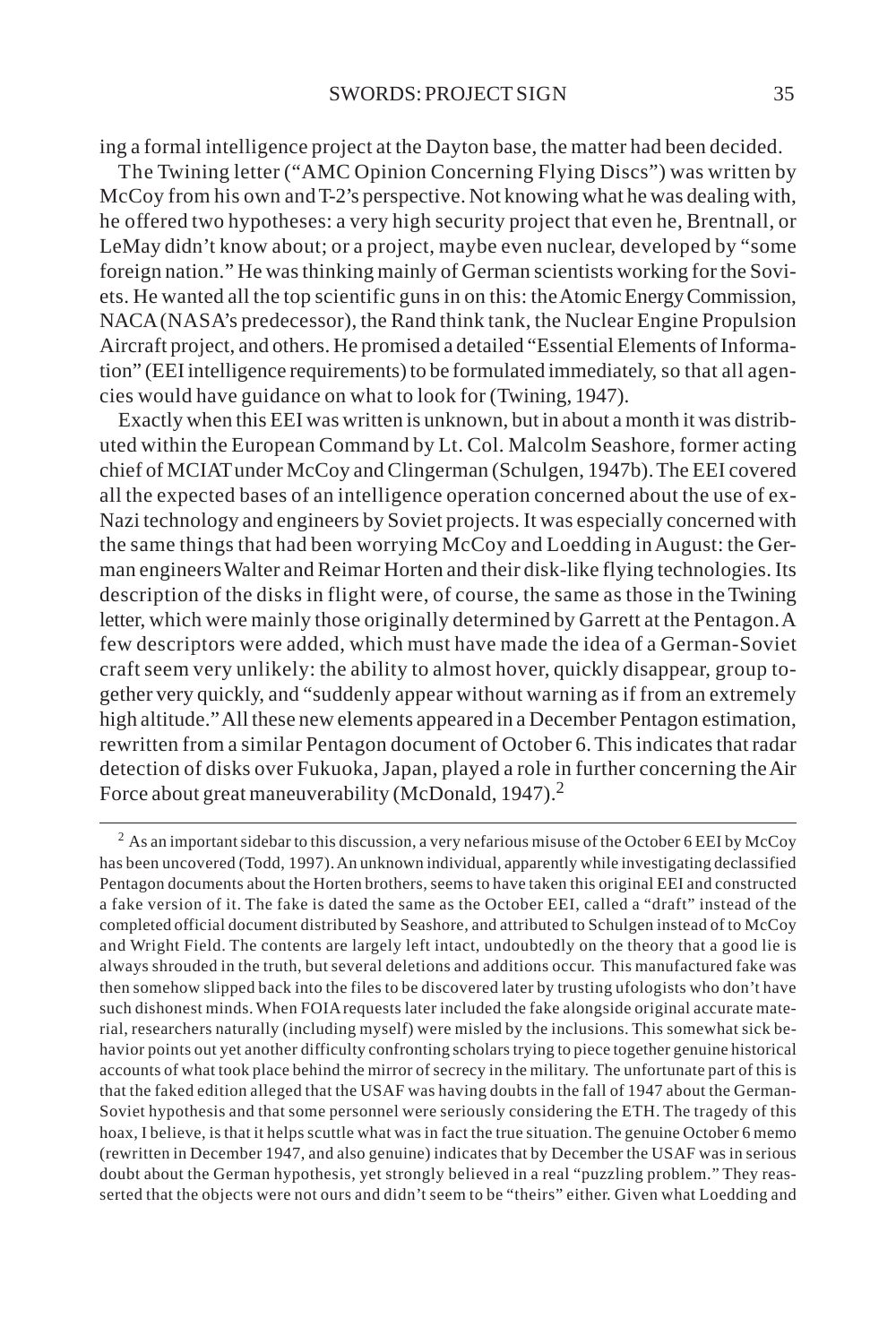ing a formal intelligence project at the Dayton base, the matter had been decided.

The Twining letter ("AMC Opinion Concerning Flying Discs") was written by McCoy from his own and T-2's perspective. Not knowing what he was dealing with, he offered two hypotheses: a very high security project that even he, Brentnall, or LeMay didn't know about; or a project, maybe even nuclear, developed by "some foreign nation." He was thinking mainly of German scientists working for the Soviets. He wanted all the top scientific guns in on this: the Atomic Energy Commission, NACA (NASA's predecessor), the Rand think tank, the Nuclear Engine Propulsion Aircraft project, and others. He promised a detailed "Essential Elements of Information" (EEI intelligence requirements) to be formulated immediately, so that all agencies would have guidance on what to look for (Twining, 1947).

Exactly when this EEI was written is unknown, but in about a month it was distributed within the European Command by Lt. Col. Malcolm Seashore, former acting chief of MCIAT under McCoy and Clingerman (Schulgen, 1947b). The EEI covered all the expected bases of an intelligence operation concerned about the use of ex-Nazi technology and engineers by Soviet projects. It was especially concerned with the same things that had been worrying McCoy and Loedding in August: the German engineers Walter and Reimar Horten and their disk-like flying technologies. Its description of the disks in flight were, of course, the same as those in the Twining letter, which were mainly those originally determined by Garrett at the Pentagon. A few descriptors were added, which must have made the idea of a German-Soviet craft seem very unlikely: the ability to almost hover, quickly disappear, group together very quickly, and "suddenly appear without warning as if from an extremely high altitude." All these new elements appeared in a December Pentagon estimation, rewritten from a similar Pentagon document of October 6. This indicates that radar detection of disks over Fukuoka, Japan, played a role in further concerning the Air Force about great maneuverability (McDonald, 1947).<sup>2</sup>

 $^2$  As an important sidebar to this discussion, a very nefarious misuse of the October 6 EEI by McCoy has been uncovered (Todd, 1997). An unknown individual, apparently while investigating declassified Pentagon documents about the Horten brothers, seems to have taken this original EEI and constructed a fake version of it. The fake is dated the same as the October EEI, called a "draft" instead of the completed official document distributed by Seashore, and attributed to Schulgen instead of to McCoy and Wright Field. The contents are largely left intact, undoubtedly on the theory that a good lie is always shrouded in the truth, but several deletions and additions occur. This manufactured fake was then somehow slipped back into the files to be discovered later by trusting ufologists who don't have such dishonest minds. When FOIA requests later included the fake alongside original accurate material, researchers naturally (including myself) were misled by the inclusions. This somewhat sick behavior points out yet another difficulty confronting scholars trying to piece together genuine historical accounts of what took place behind the mirror of secrecy in the military. The unfortunate part of this is that the faked edition alleged that the USAF was having doubts in the fall of 1947 about the German-Soviet hypothesis and that some personnel were seriously considering the ETH. The tragedy of this hoax, I believe, is that it helps scuttle what was in fact the true situation. The genuine October 6 memo (rewritten in December 1947, and also genuine) indicates that by December the USAF was in serious doubt about the German hypothesis, yet strongly believed in a real "puzzling problem." They reasserted that the objects were not ours and didn't seem to be "theirs" either. Given what Loedding and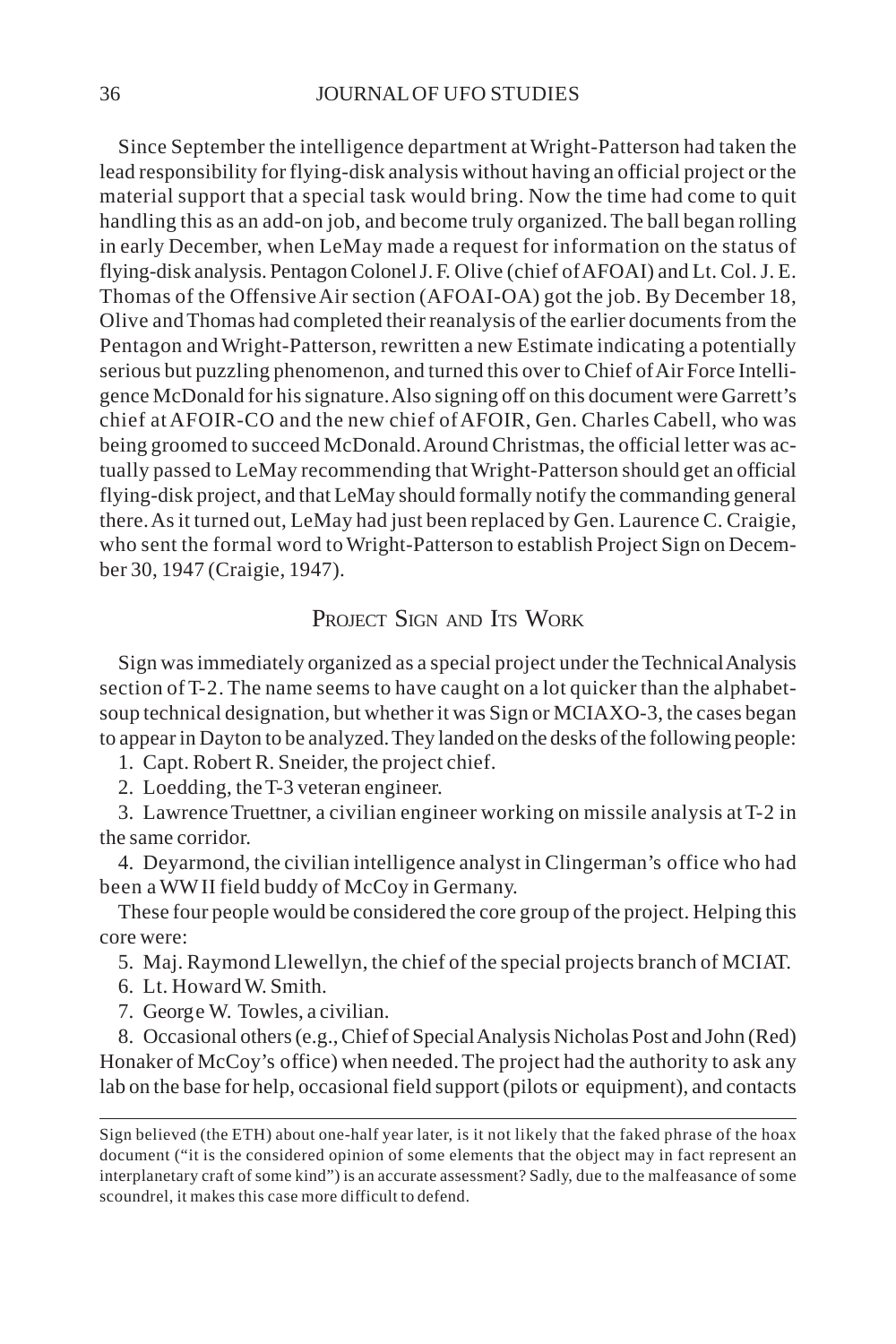#### 36 JOURNAL OF UFO STUDIES

Since September the intelligence department at Wright-Patterson had taken the lead responsibility for flying-disk analysis without having an official project or the material support that a special task would bring. Now the time had come to quit handling this as an add-on job, and become truly organized. The ball began rolling in early December, when LeMay made a request for information on the status of flying-disk analysis. Pentagon Colonel J. F. Olive (chief of AFOAI) and Lt. Col. J. E. Thomas of the Offensive Air section (AFOAI-OA) got the job. By December 18, Olive and Thomas had completed their reanalysis of the earlier documents from the Pentagon and Wright-Patterson, rewritten a new Estimate indicating a potentially serious but puzzling phenomenon, and turned this over to Chief of Air Force Intelligence McDonald for his signature. Also signing off on this document were Garrett's chief at AFOIR-CO and the new chief of AFOIR, Gen. Charles Cabell, who was being groomed to succeed McDonald. Around Christmas, the official letter was actually passed to LeMay recommending that Wright-Patterson should get an official flying-disk project, and that LeMay should formally notify the commanding general there. As it turned out, LeMay had just been replaced by Gen. Laurence C. Craigie, who sent the formal word to Wright-Patterson to establish Project Sign on December 30, 1947 (Craigie, 1947).

# PROJECT SIGN AND ITS WORK

Sign was immediately organized as a special project under the Technical Analysis section of T-2. The name seems to have caught on a lot quicker than the alphabetsoup technical designation, but whether it was Sign or MCIAXO-3, the cases began to appear in Dayton to be analyzed. They landed on the desks of the following people:

1. Capt. Robert R. Sneider, the project chief.

2. Loedding, the T-3 veteran engineer.

3. Lawrence Truettner, a civilian engineer working on missile analysis at T-2 in the same corridor.

4. Deyarmond, the civilian intelligence analyst in Clingerman's office who had been a WW II field buddy of McCoy in Germany.

These four people would be considered the core group of the project. Helping this core were:

5. Maj. Raymond Llewellyn, the chief of the special projects branch of MCIAT.

6. Lt. Howard W. Smith.

7. George W. Towles, a civilian.

8. Occasional others (e.g., Chief of Special Analysis Nicholas Post and John (Red) Honaker of McCoy's office) when needed. The project had the authority to ask any lab on the base for help, occasional field support (pilots or equipment), and contacts

Sign believed (the ETH) about one-half year later, is it not likely that the faked phrase of the hoax document ("it is the considered opinion of some elements that the object may in fact represent an interplanetary craft of some kind") is an accurate assessment? Sadly, due to the malfeasance of some scoundrel, it makes this case more difficult to defend.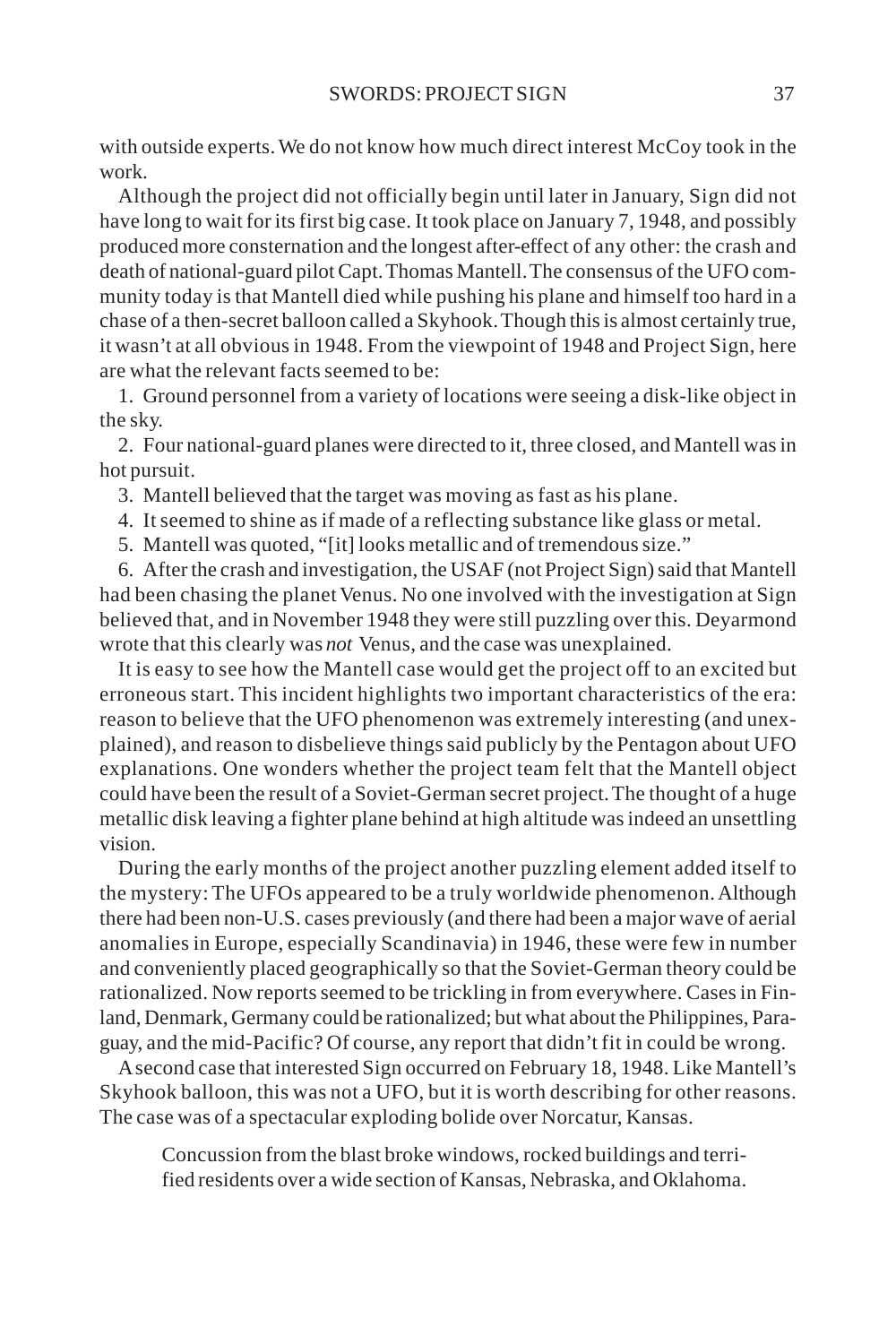with outside experts. We do not know how much direct interest McCoy took in the work.

Although the project did not officially begin until later in January, Sign did not have long to wait for its first big case. It took place on January 7, 1948, and possibly produced more consternation and the longest after-effect of any other: the crash and death of national-guard pilot Capt. Thomas Mantell. The consensus of the UFO community today is that Mantell died while pushing his plane and himself too hard in a chase of a then-secret balloon called a Skyhook. Though this is almost certainly true, it wasn't at all obvious in 1948. From the viewpoint of 1948 and Project Sign, here are what the relevant facts seemed to be:

1. Ground personnel from a variety of locations were seeing a disk-like object in the sky.

2. Four national-guard planes were directed to it, three closed, and Mantell was in hot pursuit.

- 3. Mantell believed that the target was moving as fast as his plane.
- 4. It seemed to shine as if made of a reflecting substance like glass or metal.
- 5. Mantell was quoted, "[it] looks metallic and of tremendous size."

6. After the crash and investigation, the USAF (not Project Sign) said that Mantell had been chasing the planet Venus. No one involved with the investigation at Sign believed that, and in November 1948 they were still puzzling over this. Deyarmond wrote that this clearly was *not* Venus, and the case was unexplained.

It is easy to see how the Mantell case would get the project off to an excited but erroneous start. This incident highlights two important characteristics of the era: reason to believe that the UFO phenomenon was extremely interesting (and unexplained), and reason to disbelieve things said publicly by the Pentagon about UFO explanations. One wonders whether the project team felt that the Mantell object could have been the result of a Soviet-German secret project. The thought of a huge metallic disk leaving a fighter plane behind at high altitude was indeed an unsettling vision.

During the early months of the project another puzzling element added itself to the mystery: The UFOs appeared to be a truly worldwide phenomenon. Although there had been non-U.S. cases previously (and there had been a major wave of aerial anomalies in Europe, especially Scandinavia) in 1946, these were few in number and conveniently placed geographically so that the Soviet-German theory could be rationalized. Now reports seemed to be trickling in from everywhere. Cases in Finland, Denmark, Germany could be rationalized; but what about the Philippines, Paraguay, and the mid-Pacific? Of course, any report that didn't fit in could be wrong.

A second case that interested Sign occurred on February 18, 1948. Like Mantell's Skyhook balloon, this was not a UFO, but it is worth describing for other reasons. The case was of a spectacular exploding bolide over Norcatur, Kansas.

Concussion from the blast broke windows, rocked buildings and terrified residents over a wide section of Kansas, Nebraska, and Oklahoma.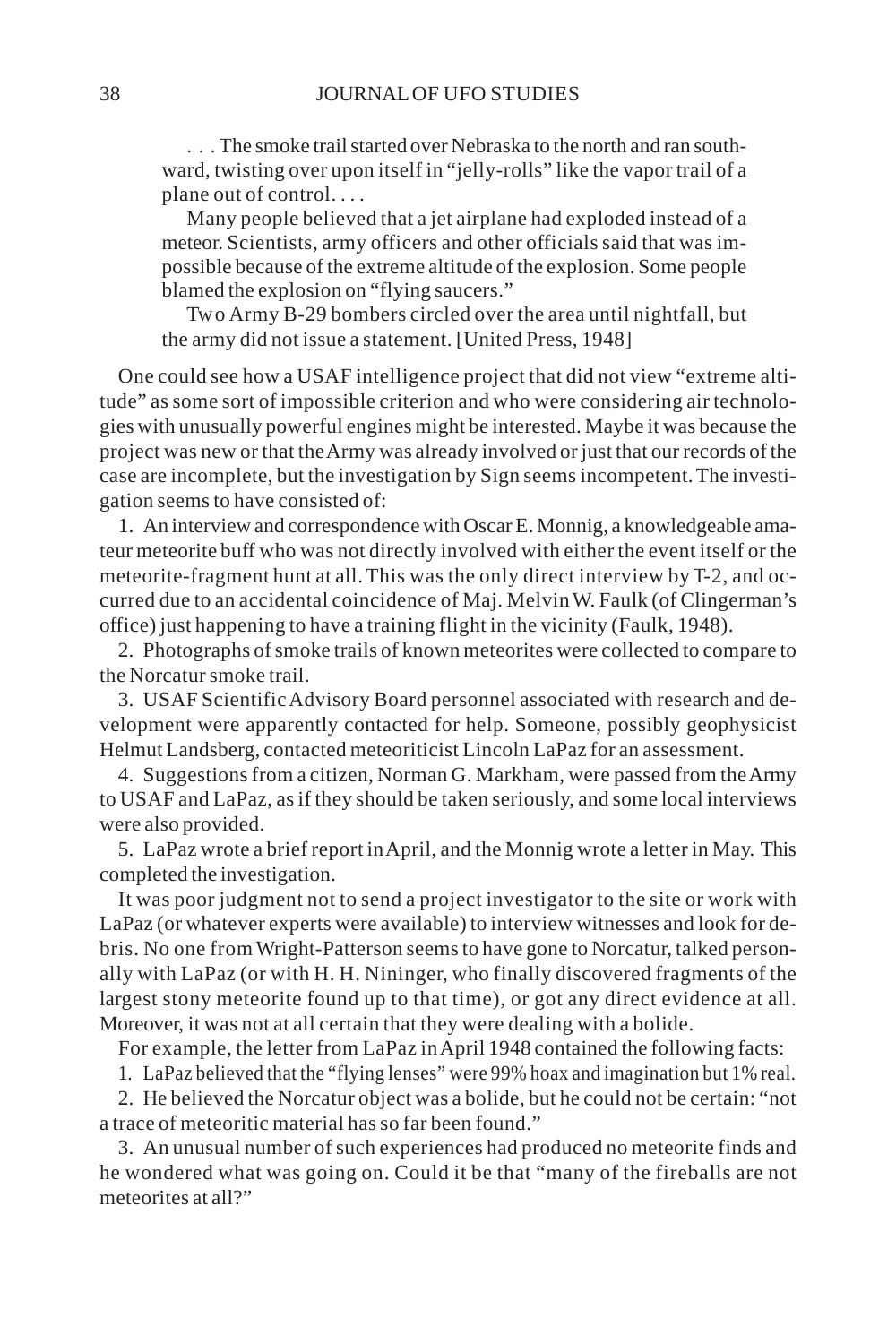. . . The smoke trail started over Nebraska to the north and ran southward, twisting over upon itself in "jelly-rolls" like the vapor trail of a plane out of control. . . .

Many people believed that a jet airplane had exploded instead of a meteor. Scientists, army officers and other officials said that was impossible because of the extreme altitude of the explosion. Some people blamed the explosion on "flying saucers."

Two Army B-29 bombers circled over the area until nightfall, but the army did not issue a statement. [United Press, 1948]

One could see how a USAF intelligence project that did not view "extreme altitude" as some sort of impossible criterion and who were considering air technologies with unusually powerful engines might be interested. Maybe it was because the project was new or that the Army was already involved or just that our records of the case are incomplete, but the investigation by Sign seems incompetent. The investigation seems to have consisted of:

1. An interview and correspondence with Oscar E. Monnig, a knowledgeable amateur meteorite buff who was not directly involved with either the event itself or the meteorite-fragment hunt at all. This was the only direct interview by T-2, and occurred due to an accidental coincidence of Maj. Melvin W. Faulk (of Clingerman's office) just happening to have a training flight in the vicinity (Faulk, 1948).

2. Photographs of smoke trails of known meteorites were collected to compare to the Norcatur smoke trail.

3. USAF Scientific Advisory Board personnel associated with research and development were apparently contacted for help. Someone, possibly geophysicist Helmut Landsberg, contacted meteoriticist Lincoln LaPaz for an assessment.

4. Suggestions from a citizen, Norman G. Markham, were passed from the Army to USAF and LaPaz, as if they should be taken seriously, and some local interviews were also provided.

5. LaPaz wrote a brief report in April, and the Monnig wrote a letter in May. This completed the investigation.

It was poor judgment not to send a project investigator to the site or work with LaPaz (or whatever experts were available) to interview witnesses and look for debris. No one from Wright-Patterson seems to have gone to Norcatur, talked personally with LaPaz (or with H. H. Nininger, who finally discovered fragments of the largest stony meteorite found up to that time), or got any direct evidence at all. Moreover, it was not at all certain that they were dealing with a bolide.

For example, the letter from LaPaz in April 1948 contained the following facts:

1. LaPaz believed that the "flying lenses" were 99% hoax and imagination but 1% real.

2. He believed the Norcatur object was a bolide, but he could not be certain: "not a trace of meteoritic material has so far been found."

3. An unusual number of such experiences had produced no meteorite finds and he wondered what was going on. Could it be that "many of the fireballs are not meteorites at all?"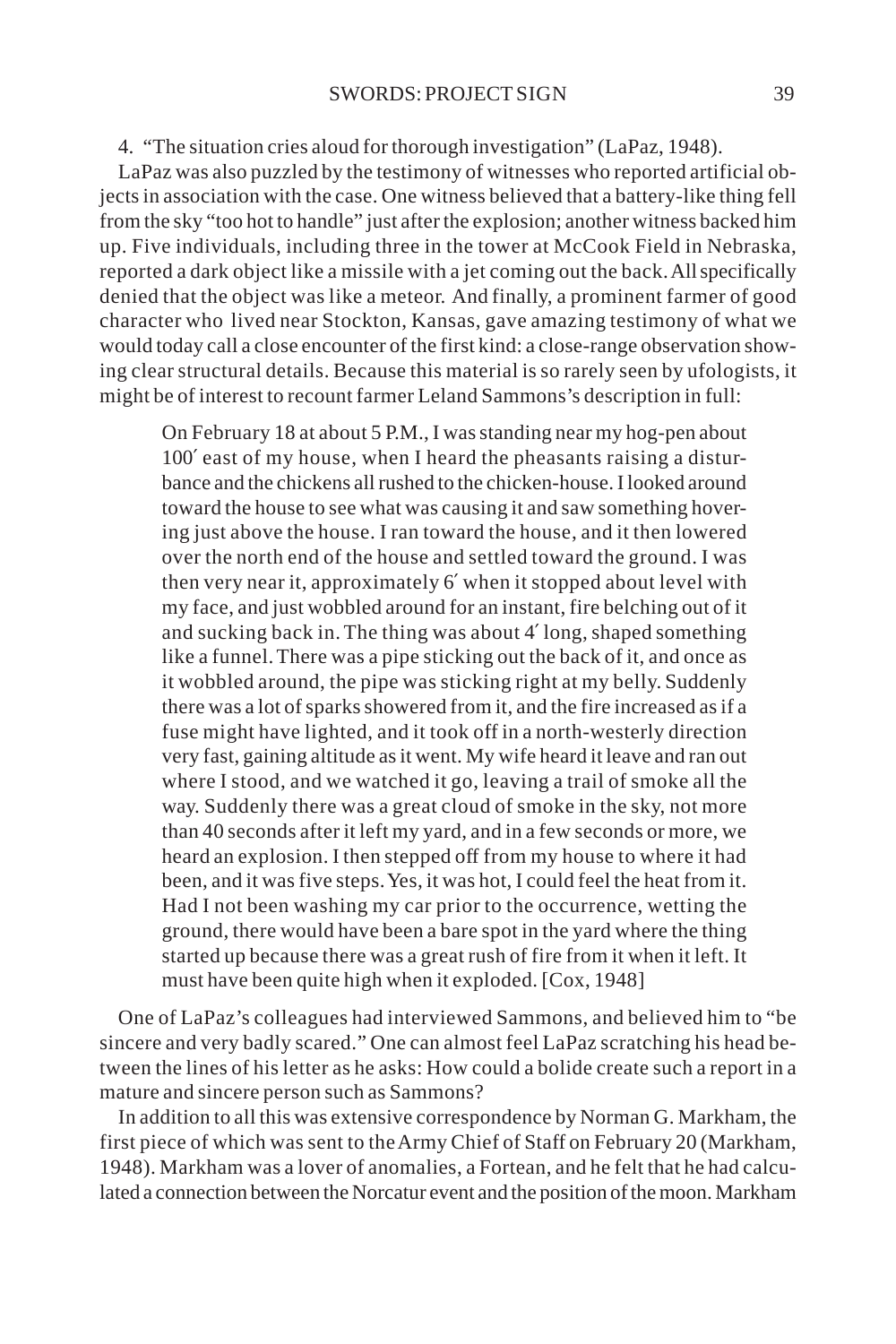#### 4. "The situation cries aloud for thorough investigation" (LaPaz, 1948).

LaPaz was also puzzled by the testimony of witnesses who reported artificial objects in association with the case. One witness believed that a battery-like thing fell from the sky "too hot to handle" just after the explosion; another witness backed him up. Five individuals, including three in the tower at McCook Field in Nebraska, reported a dark object like a missile with a jet coming out the back. All specifically denied that the object was like a meteor. And finally, a prominent farmer of good character who lived near Stockton, Kansas, gave amazing testimony of what we would today call a close encounter of the first kind: a close-range observation showing clear structural details. Because this material is so rarely seen by ufologists, it might be of interest to recount farmer Leland Sammons's description in full:

On February 18 at about 5 P.M., I was standing near my hog-pen about 100′ east of my house, when I heard the pheasants raising a disturbance and the chickens all rushed to the chicken-house. I looked around toward the house to see what was causing it and saw something hovering just above the house. I ran toward the house, and it then lowered over the north end of the house and settled toward the ground. I was then very near it, approximately 6′ when it stopped about level with my face, and just wobbled around for an instant, fire belching out of it and sucking back in. The thing was about 4′ long, shaped something like a funnel. There was a pipe sticking out the back of it, and once as it wobbled around, the pipe was sticking right at my belly. Suddenly there was a lot of sparks showered from it, and the fire increased as if a fuse might have lighted, and it took off in a north-westerly direction very fast, gaining altitude as it went. My wife heard it leave and ran out where I stood, and we watched it go, leaving a trail of smoke all the way. Suddenly there was a great cloud of smoke in the sky, not more than 40 seconds after it left my yard, and in a few seconds or more, we heard an explosion. I then stepped off from my house to where it had been, and it was five steps. Yes, it was hot, I could feel the heat from it. Had I not been washing my car prior to the occurrence, wetting the ground, there would have been a bare spot in the yard where the thing started up because there was a great rush of fire from it when it left. It must have been quite high when it exploded. [Cox, 1948]

One of LaPaz's colleagues had interviewed Sammons, and believed him to "be sincere and very badly scared." One can almost feel LaPaz scratching his head between the lines of his letter as he asks: How could a bolide create such a report in a mature and sincere person such as Sammons?

In addition to all this was extensive correspondence by Norman G. Markham, the first piece of which was sent to the Army Chief of Staff on February 20 (Markham, 1948). Markham was a lover of anomalies, a Fortean, and he felt that he had calculated a connection between the Norcatur event and the position of the moon. Markham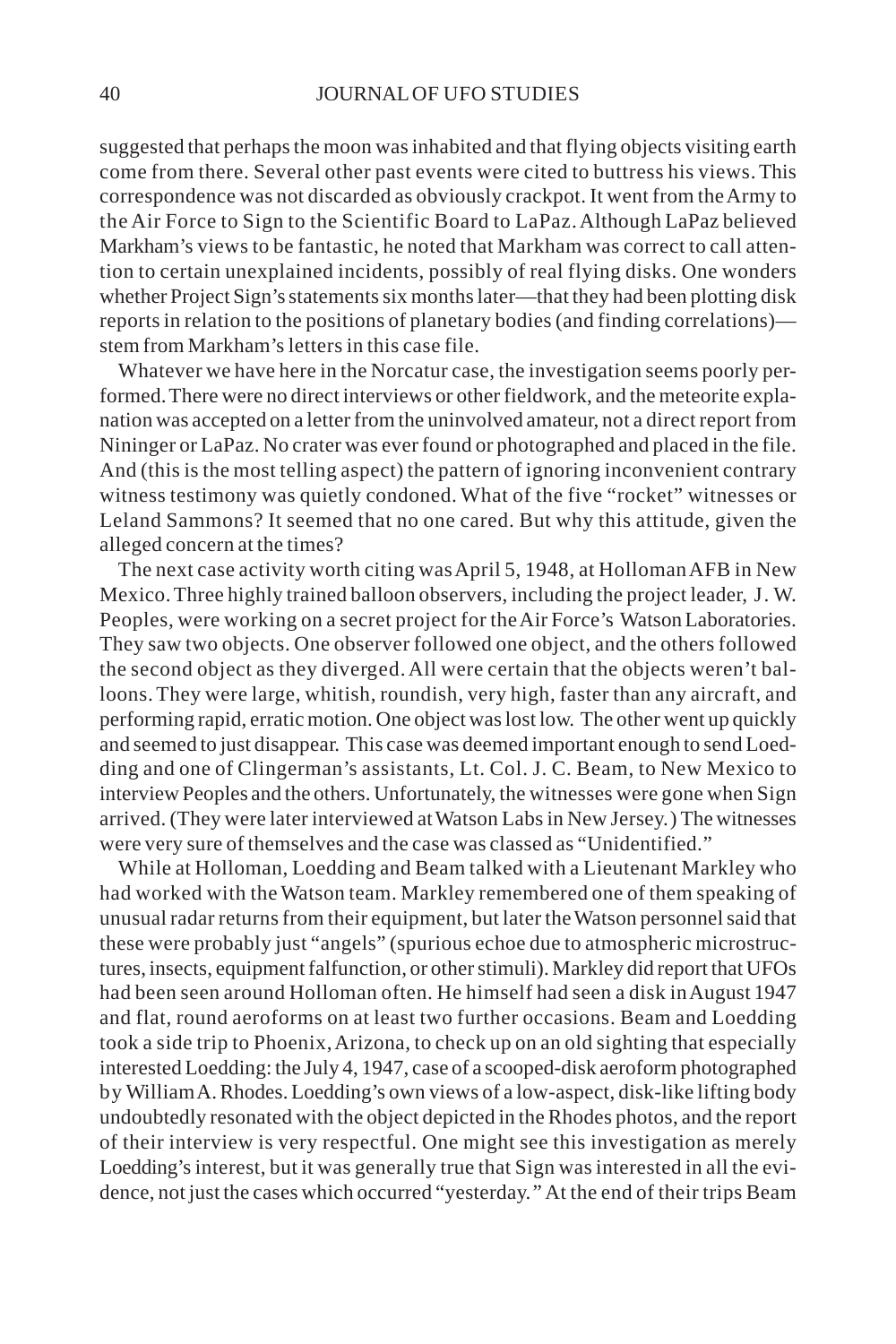suggested that perhaps the moon was inhabited and that flying objects visiting earth come from there. Several other past events were cited to buttress his views. This correspondence was not discarded as obviously crackpot. It went from the Army to the Air Force to Sign to the Scientific Board to LaPaz. Although LaPaz believed Markham's views to be fantastic, he noted that Markham was correct to call attention to certain unexplained incidents, possibly of real flying disks. One wonders whether Project Sign's statements six months later—that they had been plotting disk reports in relation to the positions of planetary bodies (and finding correlations) stem from Markham's letters in this case file.

Whatever we have here in the Norcatur case, the investigation seems poorly performed. There were no direct interviews or other fieldwork, and the meteorite explanation was accepted on a letter from the uninvolved amateur, not a direct report from Nininger or LaPaz. No crater was ever found or photographed and placed in the file. And (this is the most telling aspect) the pattern of ignoring inconvenient contrary witness testimony was quietly condoned. What of the five "rocket" witnesses or Leland Sammons? It seemed that no one cared. But why this attitude, given the alleged concern at the times?

The next case activity worth citing was April 5, 1948, at Holloman AFB in New Mexico. Three highly trained balloon observers, including the project leader, J. W. Peoples, were working on a secret project for the Air Force's Watson Laboratories. They saw two objects. One observer followed one object, and the others followed the second object as they diverged. All were certain that the objects weren't balloons. They were large, whitish, roundish, very high, faster than any aircraft, and performing rapid, erratic motion. One object was lost low. The other went up quickly and seemed to just disappear. This case was deemed important enough to send Loedding and one of Clingerman's assistants, Lt. Col. J. C. Beam, to New Mexico to interview Peoples and the others. Unfortunately, the witnesses were gone when Sign arrived. (They were later interviewed at Watson Labs in New Jersey.) The witnesses were very sure of themselves and the case was classed as "Unidentified."

While at Holloman, Loedding and Beam talked with a Lieutenant Markley who had worked with the Watson team. Markley remembered one of them speaking of unusual radar returns from their equipment, but later the Watson personnel said that these were probably just "angels" (spurious echoe due to atmospheric microstructures, insects, equipment falfunction, or other stimuli). Markley did report that UFOs had been seen around Holloman often. He himself had seen a disk in August 1947 and flat, round aeroforms on at least two further occasions. Beam and Loedding took a side trip to Phoenix, Arizona, to check up on an old sighting that especially interested Loedding: the July 4, 1947, case of a scooped-disk aeroform photographed by William A. Rhodes. Loedding's own views of a low-aspect, disk-like lifting body undoubtedly resonated with the object depicted in the Rhodes photos, and the report of their interview is very respectful. One might see this investigation as merely Loedding's interest, but it was generally true that Sign was interested in all the evidence, not just the cases which occurred "yesterday." At the end of their trips Beam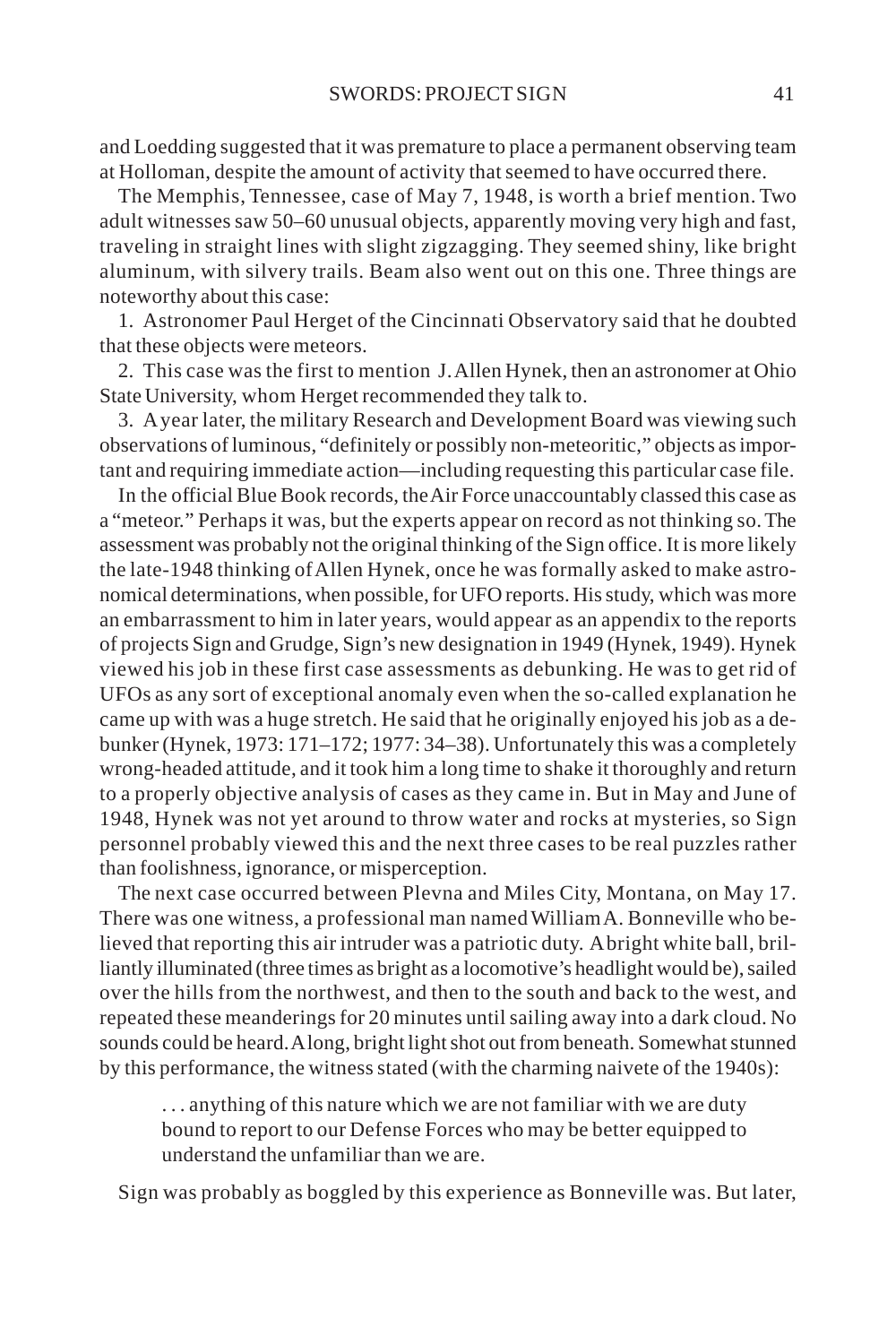and Loedding suggested that it was premature to place a permanent observing team at Holloman, despite the amount of activity that seemed to have occurred there.

The Memphis, Tennessee, case of May 7, 1948, is worth a brief mention. Two adult witnesses saw 50–60 unusual objects, apparently moving very high and fast, traveling in straight lines with slight zigzagging. They seemed shiny, like bright aluminum, with silvery trails. Beam also went out on this one. Three things are noteworthy about this case:

1. Astronomer Paul Herget of the Cincinnati Observatory said that he doubted that these objects were meteors.

2. This case was the first to mention J. Allen Hynek, then an astronomer at Ohio State University, whom Herget recommended they talk to.

3. A year later, the military Research and Development Board was viewing such observations of luminous, "definitely or possibly non-meteoritic," objects as important and requiring immediate action—including requesting this particular case file.

In the official Blue Book records, the Air Force unaccountably classed this case as a "meteor." Perhaps it was, but the experts appear on record as not thinking so. The assessment was probably not the original thinking of the Sign office. It is more likely the late-1948 thinking of Allen Hynek, once he was formally asked to make astronomical determinations, when possible, for UFO reports. His study, which was more an embarrassment to him in later years, would appear as an appendix to the reports of projects Sign and Grudge, Sign's new designation in 1949 (Hynek, 1949). Hynek viewed his job in these first case assessments as debunking. He was to get rid of UFOs as any sort of exceptional anomaly even when the so-called explanation he came up with was a huge stretch. He said that he originally enjoyed his job as a debunker (Hynek, 1973: 171–172; 1977: 34–38). Unfortunately this was a completely wrong-headed attitude, and it took him a long time to shake it thoroughly and return to a properly objective analysis of cases as they came in. But in May and June of 1948, Hynek was not yet around to throw water and rocks at mysteries, so Sign personnel probably viewed this and the next three cases to be real puzzles rather than foolishness, ignorance, or misperception.

The next case occurred between Plevna and Miles City, Montana, on May 17. There was one witness, a professional man named William A. Bonneville who believed that reporting this air intruder was a patriotic duty. A bright white ball, brilliantly illuminated (three times as bright as a locomotive's headlight would be), sailed over the hills from the northwest, and then to the south and back to the west, and repeated these meanderings for 20 minutes until sailing away into a dark cloud. No sounds could be heard. A long, bright light shot out from beneath. Somewhat stunned by this performance, the witness stated (with the charming naivete of the 1940s):

. . . anything of this nature which we are not familiar with we are duty bound to report to our Defense Forces who may be better equipped to understand the unfamiliar than we are.

Sign was probably as boggled by this experience as Bonneville was. But later,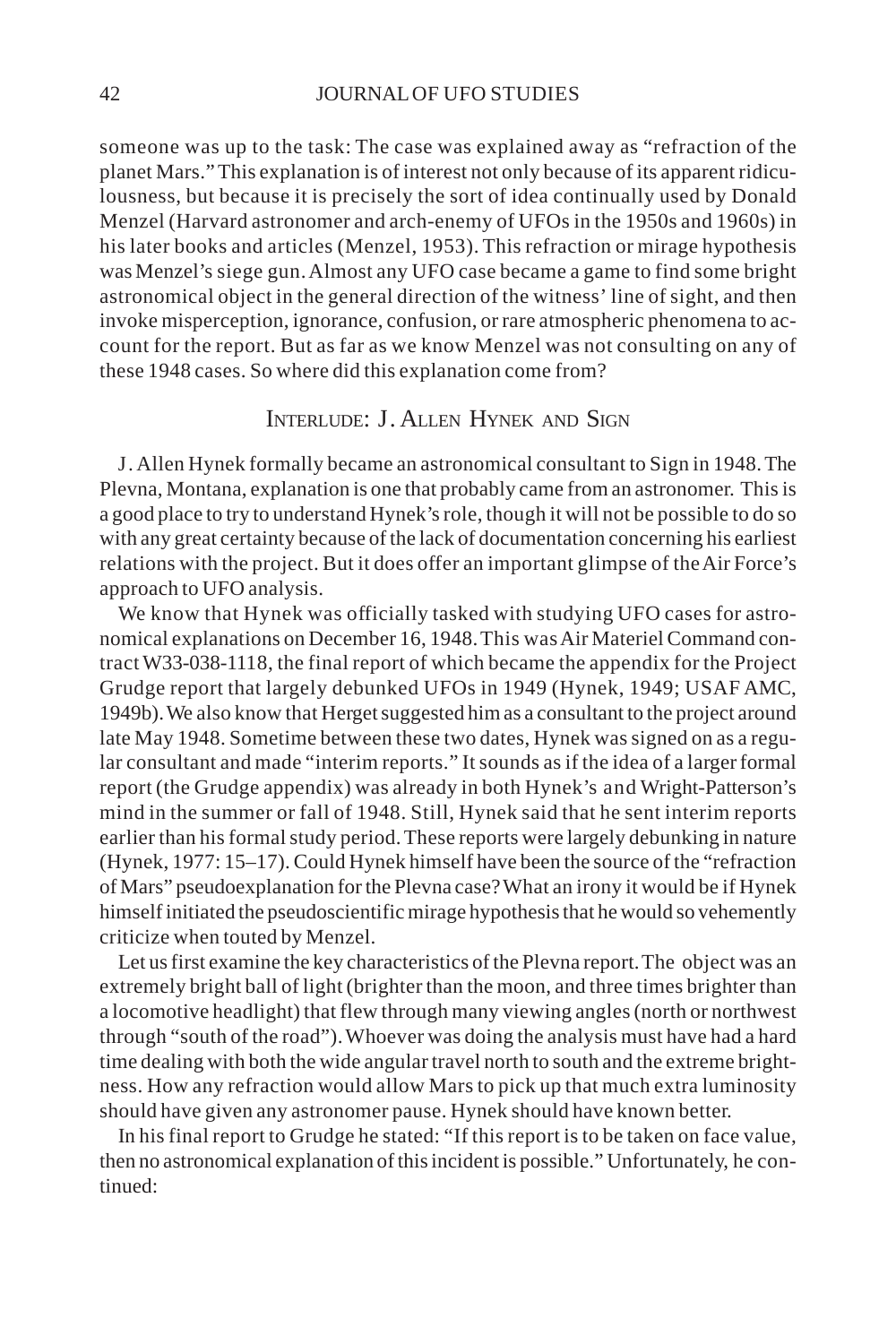someone was up to the task: The case was explained away as "refraction of the planet Mars." This explanation is of interest not only because of its apparent ridiculousness, but because it is precisely the sort of idea continually used by Donald Menzel (Harvard astronomer and arch-enemy of UFOs in the 1950s and 1960s) in his later books and articles (Menzel, 1953). This refraction or mirage hypothesis was Menzel's siege gun. Almost any UFO case became a game to find some bright astronomical object in the general direction of the witness' line of sight, and then invoke misperception, ignorance, confusion, or rare atmospheric phenomena to account for the report. But as far as we know Menzel was not consulting on any of these 1948 cases. So where did this explanation come from?

## INTERLUDE: J. ALLEN HYNEK AND SIGN

J. Allen Hynek formally became an astronomical consultant to Sign in 1948. The Plevna, Montana, explanation is one that probably came from an astronomer. This is a good place to try to understand Hynek's role, though it will not be possible to do so with any great certainty because of the lack of documentation concerning his earliest relations with the project. But it does offer an important glimpse of the Air Force's approach to UFO analysis.

We know that Hynek was officially tasked with studying UFO cases for astronomical explanations on December 16, 1948. This was Air Materiel Command contract W33-038-1118, the final report of which became the appendix for the Project Grudge report that largely debunked UFOs in 1949 (Hynek, 1949; USAF AMC, 1949b). We also know that Herget suggested him as a consultant to the project around late May 1948. Sometime between these two dates, Hynek was signed on as a regular consultant and made "interim reports." It sounds as if the idea of a larger formal report (the Grudge appendix) was already in both Hynek's and Wright-Patterson's mind in the summer or fall of 1948. Still, Hynek said that he sent interim reports earlier than his formal study period. These reports were largely debunking in nature (Hynek, 1977: 15–17). Could Hynek himself have been the source of the "refraction of Mars" pseudoexplanation for the Plevna case? What an irony it would be if Hynek himself initiated the pseudoscientific mirage hypothesis that he would so vehemently criticize when touted by Menzel.

Let us first examine the key characteristics of the Plevna report. The object was an extremely bright ball of light (brighter than the moon, and three times brighter than a locomotive headlight) that flew through many viewing angles (north or northwest through "south of the road"). Whoever was doing the analysis must have had a hard time dealing with both the wide angular travel north to south and the extreme brightness. How any refraction would allow Mars to pick up that much extra luminosity should have given any astronomer pause. Hynek should have known better.

In his final report to Grudge he stated: "If this report is to be taken on face value, then no astronomical explanation of this incident is possible." Unfortunately, he continued: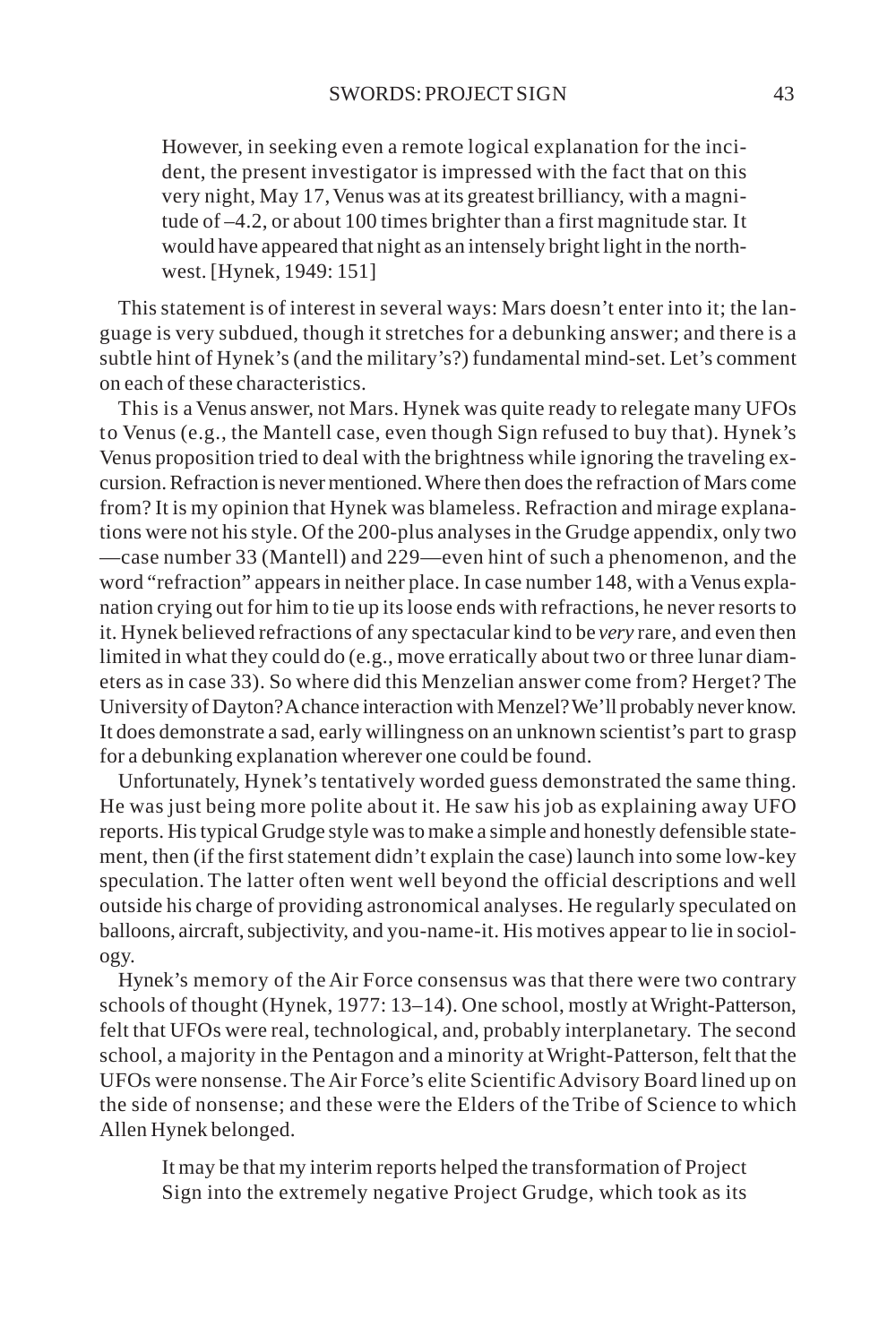However, in seeking even a remote logical explanation for the incident, the present investigator is impressed with the fact that on this very night, May 17, Venus was at its greatest brilliancy, with a magnitude of –4.2, or about 100 times brighter than a first magnitude star. It would have appeared that night as an intensely bright light in the northwest. [Hynek, 1949: 151]

This statement is of interest in several ways: Mars doesn't enter into it; the language is very subdued, though it stretches for a debunking answer; and there is a subtle hint of Hynek's (and the military's?) fundamental mind-set. Let's comment on each of these characteristics.

This is a Venus answer, not Mars. Hynek was quite ready to relegate many UFOs to Venus (e.g., the Mantell case, even though Sign refused to buy that). Hynek's Venus proposition tried to deal with the brightness while ignoring the traveling excursion. Refraction is never mentioned. Where then does the refraction of Mars come from? It is my opinion that Hynek was blameless. Refraction and mirage explanations were not his style. Of the 200-plus analyses in the Grudge appendix, only two —case number 33 (Mantell) and 229—even hint of such a phenomenon, and the word "refraction" appears in neither place. In case number 148, with a Venus explanation crying out for him to tie up its loose ends with refractions, he never resorts to it. Hynek believed refractions of any spectacular kind to be *very* rare, and even then limited in what they could do (e.g., move erratically about two or three lunar diameters as in case 33). So where did this Menzelian answer come from? Herget? The University of Dayton? A chance interaction with Menzel? We'll probably never know. It does demonstrate a sad, early willingness on an unknown scientist's part to grasp for a debunking explanation wherever one could be found.

Unfortunately, Hynek's tentatively worded guess demonstrated the same thing. He was just being more polite about it. He saw his job as explaining away UFO reports. His typical Grudge style was to make a simple and honestly defensible statement, then (if the first statement didn't explain the case) launch into some low-key speculation. The latter often went well beyond the official descriptions and well outside his charge of providing astronomical analyses. He regularly speculated on balloons, aircraft, subjectivity, and you-name-it. His motives appear to lie in sociology.

Hynek's memory of the Air Force consensus was that there were two contrary schools of thought (Hynek, 1977: 13–14). One school, mostly at Wright-Patterson, felt that UFOs were real, technological, and, probably interplanetary. The second school, a majority in the Pentagon and a minority at Wright-Patterson, felt that the UFOs were nonsense. The Air Force's elite Scientific Advisory Board lined up on the side of nonsense; and these were the Elders of the Tribe of Science to which Allen Hynek belonged.

It may be that my interim reports helped the transformation of Project Sign into the extremely negative Project Grudge, which took as its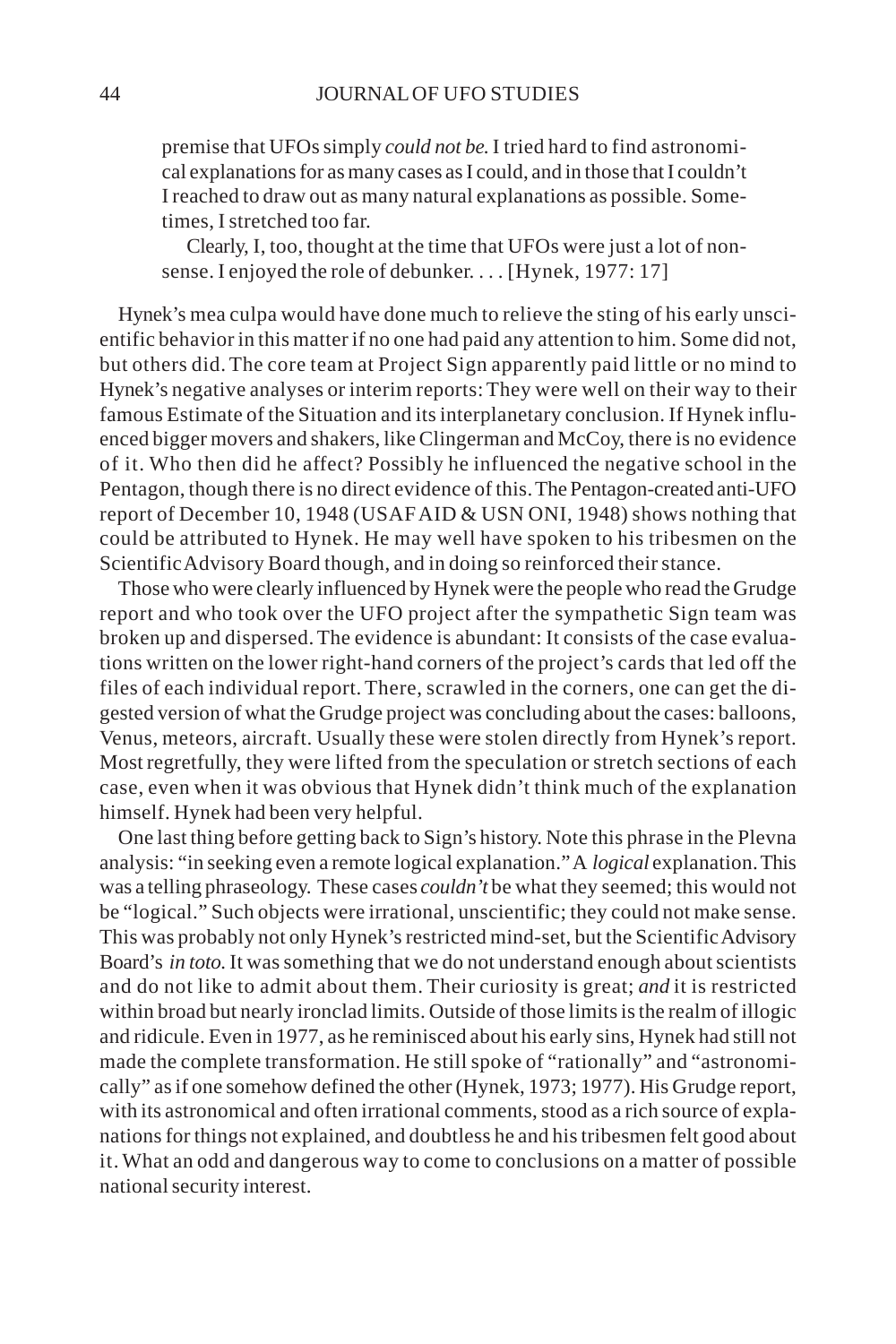premise that UFOs simply *could not be.* I tried hard to find astronomical explanations for as many cases as I could, and in those that I couldn't I reached to draw out as many natural explanations as possible. Sometimes, I stretched too far.

Clearly, I, too, thought at the time that UFOs were just a lot of nonsense. I enjoyed the role of debunker. . . . [Hynek, 1977: 17]

Hynek's mea culpa would have done much to relieve the sting of his early unscientific behavior in this matter if no one had paid any attention to him. Some did not, but others did. The core team at Project Sign apparently paid little or no mind to Hynek's negative analyses or interim reports: They were well on their way to their famous Estimate of the Situation and its interplanetary conclusion. If Hynek influenced bigger movers and shakers, like Clingerman and McCoy, there is no evidence of it. Who then did he affect? Possibly he influenced the negative school in the Pentagon, though there is no direct evidence of this. The Pentagon-created anti-UFO report of December 10, 1948 (USAF AID & USN ONI, 1948) shows nothing that could be attributed to Hynek. He may well have spoken to his tribesmen on the Scientific Advisory Board though, and in doing so reinforced their stance.

Those who were clearly influenced by Hynek were the people who read the Grudge report and who took over the UFO project after the sympathetic Sign team was broken up and dispersed. The evidence is abundant: It consists of the case evaluations written on the lower right-hand corners of the project's cards that led off the files of each individual report. There, scrawled in the corners, one can get the digested version of what the Grudge project was concluding about the cases: balloons, Venus, meteors, aircraft. Usually these were stolen directly from Hynek's report. Most regretfully, they were lifted from the speculation or stretch sections of each case, even when it was obvious that Hynek didn't think much of the explanation himself. Hynek had been very helpful.

One last thing before getting back to Sign's history. Note this phrase in the Plevna analysis: "in seeking even a remote logical explanation." A *logical* explanation. This was a telling phraseology. These cases *couldn't* be what they seemed; this would not be "logical." Such objects were irrational, unscientific; they could not make sense. This was probably not only Hynek's restricted mind-set, but the Scientific Advisory Board's *in toto.* It was something that we do not understand enough about scientists and do not like to admit about them. Their curiosity is great; *and* it is restricted within broad but nearly ironclad limits. Outside of those limits is the realm of illogic and ridicule. Even in 1977, as he reminisced about his early sins, Hynek had still not made the complete transformation. He still spoke of "rationally" and "astronomically" as if one somehow defined the other (Hynek, 1973; 1977). His Grudge report, with its astronomical and often irrational comments, stood as a rich source of explanations for things not explained, and doubtless he and his tribesmen felt good about it. What an odd and dangerous way to come to conclusions on a matter of possible national security interest.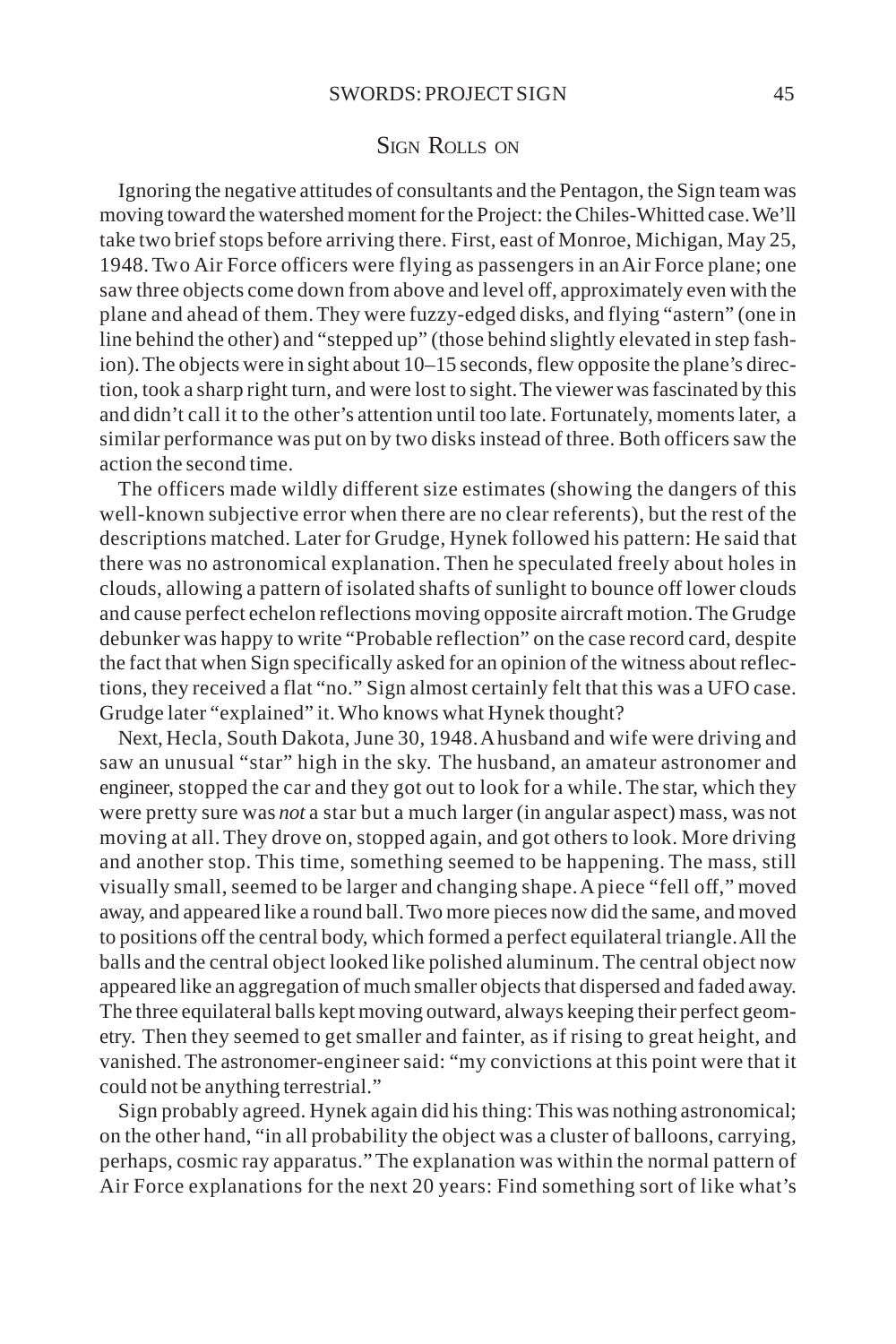### SIGN ROLLS ON

Ignoring the negative attitudes of consultants and the Pentagon, the Sign team was moving toward the watershed moment for the Project: the Chiles-Whitted case. We'll take two brief stops before arriving there. First, east of Monroe, Michigan, May 25, 1948. Two Air Force officers were flying as passengers in an Air Force plane; one saw three objects come down from above and level off, approximately even with the plane and ahead of them. They were fuzzy-edged disks, and flying "astern" (one in line behind the other) and "stepped up" (those behind slightly elevated in step fashion). The objects were in sight about 10–15 seconds, flew opposite the plane's direction, took a sharp right turn, and were lost to sight. The viewer was fascinated by this and didn't call it to the other's attention until too late. Fortunately, moments later, a similar performance was put on by two disks instead of three. Both officers saw the action the second time.

The officers made wildly different size estimates (showing the dangers of this well-known subjective error when there are no clear referents), but the rest of the descriptions matched. Later for Grudge, Hynek followed his pattern: He said that there was no astronomical explanation. Then he speculated freely about holes in clouds, allowing a pattern of isolated shafts of sunlight to bounce off lower clouds and cause perfect echelon reflections moving opposite aircraft motion. The Grudge debunker was happy to write "Probable reflection" on the case record card, despite the fact that when Sign specifically asked for an opinion of the witness about reflections, they received a flat "no." Sign almost certainly felt that this was a UFO case. Grudge later "explained" it. Who knows what Hynek thought?

Next, Hecla, South Dakota, June 30, 1948. A husband and wife were driving and saw an unusual "star" high in the sky. The husband, an amateur astronomer and engineer, stopped the car and they got out to look for a while. The star, which they were pretty sure was *not* a star but a much larger (in angular aspect) mass, was not moving at all. They drove on, stopped again, and got others to look. More driving and another stop. This time, something seemed to be happening. The mass, still visually small, seemed to be larger and changing shape. A piece "fell off," moved away, and appeared like a round ball. Two more pieces now did the same, and moved to positions off the central body, which formed a perfect equilateral triangle. All the balls and the central object looked like polished aluminum. The central object now appeared like an aggregation of much smaller objects that dispersed and faded away. The three equilateral balls kept moving outward, always keeping their perfect geometry. Then they seemed to get smaller and fainter, as if rising to great height, and vanished. The astronomer-engineer said: "my convictions at this point were that it could not be anything terrestrial."

Sign probably agreed. Hynek again did his thing: This was nothing astronomical; on the other hand, "in all probability the object was a cluster of balloons, carrying, perhaps, cosmic ray apparatus." The explanation was within the normal pattern of Air Force explanations for the next 20 years: Find something sort of like what's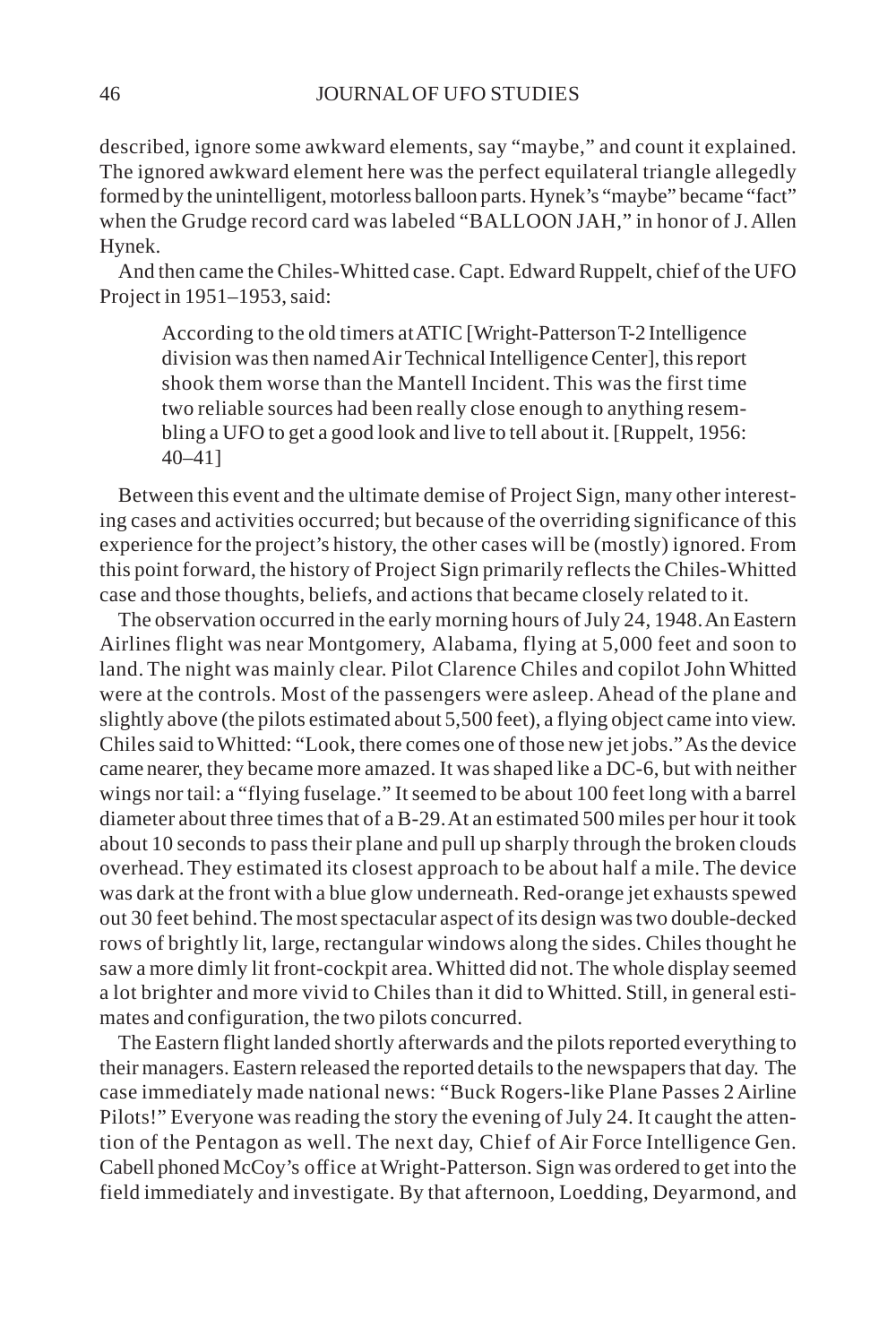described, ignore some awkward elements, say "maybe," and count it explained. The ignored awkward element here was the perfect equilateral triangle allegedly formed by the unintelligent, motorless balloon parts. Hynek's "maybe" became "fact" when the Grudge record card was labeled "BALLOON JAH," in honor of J. Allen Hynek.

And then came the Chiles-Whitted case. Capt. Edward Ruppelt, chief of the UFO Project in 1951–1953, said:

According to the old timers at ATIC [Wright-Patterson T-2 Intelligence division was then named Air Technical Intelligence Center], this report shook them worse than the Mantell Incident. This was the first time two reliable sources had been really close enough to anything resembling a UFO to get a good look and live to tell about it. [Ruppelt, 1956: 40–41]

Between this event and the ultimate demise of Project Sign, many other interesting cases and activities occurred; but because of the overriding significance of this experience for the project's history, the other cases will be (mostly) ignored. From this point forward, the history of Project Sign primarily reflects the Chiles-Whitted case and those thoughts, beliefs, and actions that became closely related to it.

The observation occurred in the early morning hours of July 24, 1948. An Eastern Airlines flight was near Montgomery, Alabama, flying at 5,000 feet and soon to land. The night was mainly clear. Pilot Clarence Chiles and copilot John Whitted were at the controls. Most of the passengers were asleep. Ahead of the plane and slightly above (the pilots estimated about 5,500 feet), a flying object came into view. Chiles said to Whitted: "Look, there comes one of those new jet jobs." As the device came nearer, they became more amazed. It was shaped like a DC-6, but with neither wings nor tail: a "flying fuselage." It seemed to be about 100 feet long with a barrel diameter about three times that of a B-29. At an estimated 500 miles per hour it took about 10 seconds to pass their plane and pull up sharply through the broken clouds overhead. They estimated its closest approach to be about half a mile. The device was dark at the front with a blue glow underneath. Red-orange jet exhausts spewed out 30 feet behind. The most spectacular aspect of its design was two double-decked rows of brightly lit, large, rectangular windows along the sides. Chiles thought he saw a more dimly lit front-cockpit area. Whitted did not. The whole display seemed a lot brighter and more vivid to Chiles than it did to Whitted. Still, in general estimates and configuration, the two pilots concurred.

The Eastern flight landed shortly afterwards and the pilots reported everything to their managers. Eastern released the reported details to the newspapers that day. The case immediately made national news: "Buck Rogers-like Plane Passes 2 Airline Pilots!" Everyone was reading the story the evening of July 24. It caught the attention of the Pentagon as well. The next day, Chief of Air Force Intelligence Gen. Cabell phoned McCoy's office at Wright-Patterson. Sign was ordered to get into the field immediately and investigate. By that afternoon, Loedding, Deyarmond, and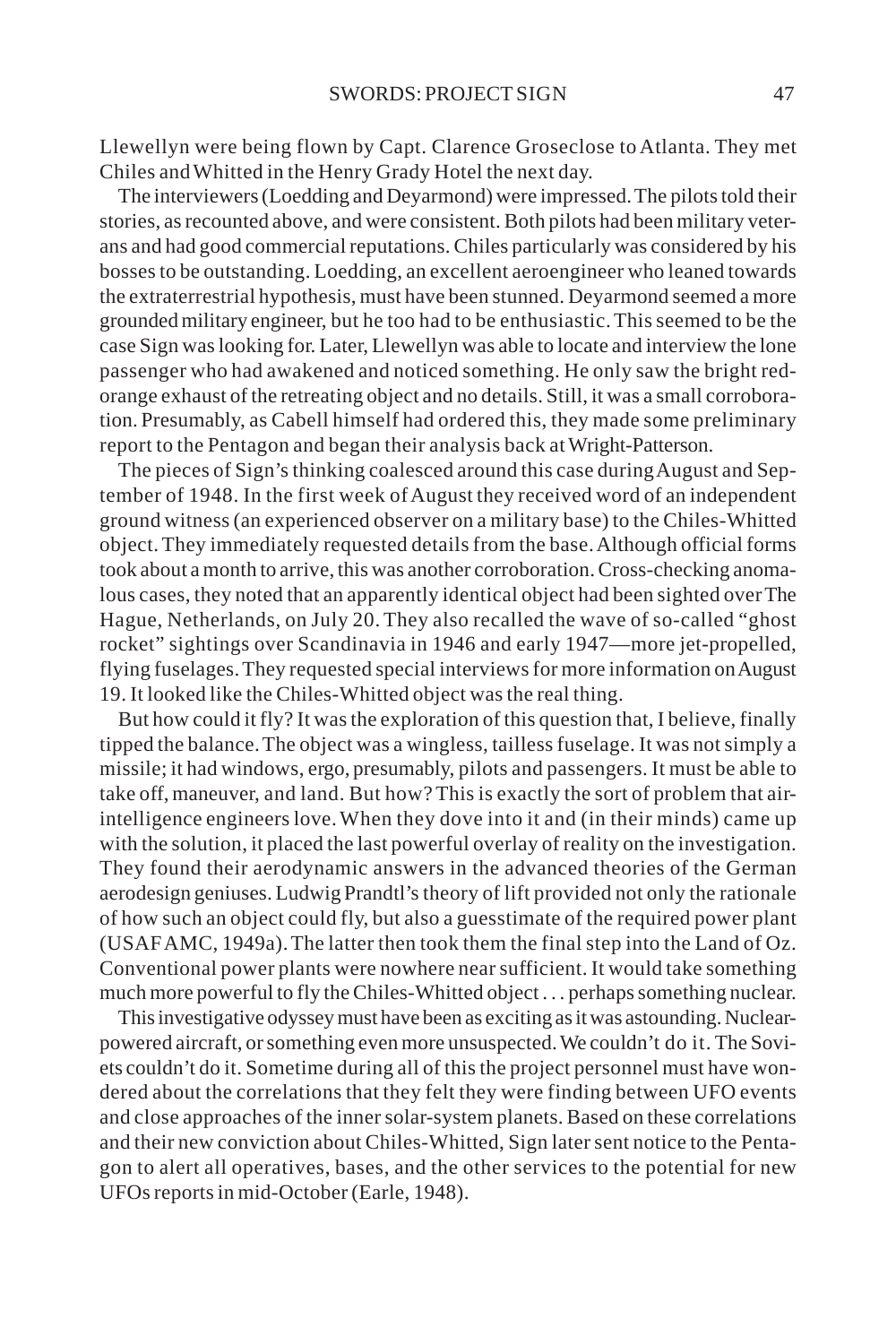Llewellyn were being flown by Capt. Clarence Groseclose to Atlanta. They met Chiles and Whitted in the Henry Grady Hotel the next day.

The interviewers (Loedding and Deyarmond) were impressed. The pilots told their stories, as recounted above, and were consistent. Both pilots had been military veterans and had good commercial reputations. Chiles particularly was considered by his bosses to be outstanding. Loedding, an excellent aeroengineer who leaned towards the extraterrestrial hypothesis, must have been stunned. Deyarmond seemed a more grounded military engineer, but he too had to be enthusiastic. This seemed to be the case Sign was looking for. Later, Llewellyn was able to locate and interview the lone passenger who had awakened and noticed something. He only saw the bright redorange exhaust of the retreating object and no details. Still, it was a small corroboration. Presumably, as Cabell himself had ordered this, they made some preliminary report to the Pentagon and began their analysis back at Wright-Patterson.

The pieces of Sign's thinking coalesced around this case during August and September of 1948. In the first week of August they received word of an independent ground witness (an experienced observer on a military base) to the Chiles-Whitted object. They immediately requested details from the base. Although official forms took about a month to arrive, this was another corroboration. Cross-checking anomalous cases, they noted that an apparently identical object had been sighted over The Hague, Netherlands, on July 20. They also recalled the wave of so-called "ghost rocket" sightings over Scandinavia in 1946 and early 1947—more jet-propelled, flying fuselages. They requested special interviews for more information on August 19. It looked like the Chiles-Whitted object was the real thing.

But how could it fly? It was the exploration of this question that, I believe, finally tipped the balance. The object was a wingless, tailless fuselage. It was not simply a missile; it had windows, ergo, presumably, pilots and passengers. It must be able to take off, maneuver, and land. But how? This is exactly the sort of problem that airintelligence engineers love. When they dove into it and (in their minds) came up with the solution, it placed the last powerful overlay of reality on the investigation. They found their aerodynamic answers in the advanced theories of the German aerodesign geniuses. Ludwig Prandtl's theory of lift provided not only the rationale of how such an object could fly, but also a guesstimate of the required power plant (USAF AMC, 1949a). The latter then took them the final step into the Land of Oz. Conventional power plants were nowhere near sufficient. It would take something much more powerful to fly the Chiles-Whitted object . . . perhaps something nuclear.

This investigative odyssey must have been as exciting as it was astounding. Nuclearpowered aircraft, or something even more unsuspected. We couldn't do it. The Soviets couldn't do it. Sometime during all of this the project personnel must have wondered about the correlations that they felt they were finding between UFO events and close approaches of the inner solar-system planets. Based on these correlations and their new conviction about Chiles-Whitted, Sign later sent notice to the Pentagon to alert all operatives, bases, and the other services to the potential for new UFOs reports in mid-October (Earle, 1948).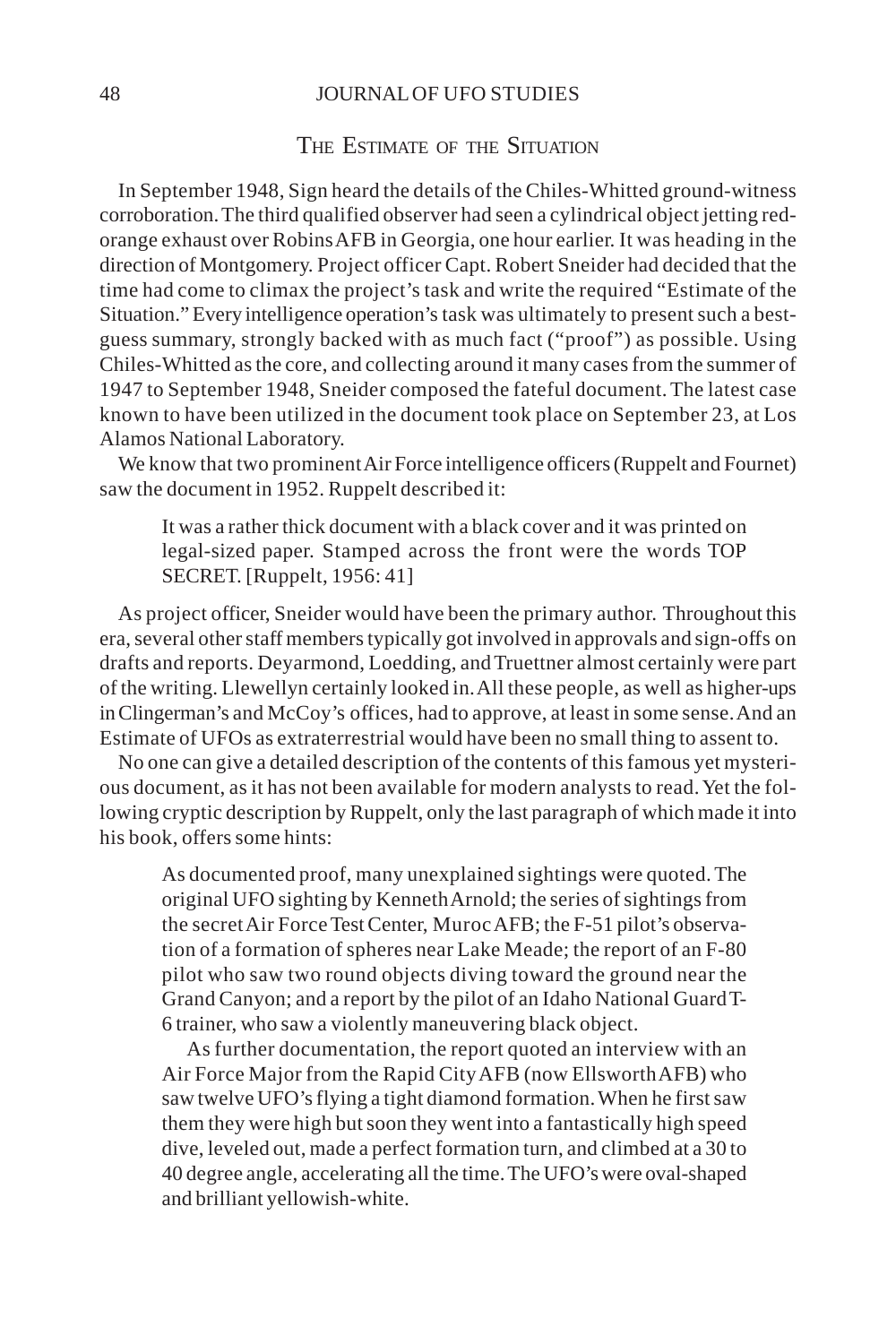#### 48 JOURNAL OF UFO STUDIES

### THE ESTIMATE OF THE SITUATION

In September 1948, Sign heard the details of the Chiles-Whitted ground-witness corroboration. The third qualified observer had seen a cylindrical object jetting redorange exhaust over Robins AFB in Georgia, one hour earlier. It was heading in the direction of Montgomery. Project officer Capt. Robert Sneider had decided that the time had come to climax the project's task and write the required "Estimate of the Situation." Every intelligence operation's task was ultimately to present such a bestguess summary, strongly backed with as much fact ("proof") as possible. Using Chiles-Whitted as the core, and collecting around it many cases from the summer of 1947 to September 1948, Sneider composed the fateful document. The latest case known to have been utilized in the document took place on September 23, at Los Alamos National Laboratory.

We know that two prominent Air Force intelligence officers (Ruppelt and Fournet) saw the document in 1952. Ruppelt described it:

It was a rather thick document with a black cover and it was printed on legal-sized paper. Stamped across the front were the words TOP SECRET. [Ruppelt, 1956: 41]

As project officer, Sneider would have been the primary author. Throughout this era, several other staff members typically got involved in approvals and sign-offs on drafts and reports. Deyarmond, Loedding, and Truettner almost certainly were part of the writing. Llewellyn certainly looked in. All these people, as well as higher-ups in Clingerman's and McCoy's offices, had to approve, at least in some sense. And an Estimate of UFOs as extraterrestrial would have been no small thing to assent to.

No one can give a detailed description of the contents of this famous yet mysterious document, as it has not been available for modern analysts to read. Yet the following cryptic description by Ruppelt, only the last paragraph of which made it into his book, offers some hints:

As documented proof, many unexplained sightings were quoted. The original UFO sighting by Kenneth Arnold; the series of sightings from the secret Air Force Test Center, Muroc AFB; the F-51 pilot's observation of a formation of spheres near Lake Meade; the report of an F-80 pilot who saw two round objects diving toward the ground near the Grand Canyon; and a report by the pilot of an Idaho National Guard T-6 trainer, who saw a violently maneuvering black object.

As further documentation, the report quoted an interview with an Air Force Major from the Rapid City AFB (now Ellsworth AFB) who saw twelve UFO's flying a tight diamond formation. When he first saw them they were high but soon they went into a fantastically high speed dive, leveled out, made a perfect formation turn, and climbed at a 30 to 40 degree angle, accelerating all the time. The UFO's were oval-shaped and brilliant yellowish-white.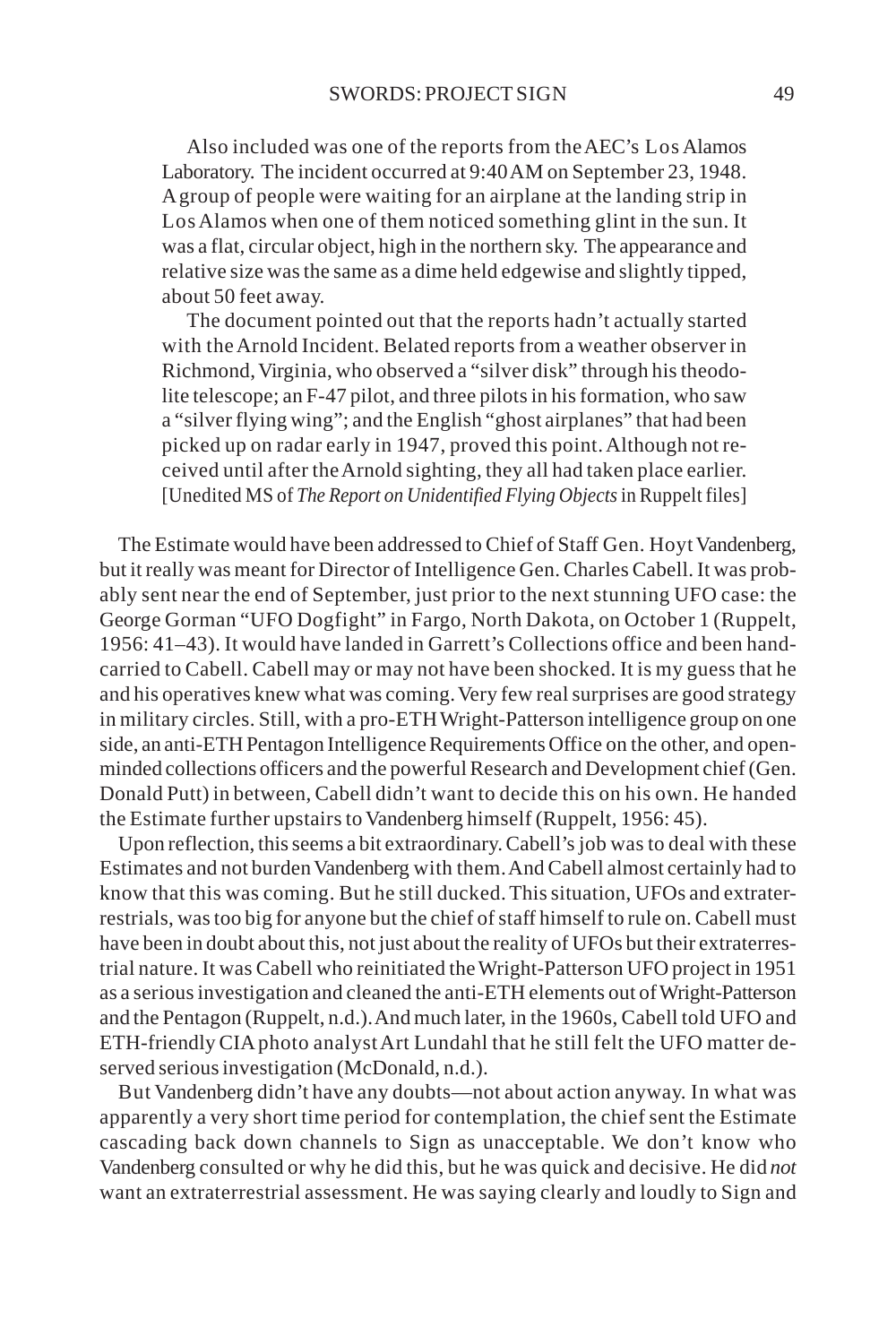Also included was one of the reports from the AEC's Los Alamos Laboratory. The incident occurred at 9:40 AM on September 23, 1948. A group of people were waiting for an airplane at the landing strip in Los Alamos when one of them noticed something glint in the sun. It was a flat, circular object, high in the northern sky. The appearance and relative size was the same as a dime held edgewise and slightly tipped, about 50 feet away.

The document pointed out that the reports hadn't actually started with the Arnold Incident. Belated reports from a weather observer in Richmond, Virginia, who observed a "silver disk" through his theodolite telescope; an F-47 pilot, and three pilots in his formation, who saw a "silver flying wing"; and the English "ghost airplanes" that had been picked up on radar early in 1947, proved this point. Although not received until after the Arnold sighting, they all had taken place earlier. [Unedited MS of *The Report on Unidentified Flying Objects* in Ruppelt files]

The Estimate would have been addressed to Chief of Staff Gen. Hoyt Vandenberg, but it really was meant for Director of Intelligence Gen. Charles Cabell. It was probably sent near the end of September, just prior to the next stunning UFO case: the George Gorman "UFO Dogfight" in Fargo, North Dakota, on October 1 (Ruppelt, 1956: 41–43). It would have landed in Garrett's Collections office and been handcarried to Cabell. Cabell may or may not have been shocked. It is my guess that he and his operatives knew what was coming. Very few real surprises are good strategy in military circles. Still, with a pro-ETH Wright-Patterson intelligence group on one side, an anti-ETH Pentagon Intelligence Requirements Office on the other, and openminded collections officers and the powerful Research and Development chief (Gen. Donald Putt) in between, Cabell didn't want to decide this on his own. He handed the Estimate further upstairs to Vandenberg himself (Ruppelt, 1956: 45).

Upon reflection, this seems a bit extraordinary. Cabell's job was to deal with these Estimates and not burden Vandenberg with them. And Cabell almost certainly had to know that this was coming. But he still ducked. This situation, UFOs and extraterrestrials, was too big for anyone but the chief of staff himself to rule on. Cabell must have been in doubt about this, not just about the reality of UFOs but their extraterrestrial nature. It was Cabell who reinitiated the Wright-Patterson UFO project in 1951 as a serious investigation and cleaned the anti-ETH elements out of Wright-Patterson and the Pentagon (Ruppelt, n.d.). And much later, in the 1960s, Cabell told UFO and ETH-friendly CIA photo analyst Art Lundahl that he still felt the UFO matter deserved serious investigation (McDonald, n.d.).

But Vandenberg didn't have any doubts—not about action anyway. In what was apparently a very short time period for contemplation, the chief sent the Estimate cascading back down channels to Sign as unacceptable. We don't know who Vandenberg consulted or why he did this, but he was quick and decisive. He did *not* want an extraterrestrial assessment. He was saying clearly and loudly to Sign and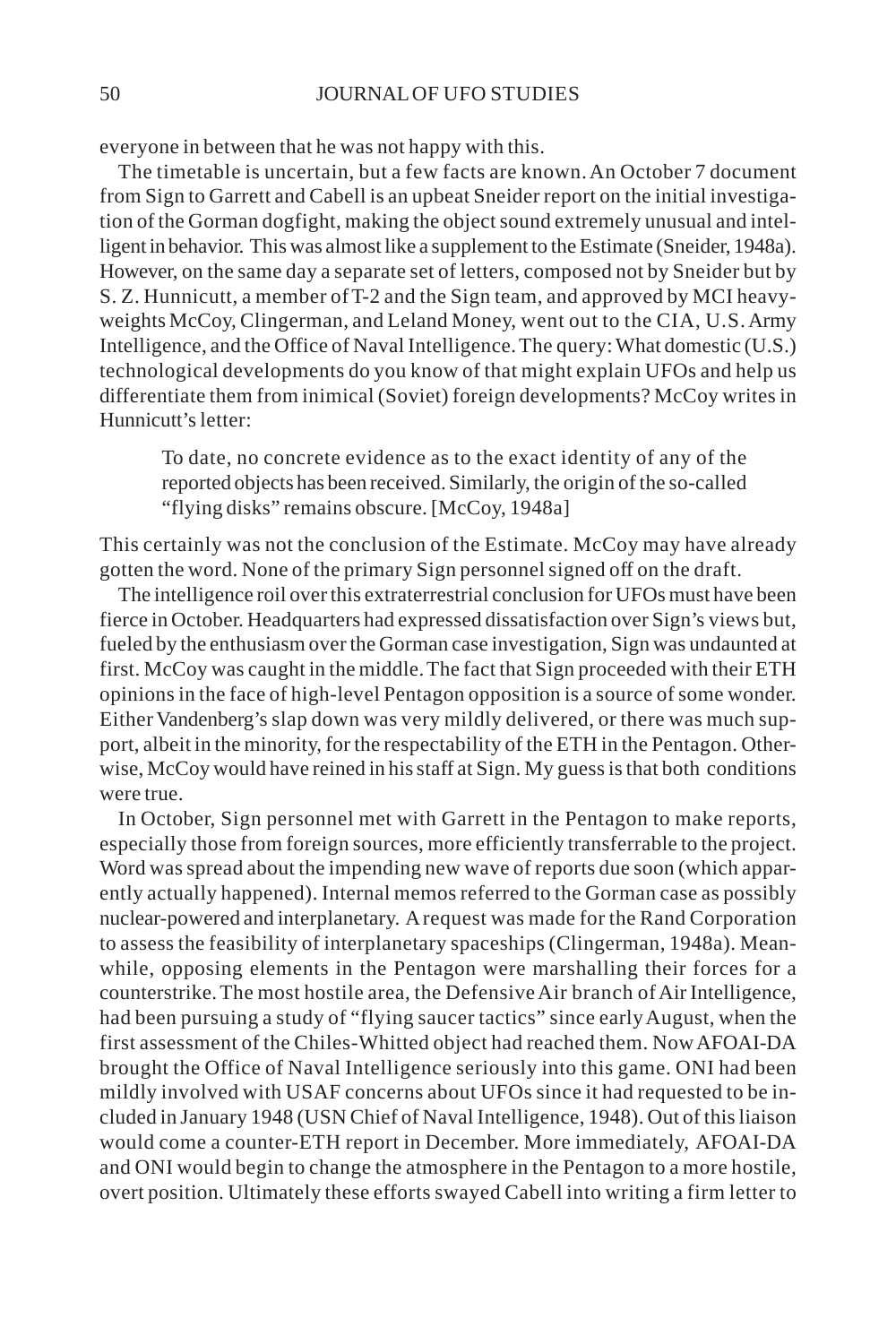everyone in between that he was not happy with this.

The timetable is uncertain, but a few facts are known. An October 7 document from Sign to Garrett and Cabell is an upbeat Sneider report on the initial investigation of the Gorman dogfight, making the object sound extremely unusual and intelligent in behavior. This was almost like a supplement to the Estimate (Sneider, 1948a). However, on the same day a separate set of letters, composed not by Sneider but by S. Z. Hunnicutt, a member of T-2 and the Sign team, and approved by MCI heavyweights McCoy, Clingerman, and Leland Money, went out to the CIA, U.S. Army Intelligence, and the Office of Naval Intelligence. The query: What domestic (U.S.) technological developments do you know of that might explain UFOs and help us differentiate them from inimical (Soviet) foreign developments? McCoy writes in Hunnicutt's letter:

To date, no concrete evidence as to the exact identity of any of the reported objects has been received. Similarly, the origin of the so-called "flying disks" remains obscure. [McCoy, 1948a]

This certainly was not the conclusion of the Estimate. McCoy may have already gotten the word. None of the primary Sign personnel signed off on the draft.

The intelligence roil over this extraterrestrial conclusion for UFOs must have been fierce in October. Headquarters had expressed dissatisfaction over Sign's views but, fueled by the enthusiasm over the Gorman case investigation, Sign was undaunted at first. McCoy was caught in the middle. The fact that Sign proceeded with their ETH opinions in the face of high-level Pentagon opposition is a source of some wonder. Either Vandenberg's slap down was very mildly delivered, or there was much support, albeit in the minority, for the respectability of the ETH in the Pentagon. Otherwise, McCoy would have reined in his staff at Sign. My guess is that both conditions were true.

In October, Sign personnel met with Garrett in the Pentagon to make reports, especially those from foreign sources, more efficiently transferrable to the project. Word was spread about the impending new wave of reports due soon (which apparently actually happened). Internal memos referred to the Gorman case as possibly nuclear-powered and interplanetary. A request was made for the Rand Corporation to assess the feasibility of interplanetary spaceships (Clingerman, 1948a). Meanwhile, opposing elements in the Pentagon were marshalling their forces for a counterstrike. The most hostile area, the Defensive Air branch of Air Intelligence, had been pursuing a study of "flying saucer tactics" since early August, when the first assessment of the Chiles-Whitted object had reached them. Now AFOAI-DA brought the Office of Naval Intelligence seriously into this game. ONI had been mildly involved with USAF concerns about UFOs since it had requested to be included in January 1948 (USN Chief of Naval Intelligence, 1948). Out of this liaison would come a counter-ETH report in December. More immediately, AFOAI-DA and ONI would begin to change the atmosphere in the Pentagon to a more hostile, overt position. Ultimately these efforts swayed Cabell into writing a firm letter to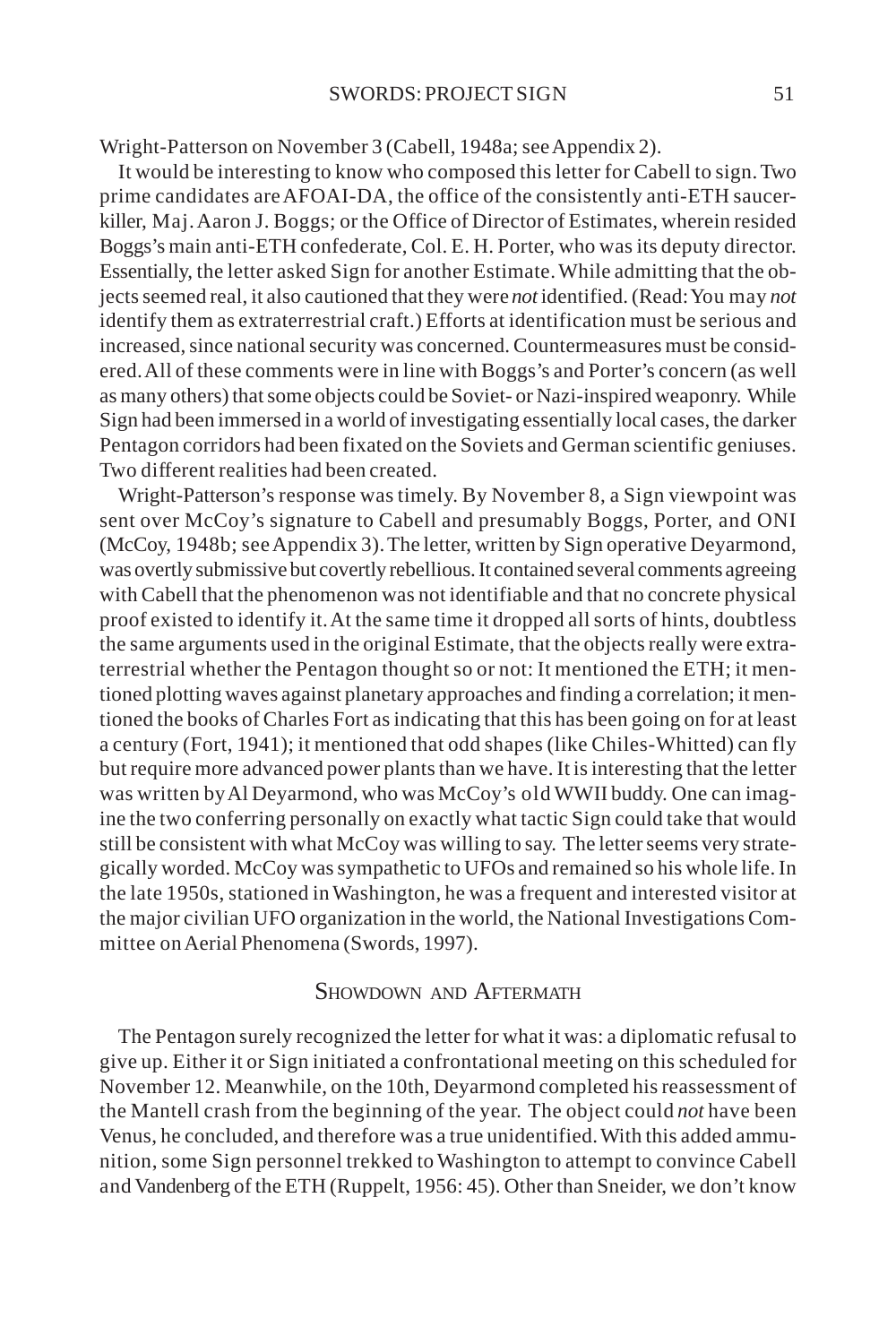Wright-Patterson on November 3 (Cabell, 1948a; see Appendix 2).

It would be interesting to know who composed this letter for Cabell to sign. Two prime candidates are AFOAI-DA, the office of the consistently anti-ETH saucerkiller, Maj. Aaron J. Boggs; or the Office of Director of Estimates, wherein resided Boggs's main anti-ETH confederate, Col. E. H. Porter, who was its deputy director. Essentially, the letter asked Sign for another Estimate. While admitting that the objects seemed real, it also cautioned that they were *not* identified. (Read: You may *not* identify them as extraterrestrial craft.) Efforts at identification must be serious and increased, since national security was concerned. Countermeasures must be considered. All of these comments were in line with Boggs's and Porter's concern (as well as many others) that some objects could be Soviet- or Nazi-inspired weaponry. While Sign had been immersed in a world of investigating essentially local cases, the darker Pentagon corridors had been fixated on the Soviets and German scientific geniuses. Two different realities had been created.

Wright-Patterson's response was timely. By November 8, a Sign viewpoint was sent over McCoy's signature to Cabell and presumably Boggs, Porter, and ONI (McCoy, 1948b; see Appendix 3). The letter, written by Sign operative Deyarmond, was overtly submissive but covertly rebellious. It contained several comments agreeing with Cabell that the phenomenon was not identifiable and that no concrete physical proof existed to identify it. At the same time it dropped all sorts of hints, doubtless the same arguments used in the original Estimate, that the objects really were extraterrestrial whether the Pentagon thought so or not: It mentioned the ETH; it mentioned plotting waves against planetary approaches and finding a correlation; it mentioned the books of Charles Fort as indicating that this has been going on for at least a century (Fort, 1941); it mentioned that odd shapes (like Chiles-Whitted) can fly but require more advanced power plants than we have. It is interesting that the letter was written by Al Deyarmond, who was McCoy's old WWII buddy. One can imagine the two conferring personally on exactly what tactic Sign could take that would still be consistent with what McCoy was willing to say. The letter seems very strategically worded. McCoy was sympathetic to UFOs and remained so his whole life. In the late 1950s, stationed in Washington, he was a frequent and interested visitor at the major civilian UFO organization in the world, the National Investigations Committee on Aerial Phenomena (Swords, 1997).

### SHOWDOWN AND AFTERMATH

The Pentagon surely recognized the letter for what it was: a diplomatic refusal to give up. Either it or Sign initiated a confrontational meeting on this scheduled for November 12. Meanwhile, on the 10th, Deyarmond completed his reassessment of the Mantell crash from the beginning of the year. The object could *not* have been Venus, he concluded, and therefore was a true unidentified. With this added ammunition, some Sign personnel trekked to Washington to attempt to convince Cabell and Vandenberg of the ETH (Ruppelt, 1956: 45). Other than Sneider, we don't know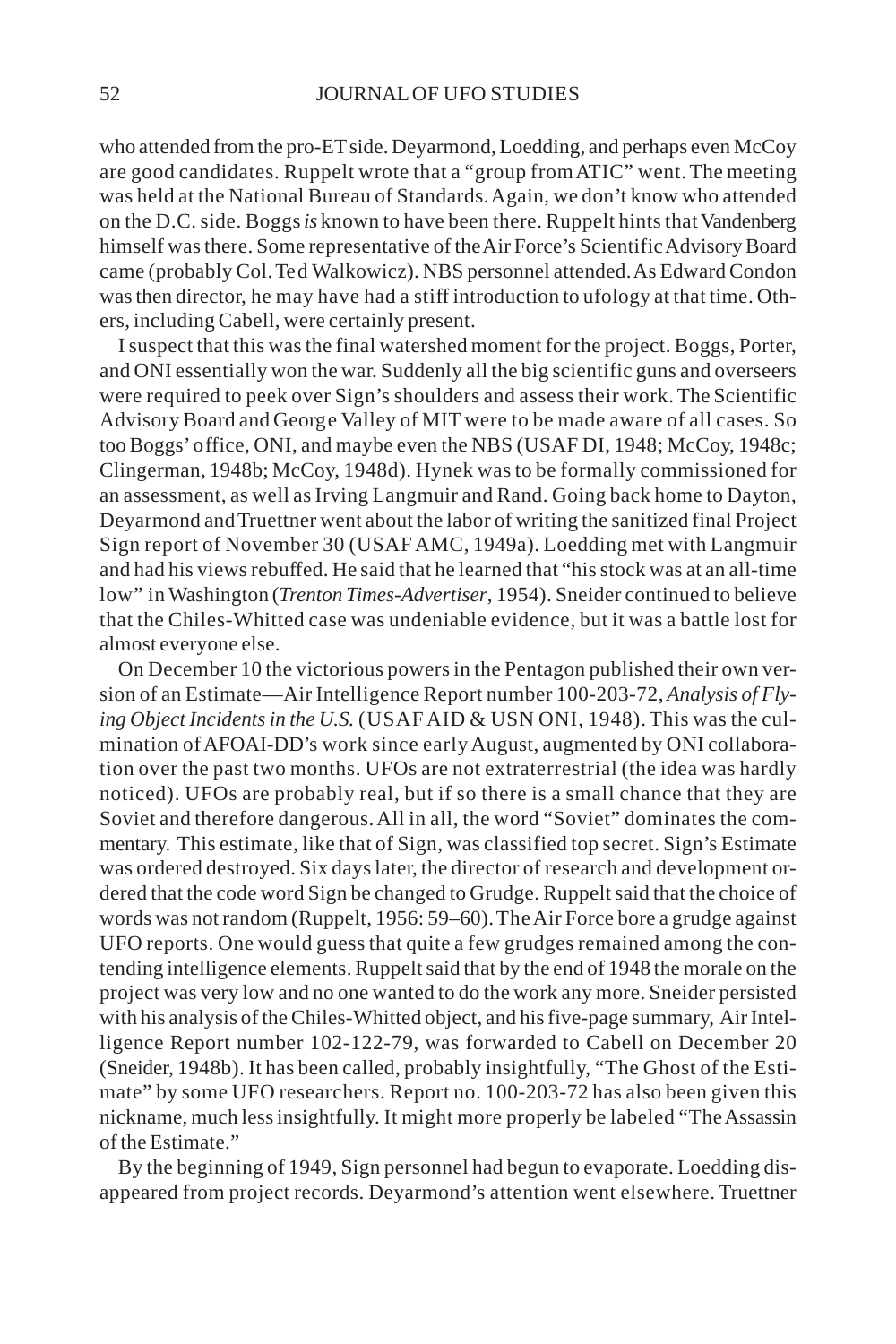who attended from the pro-ET side. Deyarmond, Loedding, and perhaps even McCoy are good candidates. Ruppelt wrote that a "group from ATIC" went. The meeting was held at the National Bureau of Standards. Again, we don't know who attended on the D.C. side. Boggs *is* known to have been there. Ruppelt hints that Vandenberg himself was there. Some representative of the Air Force's Scientific Advisory Board came (probably Col. Ted Walkowicz). NBS personnel attended. As Edward Condon was then director, he may have had a stiff introduction to ufology at that time. Others, including Cabell, were certainly present.

I suspect that this was the final watershed moment for the project. Boggs, Porter, and ONI essentially won the war. Suddenly all the big scientific guns and overseers were required to peek over Sign's shoulders and assess their work. The Scientific Advisory Board and George Valley of MIT were to be made aware of all cases. So too Boggs' office, ONI, and maybe even the NBS (USAF DI, 1948; McCoy, 1948c; Clingerman, 1948b; McCoy, 1948d). Hynek was to be formally commissioned for an assessment, as well as Irving Langmuir and Rand. Going back home to Dayton, Deyarmond and Truettner went about the labor of writing the sanitized final Project Sign report of November 30 (USAF AMC, 1949a). Loedding met with Langmuir and had his views rebuffed. He said that he learned that "his stock was at an all-time low" in Washington (*Trenton Times-Advertiser*, 1954). Sneider continued to believe that the Chiles-Whitted case was undeniable evidence, but it was a battle lost for almost everyone else.

On December 10 the victorious powers in the Pentagon published their own version of an Estimate—Air Intelligence Report number 100-203-72, *Analysis of Flying Object Incidents in the U.S.* (USAF AID & USN ONI, 1948). This was the culmination of AFOAI-DD's work since early August, augmented by ONI collaboration over the past two months. UFOs are not extraterrestrial (the idea was hardly noticed). UFOs are probably real, but if so there is a small chance that they are Soviet and therefore dangerous. All in all, the word "Soviet" dominates the commentary. This estimate, like that of Sign, was classified top secret. Sign's Estimate was ordered destroyed. Six days later, the director of research and development ordered that the code word Sign be changed to Grudge. Ruppelt said that the choice of words was not random (Ruppelt, 1956: 59–60). The Air Force bore a grudge against UFO reports. One would guess that quite a few grudges remained among the contending intelligence elements. Ruppelt said that by the end of 1948 the morale on the project was very low and no one wanted to do the work any more. Sneider persisted with his analysis of the Chiles-Whitted object, and his five-page summary, Air Intelligence Report number 102-122-79, was forwarded to Cabell on December 20 (Sneider, 1948b). It has been called, probably insightfully, "The Ghost of the Estimate" by some UFO researchers. Report no. 100-203-72 has also been given this nickname, much less insightfully. It might more properly be labeled "The Assassin of the Estimate."

By the beginning of 1949, Sign personnel had begun to evaporate. Loedding disappeared from project records. Deyarmond's attention went elsewhere. Truettner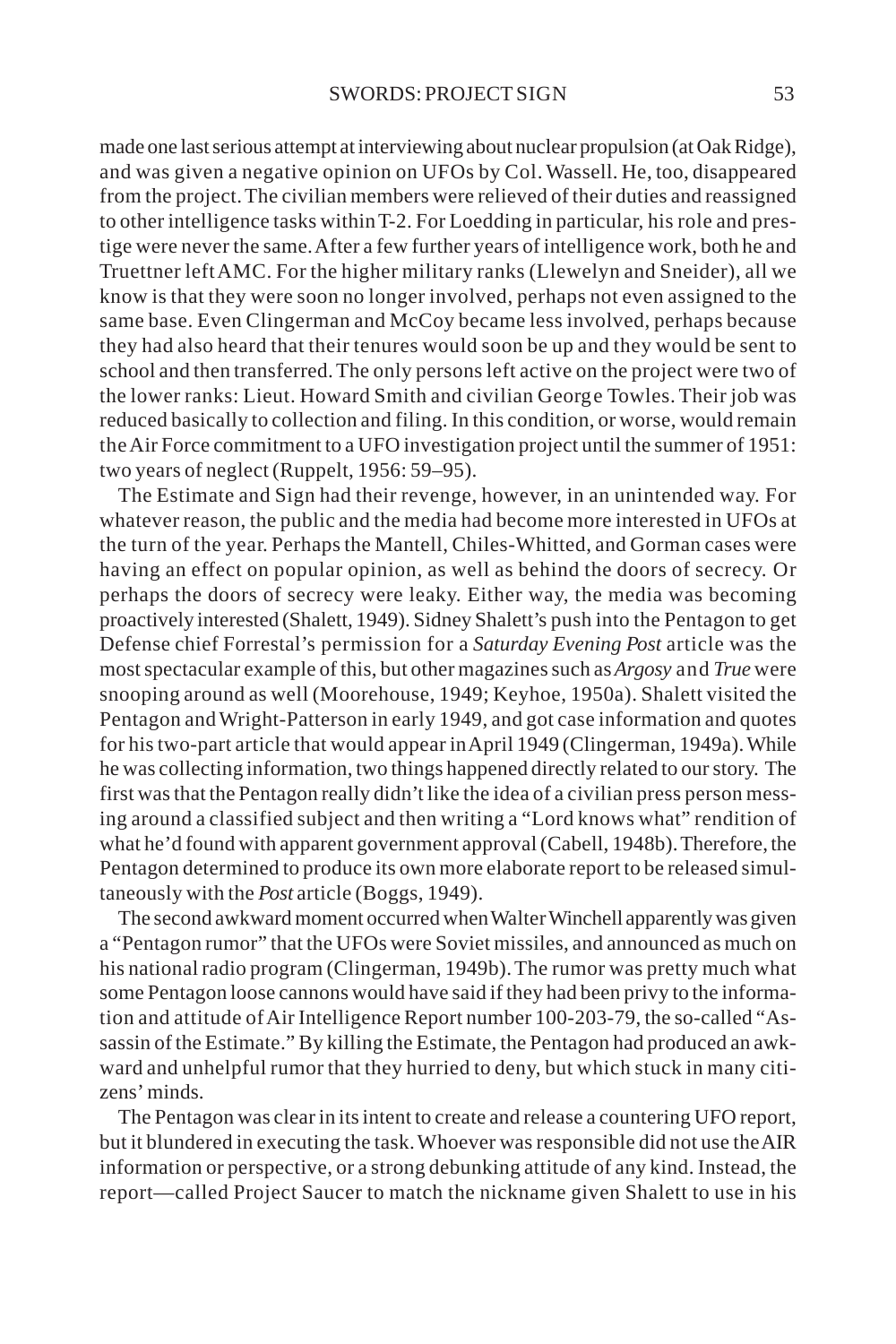made one last serious attempt at interviewing about nuclear propulsion (at Oak Ridge), and was given a negative opinion on UFOs by Col. Wassell. He, too, disappeared from the project. The civilian members were relieved of their duties and reassigned to other intelligence tasks within T-2. For Loedding in particular, his role and prestige were never the same. After a few further years of intelligence work, both he and Truettner left AMC. For the higher military ranks (Llewelyn and Sneider), all we know is that they were soon no longer involved, perhaps not even assigned to the same base. Even Clingerman and McCoy became less involved, perhaps because they had also heard that their tenures would soon be up and they would be sent to school and then transferred. The only persons left active on the project were two of the lower ranks: Lieut. Howard Smith and civilian George Towles. Their job was reduced basically to collection and filing. In this condition, or worse, would remain the Air Force commitment to a UFO investigation project until the summer of 1951: two years of neglect (Ruppelt, 1956: 59–95).

The Estimate and Sign had their revenge, however, in an unintended way. For whatever reason, the public and the media had become more interested in UFOs at the turn of the year. Perhaps the Mantell, Chiles-Whitted, and Gorman cases were having an effect on popular opinion, as well as behind the doors of secrecy. Or perhaps the doors of secrecy were leaky. Either way, the media was becoming proactively interested (Shalett, 1949). Sidney Shalett's push into the Pentagon to get Defense chief Forrestal's permission for a *Saturday Evening Post* article was the most spectacular example of this, but other magazines such as *Argosy* and *True* were snooping around as well (Moorehouse, 1949; Keyhoe, 1950a). Shalett visited the Pentagon and Wright-Patterson in early 1949, and got case information and quotes for his two-part article that would appear in April 1949 (Clingerman, 1949a). While he was collecting information, two things happened directly related to our story. The first was that the Pentagon really didn't like the idea of a civilian press person messing around a classified subject and then writing a "Lord knows what" rendition of what he'd found with apparent government approval (Cabell, 1948b). Therefore, the Pentagon determined to produce its own more elaborate report to be released simultaneously with the *Post* article (Boggs, 1949).

The second awkward moment occurred when Walter Winchell apparently was given a "Pentagon rumor" that the UFOs were Soviet missiles, and announced as much on his national radio program (Clingerman, 1949b). The rumor was pretty much what some Pentagon loose cannons would have said if they had been privy to the information and attitude of Air Intelligence Report number 100-203-79, the so-called "Assassin of the Estimate." By killing the Estimate, the Pentagon had produced an awkward and unhelpful rumor that they hurried to deny, but which stuck in many citizens' minds.

The Pentagon was clear in its intent to create and release a countering UFO report, but it blundered in executing the task. Whoever was responsible did not use the AIR information or perspective, or a strong debunking attitude of any kind. Instead, the report—called Project Saucer to match the nickname given Shalett to use in his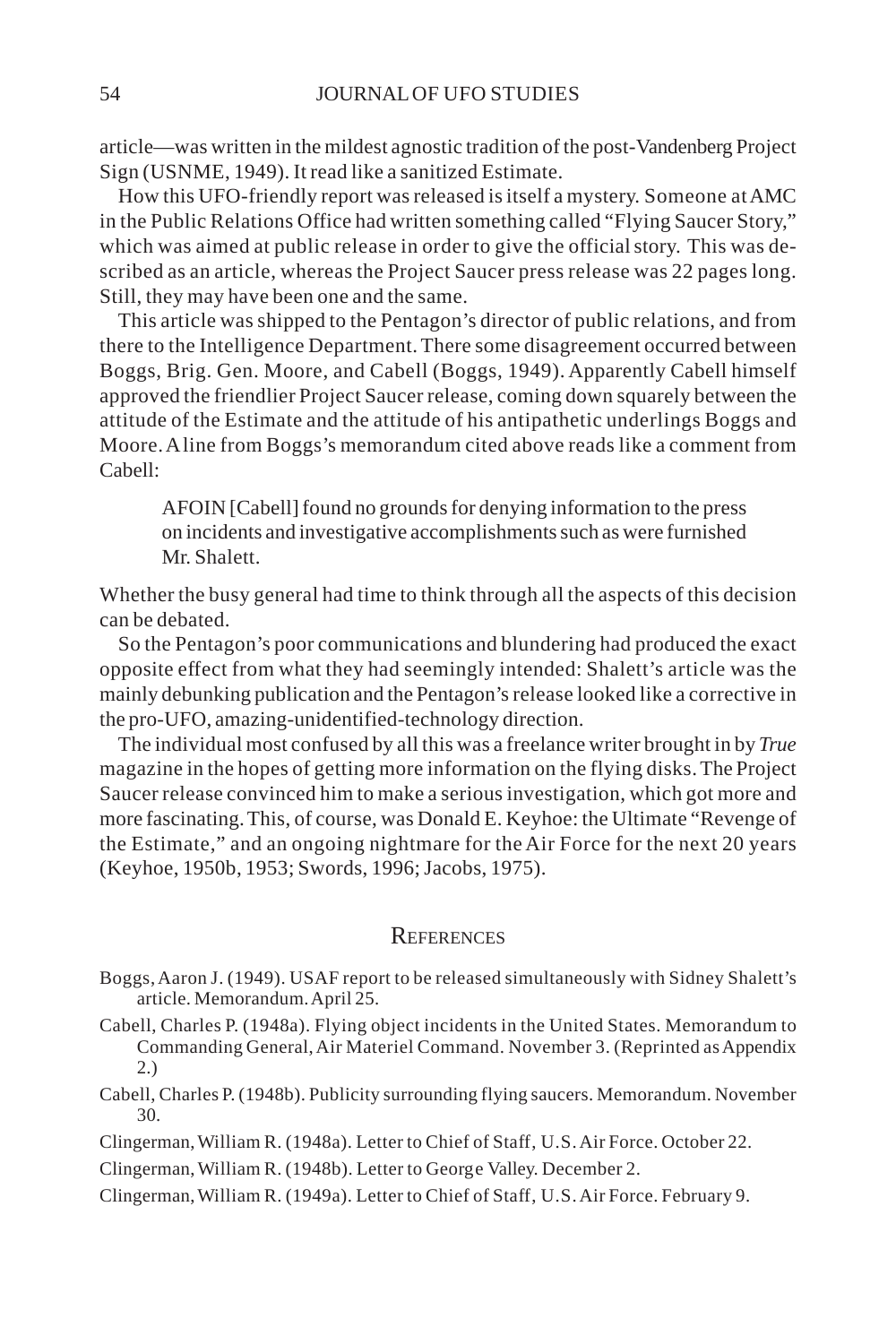article—was written in the mildest agnostic tradition of the post-Vandenberg Project Sign (USNME, 1949). It read like a sanitized Estimate.

How this UFO-friendly report was released is itself a mystery. Someone at AMC in the Public Relations Office had written something called "Flying Saucer Story," which was aimed at public release in order to give the official story. This was described as an article, whereas the Project Saucer press release was 22 pages long. Still, they may have been one and the same.

This article was shipped to the Pentagon's director of public relations, and from there to the Intelligence Department. There some disagreement occurred between Boggs, Brig. Gen. Moore, and Cabell (Boggs, 1949). Apparently Cabell himself approved the friendlier Project Saucer release, coming down squarely between the attitude of the Estimate and the attitude of his antipathetic underlings Boggs and Moore. A line from Boggs's memorandum cited above reads like a comment from Cabell:

AFOIN [Cabell] found no grounds for denying information to the press on incidents and investigative accomplishments such as were furnished Mr. Shalett.

Whether the busy general had time to think through all the aspects of this decision can be debated.

So the Pentagon's poor communications and blundering had produced the exact opposite effect from what they had seemingly intended: Shalett's article was the mainly debunking publication and the Pentagon's release looked like a corrective in the pro-UFO, amazing-unidentified-technology direction.

The individual most confused by all this was a freelance writer brought in by *True* magazine in the hopes of getting more information on the flying disks. The Project Saucer release convinced him to make a serious investigation, which got more and more fascinating. This, of course, was Donald E. Keyhoe: the Ultimate "Revenge of the Estimate," and an ongoing nightmare for the Air Force for the next 20 years (Keyhoe, 1950b, 1953; Swords, 1996; Jacobs, 1975).

### **REFERENCES**

- Boggs, Aaron J. (1949). USAF report to be released simultaneously with Sidney Shalett's article. Memorandum. April 25.
- Cabell, Charles P. (1948a). Flying object incidents in the United States. Memorandum to Commanding General, Air Materiel Command. November 3. (Reprinted as Appendix 2.)
- Cabell, Charles P. (1948b). Publicity surrounding flying saucers. Memorandum. November 30.

Clingerman, William R. (1948a). Letter to Chief of Staff, U.S. Air Force. October 22.

Clingerman, William R. (1948b). Letter to George Valley. December 2.

Clingerman, William R. (1949a). Letter to Chief of Staff, U.S. Air Force. February 9.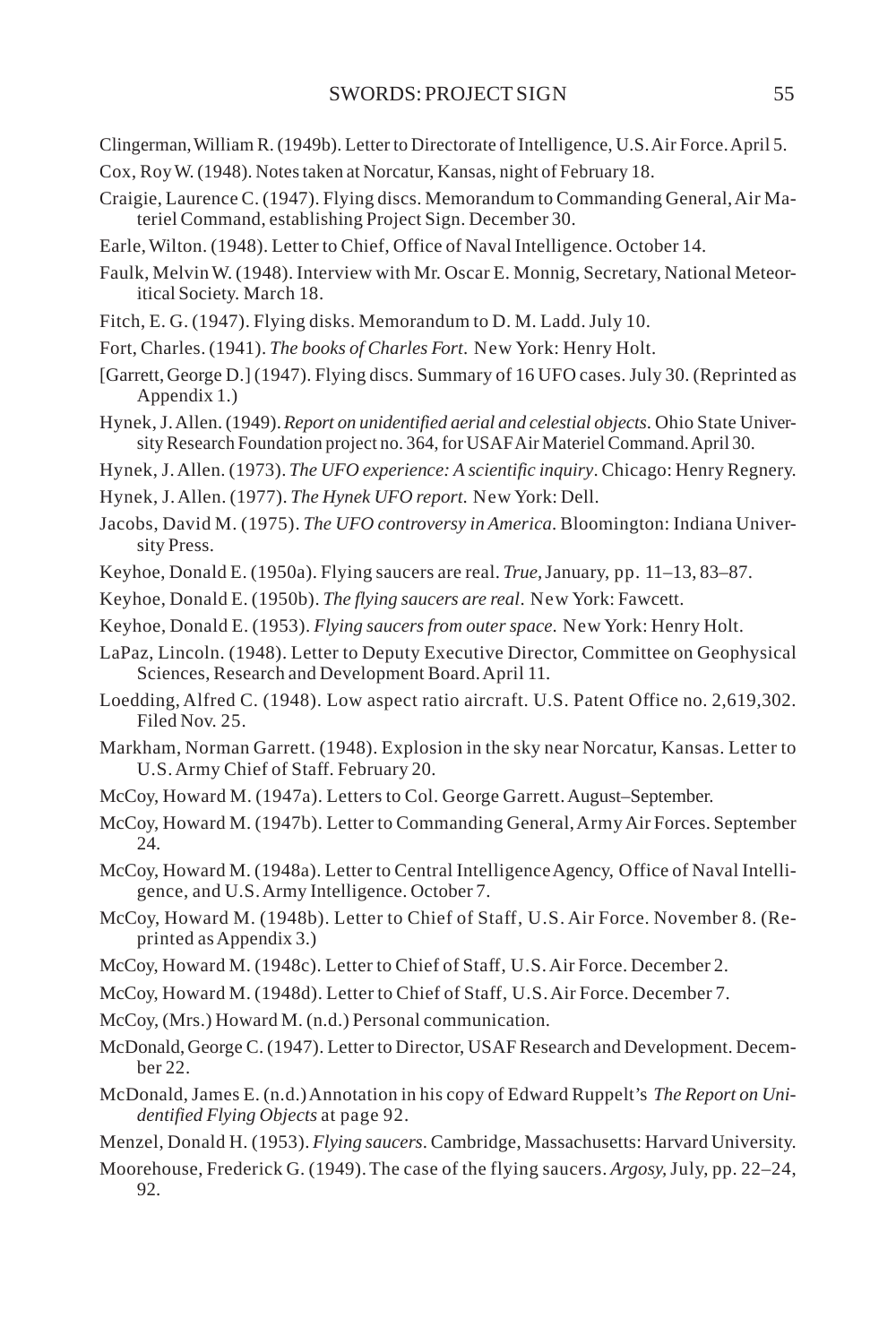- Clingerman, William R. (1949b). Letter to Directorate of Intelligence, U.S. Air Force. April 5.
- Cox, Roy W. (1948). Notes taken at Norcatur, Kansas, night of February 18.
- Craigie, Laurence C. (1947). Flying discs. Memorandum to Commanding General, Air Materiel Command, establishing Project Sign. December 30.
- Earle, Wilton. (1948). Letter to Chief, Office of Naval Intelligence. October 14.
- Faulk, Melvin W. (1948). Interview with Mr. Oscar E. Monnig, Secretary, National Meteoritical Society. March 18.
- Fitch, E. G. (1947). Flying disks. Memorandum to D. M. Ladd. July 10.
- Fort, Charles. (1941). *The books of Charles Fort*. New York: Henry Holt.
- [Garrett, George D.] (1947). Flying discs. Summary of 16 UFO cases. July 30. (Reprinted as Appendix 1.)
- Hynek, J. Allen. (1949). *Report on unidentified aerial and celestial objects*. Ohio State University Research Foundation project no. 364, for USAF Air Materiel Command. April 30.
- Hynek, J. Allen. (1973). *The UFO experience: A scientific inquiry*. Chicago: Henry Regnery.
- Hynek, J. Allen. (1977). *The Hynek UFO report*. New York: Dell.
- Jacobs, David M. (1975). *The UFO controversy in America*. Bloomington: Indiana University Press.
- Keyhoe, Donald E. (1950a). Flying saucers are real. *True,* January, pp. 11–13, 83–87.
- Keyhoe, Donald E. (1950b). *The flying saucers are real*. New York: Fawcett.
- Keyhoe, Donald E. (1953). *Flying saucers from outer space*. New York: Henry Holt.
- LaPaz, Lincoln. (1948). Letter to Deputy Executive Director, Committee on Geophysical Sciences, Research and Development Board. April 11.
- Loedding, Alfred C. (1948). Low aspect ratio aircraft. U.S. Patent Office no. 2,619,302. Filed Nov. 25.
- Markham, Norman Garrett. (1948). Explosion in the sky near Norcatur, Kansas. Letter to U.S. Army Chief of Staff. February 20.
- McCoy, Howard M. (1947a). Letters to Col. George Garrett. August–September.
- McCoy, Howard M. (1947b). Letter to Commanding General, Army Air Forces. September 24.
- McCoy, Howard M. (1948a). Letter to Central Intelligence Agency, Office of Naval Intelligence, and U.S. Army Intelligence. October 7.
- McCoy, Howard M. (1948b). Letter to Chief of Staff, U.S. Air Force. November 8. (Reprinted as Appendix 3.)
- McCoy, Howard M. (1948c). Letter to Chief of Staff, U.S. Air Force. December 2.
- McCoy, Howard M. (1948d). Letter to Chief of Staff, U.S. Air Force. December 7.
- McCoy, (Mrs.) Howard M. (n.d.) Personal communication.
- McDonald, George C. (1947). Letter to Director, USAF Research and Development. December 22.
- McDonald, James E. (n.d.) Annotation in his copy of Edward Ruppelt's *The Report on Unidentified Flying Objects* at page 92.
- Menzel, Donald H. (1953). *Flying saucers*. Cambridge, Massachusetts: Harvard University.
- Moorehouse, Frederick G. (1949). The case of the flying saucers. *Argosy,* July, pp. 22–24, 92.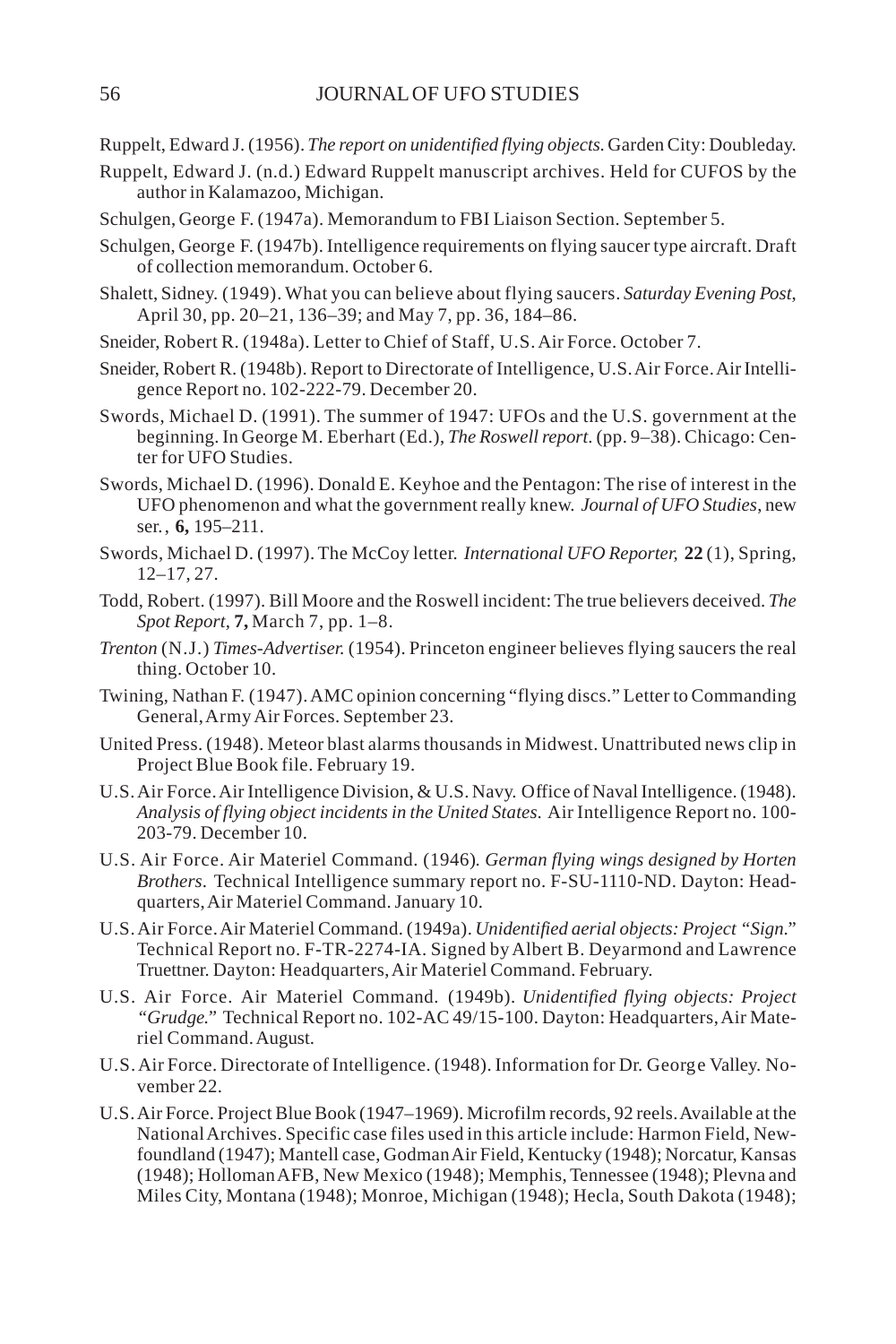Ruppelt, Edward J. (1956). *The report on unidentified flying objects*. Garden City: Doubleday.

- Ruppelt, Edward J. (n.d.) Edward Ruppelt manuscript archives. Held for CUFOS by the author in Kalamazoo, Michigan.
- Schulgen, George F. (1947a). Memorandum to FBI Liaison Section. September 5.
- Schulgen, George F. (1947b). Intelligence requirements on flying saucer type aircraft. Draft of collection memorandum. October 6.
- Shalett, Sidney. (1949). What you can believe about flying saucers. *Saturday Evening Post*, April 30, pp. 20–21, 136–39; and May 7, pp. 36, 184–86.
- Sneider, Robert R. (1948a). Letter to Chief of Staff, U.S. Air Force. October 7.
- Sneider, Robert R. (1948b). Report to Directorate of Intelligence, U.S. Air Force. Air Intelligence Report no. 102-222-79. December 20.
- Swords, Michael D. (1991). The summer of 1947: UFOs and the U.S. government at the beginning. In George M. Eberhart (Ed.), *The Roswell report*. (pp. 9–38). Chicago: Center for UFO Studies.
- Swords, Michael D. (1996). Donald E. Keyhoe and the Pentagon: The rise of interest in the UFO phenomenon and what the government really knew. *Journal of UFO Studies*, new ser., **6,** 195–211.
- Swords, Michael D. (1997). The McCoy letter. *International UFO Reporter,* **22** (1), Spring, 12–17, 27.
- Todd, Robert. (1997). Bill Moore and the Roswell incident: The true believers deceived. *The Spot Report,* **7,** March 7, pp. 1–8.
- *Trenton* (N.J.) *Times-Advertiser.* (1954). Princeton engineer believes flying saucers the real thing. October 10.
- Twining, Nathan F. (1947). AMC opinion concerning "flying discs." Letter to Commanding General, Army Air Forces. September 23.
- United Press. (1948). Meteor blast alarms thousands in Midwest. Unattributed news clip in Project Blue Book file. February 19.
- U.S. Air Force. Air Intelligence Division, & U.S. Navy. Office of Naval Intelligence. (1948). *Analysis of flying object incidents in the United States*. Air Intelligence Report no. 100- 203-79. December 10.
- U.S. Air Force. Air Materiel Command. (1946)*. German flying wings designed by Horten Brothers*. Technical Intelligence summary report no. F-SU-1110-ND. Dayton: Headquarters, Air Materiel Command. January 10.
- U.S. Air Force. Air Materiel Command. (1949a). *Unidentified aerial objects: Project "Sign*." Technical Report no. F-TR-2274-IA. Signed by Albert B. Deyarmond and Lawrence Truettner. Dayton: Headquarters, Air Materiel Command. February.
- U.S. Air Force. Air Materiel Command. (1949b). *Unidentified flying objects: Project "Grudge."* Technical Report no. 102-AC 49/15-100. Dayton: Headquarters, Air Materiel Command. August.
- U.S. Air Force. Directorate of Intelligence. (1948). Information for Dr. George Valley. November 22.
- U.S. Air Force. Project Blue Book (1947–1969). Microfilm records, 92 reels. Available at the National Archives. Specific case files used in this article include: Harmon Field, Newfoundland (1947); Mantell case, Godman Air Field, Kentucky (1948); Norcatur, Kansas (1948); Holloman AFB, New Mexico (1948); Memphis, Tennessee (1948); Plevna and Miles City, Montana (1948); Monroe, Michigan (1948); Hecla, South Dakota (1948);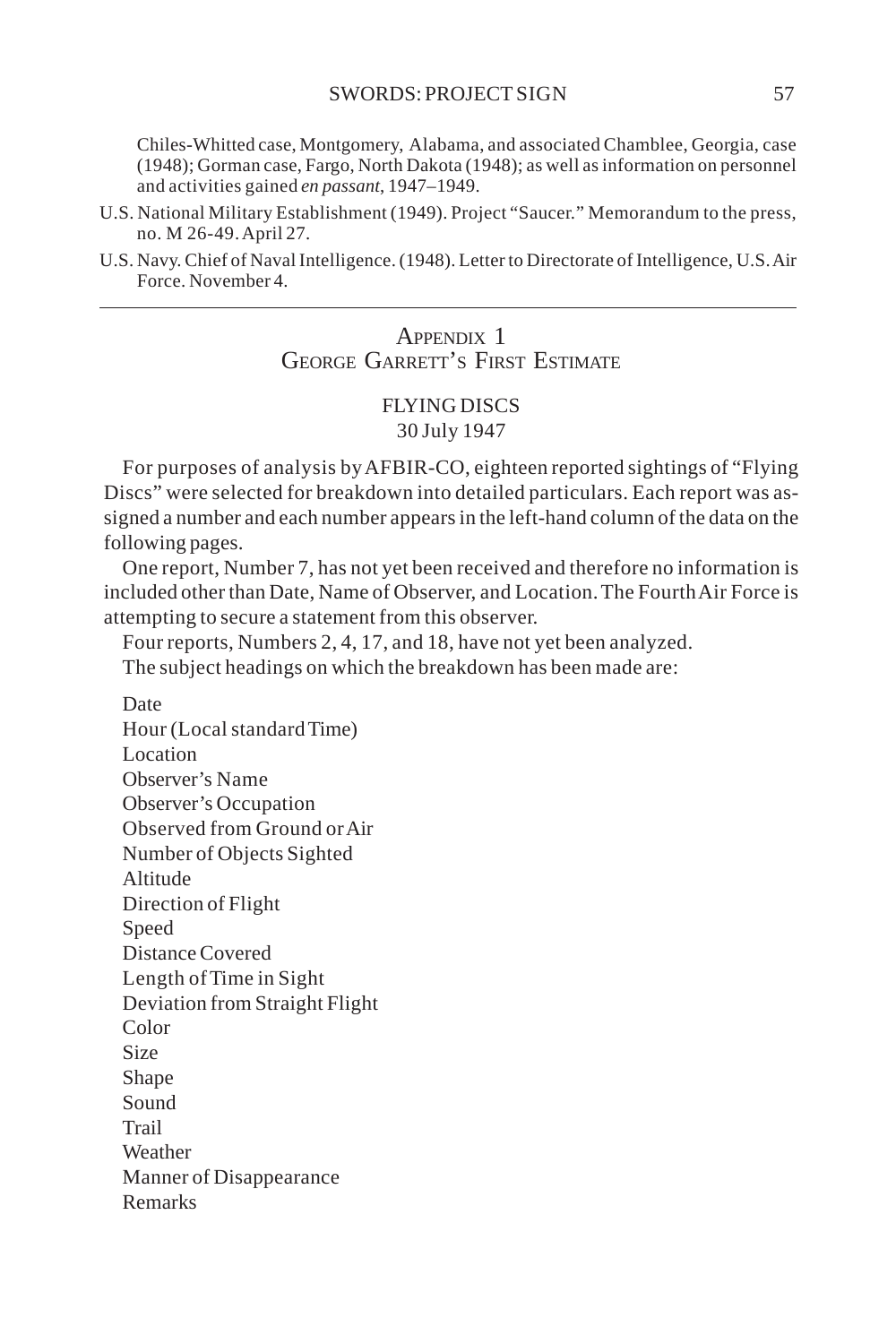Chiles-Whitted case, Montgomery, Alabama, and associated Chamblee, Georgia, case (1948); Gorman case, Fargo, North Dakota (1948); as well as information on personnel and activities gained *en passant*, 1947–1949.

- U.S. National Military Establishment (1949). Project "Saucer." Memorandum to the press, no. M 26-49. April 27.
- U.S. Navy. Chief of Naval Intelligence. (1948). Letter to Directorate of Intelligence, U.S. Air Force. November 4.

# APPENDIX 1 GEORGE GARRETT'S FIRST ESTIMATE

### FLYING DISCS 30 July 1947

For purposes of analysis by AFBIR-CO, eighteen reported sightings of "Flying Discs" were selected for breakdown into detailed particulars. Each report was assigned a number and each number appears in the left-hand column of the data on the following pages.

One report, Number 7, has not yet been received and therefore no information is included other than Date, Name of Observer, and Location. The Fourth Air Force is attempting to secure a statement from this observer.

Four reports, Numbers 2, 4, 17, and 18, have not yet been analyzed. The subject headings on which the breakdown has been made are:

Date Hour (Local standard Time) Location Observer's Name Observer's Occupation Observed from Ground or Air Number of Objects Sighted Altitude Direction of Flight **Speed** Distance Covered Length of Time in Sight Deviation from Straight Flight Color Size Shape Sound Trail Weather Manner of Disappearance Remarks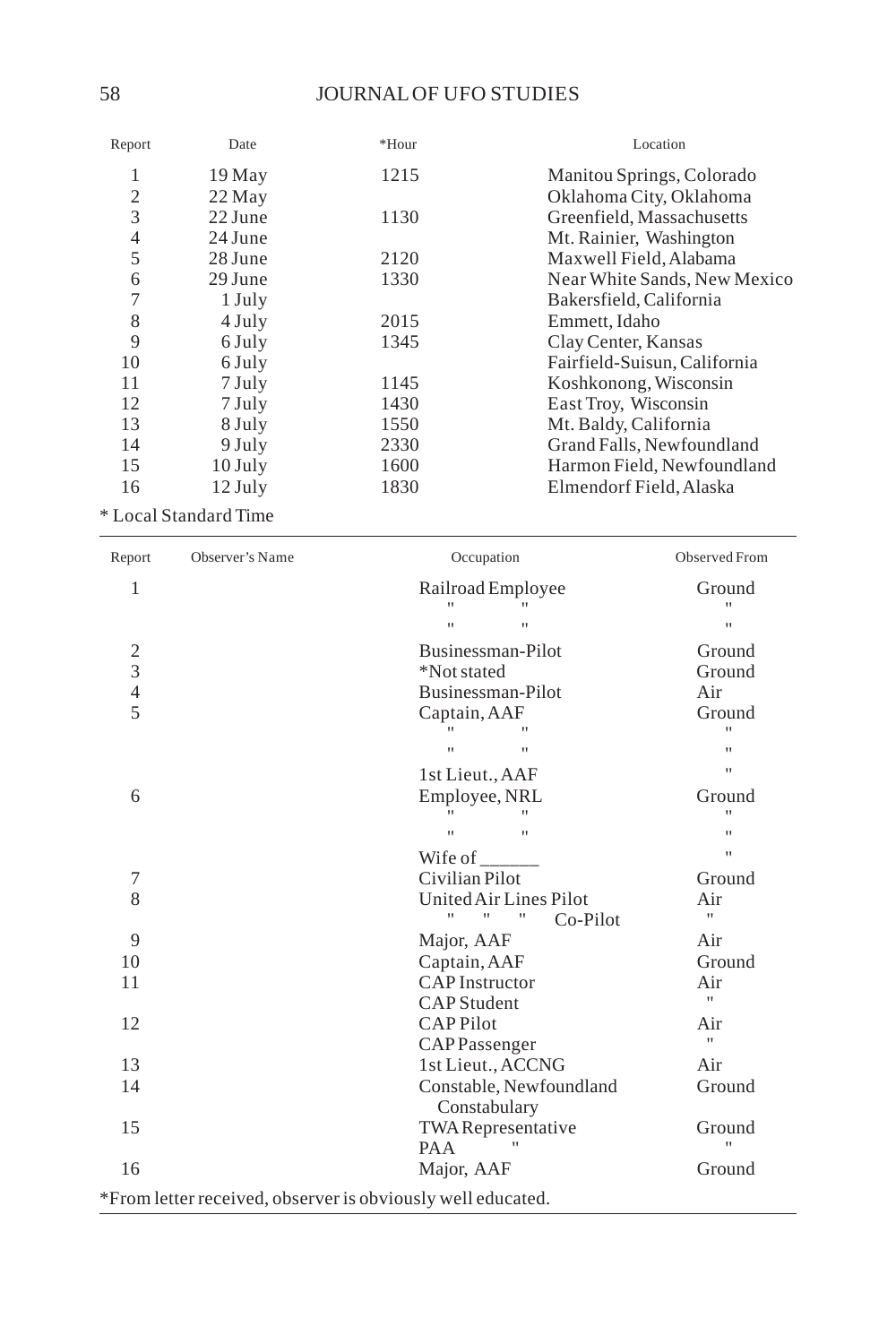| Report         | Date      | $*$ Hour | Location                     |
|----------------|-----------|----------|------------------------------|
| 1              | 19 May    | 1215     | Manitou Springs, Colorado    |
| $\overline{2}$ | 22 May    |          | Oklahoma City, Oklahoma      |
| 3              | 22 June   | 1130     | Greenfield, Massachusetts    |
| $\overline{4}$ | 24 June   |          | Mt. Rainier, Washington      |
| 5              | 28 June   | 2120     | Maxwell Field, Alabama       |
| 6              | 29 June   | 1330     | Near White Sands, New Mexico |
| 7              | 1 July    |          | Bakersfield, California      |
| 8              | 4 July    | 2015     | Emmett, Idaho                |
| 9              | 6 July    | 1345     | Clay Center, Kansas          |
| 10             | 6 July    |          | Fairfield-Suisun, California |
| 11             | 7 July    | 1145     | Koshkonong, Wisconsin        |
| 12             | 7 July    | 1430     | East Troy, Wisconsin         |
| 13             | 8 July    | 1550     | Mt. Baldy, California        |
| 14             | 9 July    | 2330     | Grand Falls, Newfoundland    |
| 15             | $10$ July | 1600     | Harmon Field, Newfoundland   |
| 16             | $12$ July | 1830     | Elmendorf Field, Alaska      |
|                |           |          |                              |

\* Local Standard Time

| 1                                                           | Railroad Employee<br>$^{\dagger}$                       | Ground<br>$\mathbf{H}$ |
|-------------------------------------------------------------|---------------------------------------------------------|------------------------|
|                                                             | $^{\dagger}$<br>$\mathbf{H}$                            | $\mathbf{H}$           |
| 2                                                           | Businessman-Pilot                                       | Ground                 |
| 3                                                           | *Not stated                                             | Ground                 |
| $\overline{4}$                                              | Businessman-Pilot                                       | Air                    |
| 5                                                           | Captain, AAF                                            | Ground                 |
|                                                             | $\mathbf{H}$                                            | $\mathbf{H}$           |
|                                                             | $\mathbf{u}$<br>$\mathbf{u}$                            | $\mathbf{H}$           |
|                                                             | 1st Lieut., AAF                                         | Ħ                      |
| 6                                                           | Employee, NRL                                           | Ground                 |
|                                                             |                                                         | $\mathbf{H}$           |
|                                                             | $^{\dagger}$<br>$\mathbf{u}$                            | $\mathbf{H}$           |
|                                                             | Wife of $\frac{1}{1}$                                   | $\mathbf{H}$           |
| 7                                                           | Civilian Pilot                                          | Ground                 |
| 8                                                           | United Air Lines Pilot                                  | Air                    |
|                                                             | $^{\dagger}$<br>Ħ<br>$\pmb{\shortparallel}$<br>Co-Pilot | $\mathbf{H}$           |
| 9                                                           | Major, AAF                                              | Air                    |
| 10                                                          | Captain, AAF                                            | Ground                 |
| 11                                                          | <b>CAP</b> Instructor                                   | Air                    |
|                                                             | <b>CAP</b> Student                                      | $\mathbf{H}$           |
| 12                                                          | <b>CAPPilot</b>                                         | Air                    |
|                                                             | CAPPassenger                                            | $\mathbf{H}$           |
| 13                                                          | 1st Lieut., ACCNG                                       | Air                    |
| 14                                                          | Constable, Newfoundland<br>Constabulary                 | Ground                 |
| 15                                                          | TWA Representative                                      | Ground                 |
|                                                             | PAA                                                     | $\mathbf{u}$           |
| 16                                                          | Major, AAF                                              | Ground                 |
| *From letter received, observer is obviously well educated. |                                                         |                        |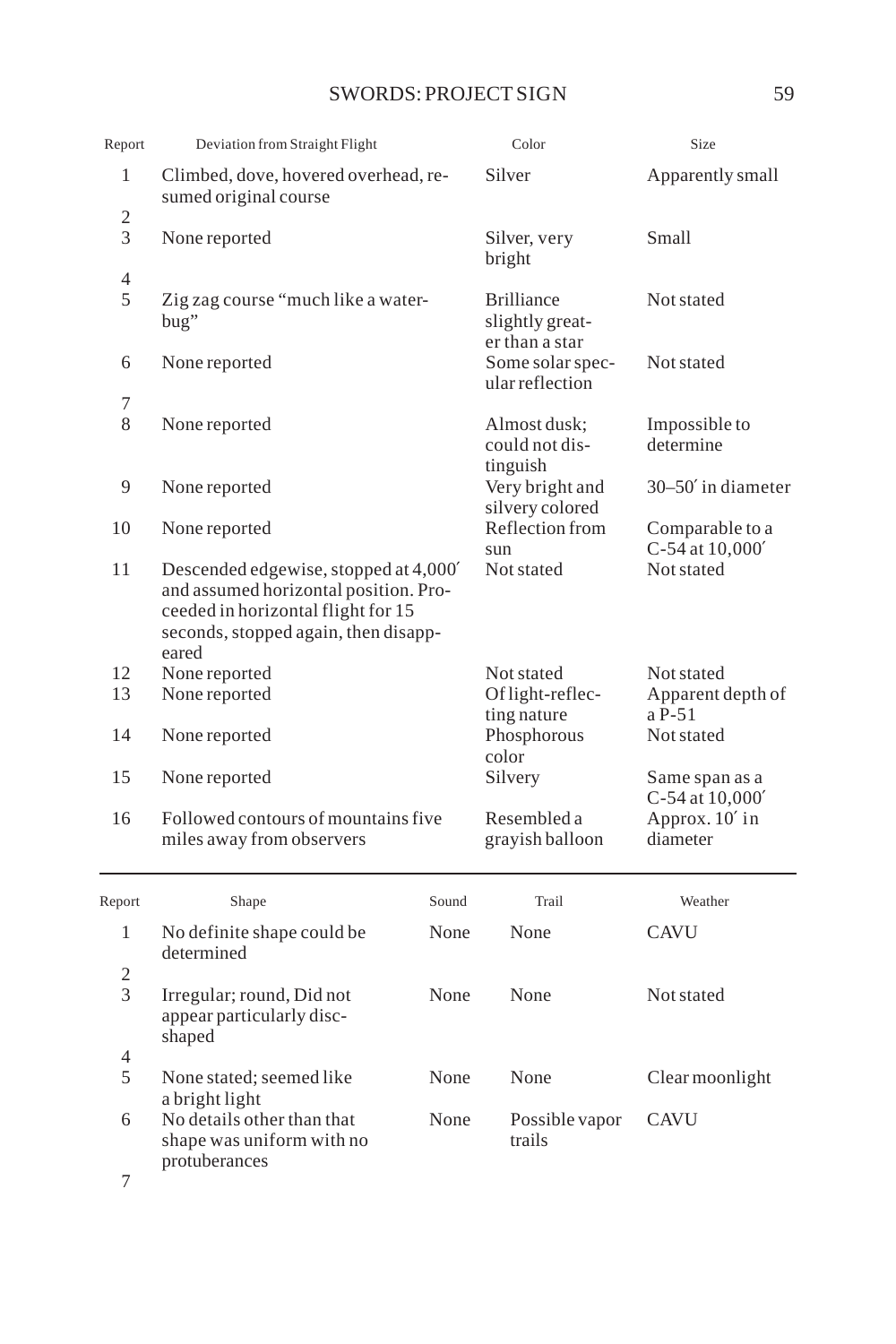# SWORDS: PROJECT SIGN 59

| Report              | Deviation from Straight Flight                                                                                                                                        |       | Color                                                  | Size                               |
|---------------------|-----------------------------------------------------------------------------------------------------------------------------------------------------------------------|-------|--------------------------------------------------------|------------------------------------|
| 1                   | Climbed, dove, hovered overhead, re-<br>sumed original course                                                                                                         |       | Silver                                                 | Apparently small                   |
| 2<br>3              | None reported                                                                                                                                                         |       | Silver, very<br>bright                                 | Small                              |
| $\overline{4}$<br>5 | Zig zag course "much like a water-<br>bug"                                                                                                                            |       | <b>Brilliance</b><br>slightly great-<br>er than a star | Not stated                         |
| 6                   | None reported                                                                                                                                                         |       | Some solar spec-<br>ular reflection                    | Not stated                         |
| 7<br>8              | None reported                                                                                                                                                         |       | Almost dusk:<br>could not dis-<br>tinguish             | Impossible to<br>determine         |
| 9                   | None reported                                                                                                                                                         |       | Very bright and<br>silvery colored                     | 30–50' in diameter                 |
| 10                  | None reported                                                                                                                                                         |       | Reflection from<br>sun                                 | Comparable to a<br>C-54 at 10,000' |
| 11                  | Descended edgewise, stopped at 4,000'<br>and assumed horizontal position. Pro-<br>ceeded in horizontal flight for 15<br>seconds, stopped again, then disapp-<br>eared |       | Not stated                                             | Not stated                         |
| 12                  | None reported                                                                                                                                                         |       | Not stated                                             | Not stated                         |
| 13                  | None reported                                                                                                                                                         |       | Of light-reflec-                                       | Apparent depth of                  |
| 14                  | None reported                                                                                                                                                         |       | ting nature<br>Phosphorous<br>color                    | a P-51<br>Not stated               |
| 15                  | None reported                                                                                                                                                         |       | Silvery                                                | Same span as a<br>C-54 at 10,000'  |
| 16                  | Followed contours of mountains five<br>miles away from observers                                                                                                      |       | Resembled a<br>grayish balloon                         | Approx. 10' in<br>diameter         |
| Report              | Shape                                                                                                                                                                 | Sound | Trail                                                  | Weather                            |
| 1                   | No definite shape could be<br>determined                                                                                                                              | None  | None                                                   | <b>CAVU</b>                        |
| 2<br>3              | Irregular; round, Did not<br>appear particularly disc-<br>shaped                                                                                                      | None  | None                                                   | Not stated                         |
| $\overline{4}$<br>5 | None stated; seemed like                                                                                                                                              | None  | None                                                   | Clear moonlight                    |
| 6<br>7              | a bright light<br>No details other than that<br>shape was uniform with no<br>protuberances                                                                            | None  | Possible vapor<br>trails                               | <b>CAVU</b>                        |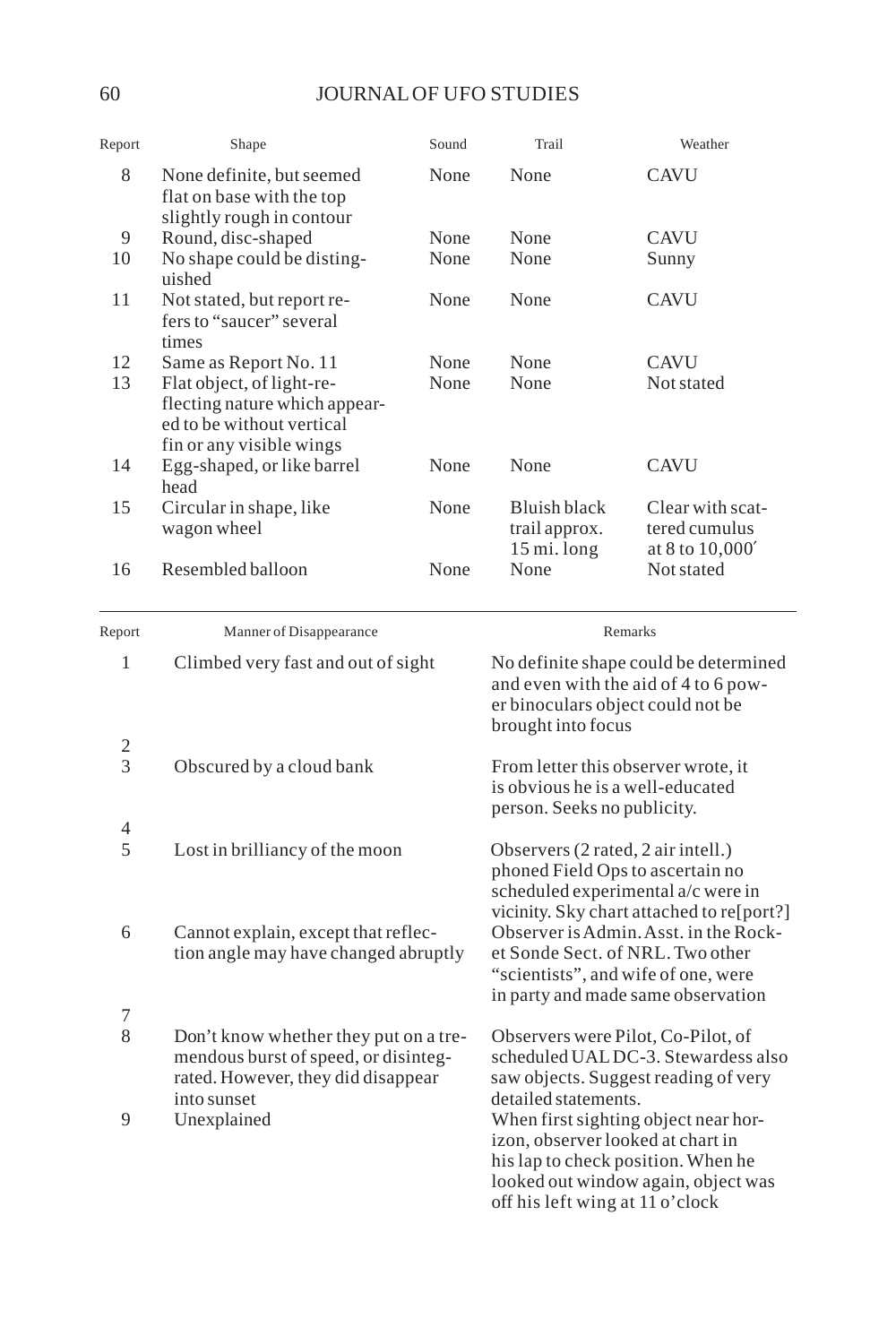# 60 JOURNAL OF UFO STUDIES

| Report   | Shape                                                                                                                                        | Sound        | Trail                                                                                                                                                     | Weather                                                                     |
|----------|----------------------------------------------------------------------------------------------------------------------------------------------|--------------|-----------------------------------------------------------------------------------------------------------------------------------------------------------|-----------------------------------------------------------------------------|
| 8        | None definite, but seemed<br>flat on base with the top<br>slightly rough in contour                                                          | None         | None                                                                                                                                                      | <b>CAVU</b>                                                                 |
| 9        | Round, disc-shaped                                                                                                                           | None         | None                                                                                                                                                      | <b>CAVU</b>                                                                 |
| 10       | No shape could be disting-<br>uished                                                                                                         | None         | None                                                                                                                                                      | Sunny                                                                       |
| 11       | Not stated, but report re-<br>fers to "saucer" several<br>times                                                                              | None         | None                                                                                                                                                      | <b>CAVU</b>                                                                 |
| 12<br>13 | Same as Report No. 11<br>Flat object, of light-re-<br>flecting nature which appear-<br>ed to be without vertical<br>fin or any visible wings | None<br>None | None<br>None                                                                                                                                              | <b>CAVU</b><br>Not stated                                                   |
| 14       | Egg-shaped, or like barrel<br>head                                                                                                           | None         | None                                                                                                                                                      | <b>CAVU</b>                                                                 |
| 15       | Circular in shape, like<br>wagon wheel                                                                                                       | None         | Bluish black<br>trail approx.<br>15 mi. long                                                                                                              | Clear with scat-<br>tered cumulus<br>at 8 to 10,000'                        |
| 16       | Resembled balloon                                                                                                                            | None         | None                                                                                                                                                      | Not stated                                                                  |
| Report   | Manner of Disappearance                                                                                                                      |              | Remarks                                                                                                                                                   |                                                                             |
| 1        | Climbed very fast and out of sight                                                                                                           |              | No definite shape could be determined<br>and even with the aid of 4 to 6 pow-<br>er binoculars object could not be<br>brought into focus                  |                                                                             |
| 2        |                                                                                                                                              |              |                                                                                                                                                           |                                                                             |
| 3        | Obscured by a cloud bank                                                                                                                     |              | From letter this observer wrote, it<br>is obvious he is a well-educated<br>person. Seeks no publicity.                                                    |                                                                             |
| 4<br>5   | Lost in brilliancy of the moon                                                                                                               |              | Observers (2 rated, 2 air intell.)<br>phoned Field Ops to ascertain no<br>scheduled experimental a/c were in<br>vicinity. Sky chart attached to re[port?] |                                                                             |
| 6        | Cannot explain, except that reflec-<br>tion angle may have changed abruptly                                                                  |              | Observer is Admin. Asst. in the Rock-<br>et Sonde Sect. of NRL. Two other<br>"scientists", and wife of one, were<br>in party and made same observation    |                                                                             |
| 7        |                                                                                                                                              |              |                                                                                                                                                           |                                                                             |
| 8        | Don't know whether they put on a tre-<br>mendous burst of speed, or disinteg-<br>rated. However, they did disappear<br>into sunset           |              | Observers were Pilot, Co-Pilot, of<br>scheduled UALDC-3. Stewardess also<br>saw objects. Suggest reading of very<br>detailed statements.                  |                                                                             |
| 9        | Unexplained                                                                                                                                  |              | izon, observer looked at chart in<br>his lap to check position. When he<br>off his left wing at 11 o'clock                                                | When first sighting object near hor-<br>looked out window again, object was |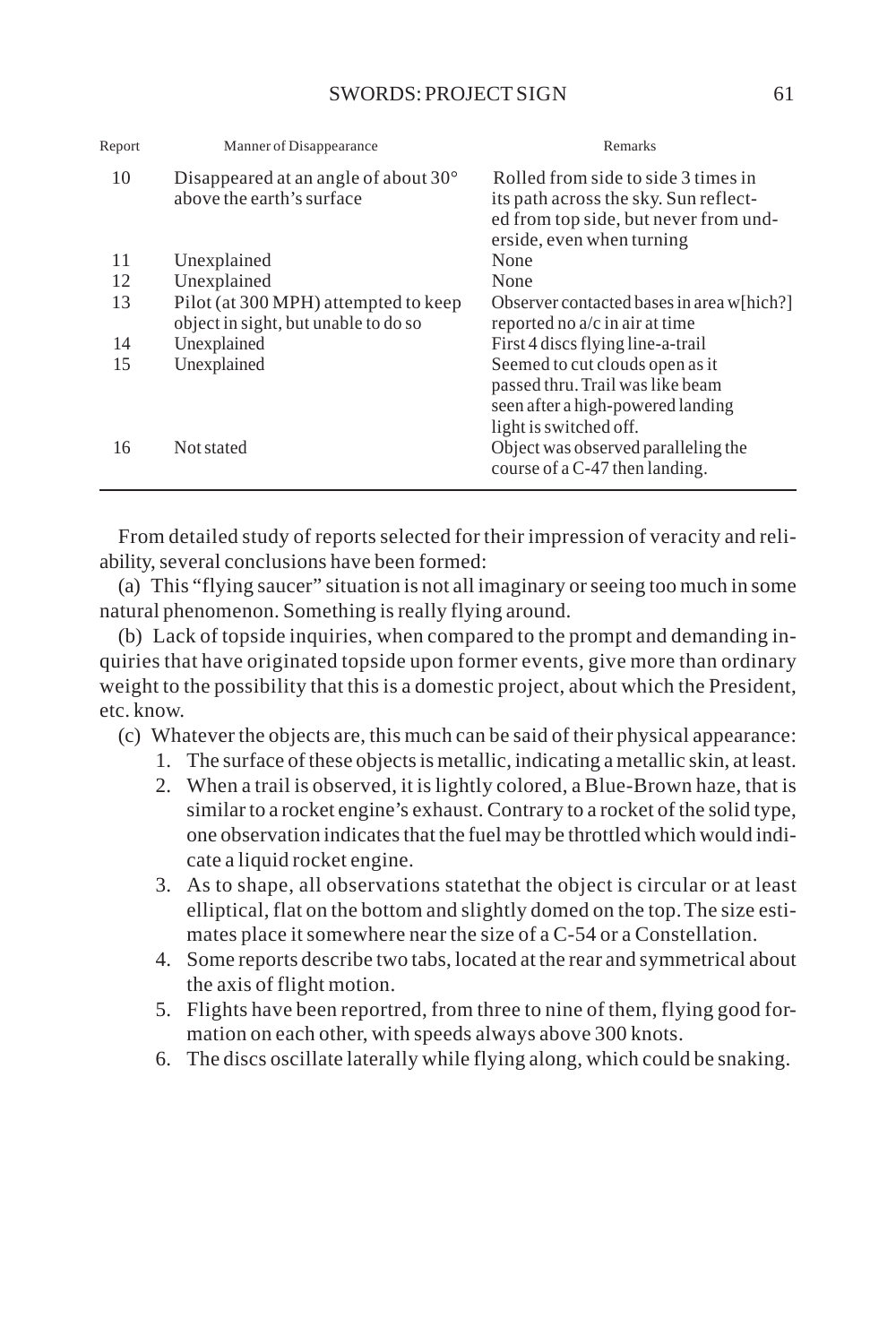| Report | Manner of Disappearance                                                      | Remarks                                                                                                                                            |
|--------|------------------------------------------------------------------------------|----------------------------------------------------------------------------------------------------------------------------------------------------|
| 10     | Disappeared at an angle of about $30^{\circ}$<br>above the earth's surface   | Rolled from side to side 3 times in<br>its path across the sky. Sun reflect-<br>ed from top side, but never from und-<br>erside, even when turning |
| 11     | Unexplained                                                                  | None                                                                                                                                               |
| 12     | Unexplained                                                                  | None                                                                                                                                               |
| 13     | Pilot (at 300 MPH) attempted to keep<br>object in sight, but unable to do so | Observer contacted bases in area w[hich?]<br>reported no a/c in air at time                                                                        |
| 14     | Unexplained                                                                  | First 4 discs flying line-a-trail                                                                                                                  |
| 15     | Unexplained                                                                  | Seemed to cut clouds open as it<br>passed thru. Trail was like beam<br>seen after a high-powered landing<br>light is switched off.                 |
| 16     | Not stated                                                                   | Object was observed paralleling the<br>course of a C-47 then landing.                                                                              |

From detailed study of reports selected for their impression of veracity and reliability, several conclusions have been formed:

(a) This "flying saucer" situation is not all imaginary or seeing too much in some natural phenomenon. Something is really flying around.

(b) Lack of topside inquiries, when compared to the prompt and demanding inquiries that have originated topside upon former events, give more than ordinary weight to the possibility that this is a domestic project, about which the President, etc. know.

- (c) Whatever the objects are, this much can be said of their physical appearance:
	- 1. The surface of these objects is metallic, indicating a metallic skin, at least.
	- 2. When a trail is observed, it is lightly colored, a Blue-Brown haze, that is similar to a rocket engine's exhaust. Contrary to a rocket of the solid type, one observation indicates that the fuel may be throttled which would indicate a liquid rocket engine.
	- 3. As to shape, all observations statethat the object is circular or at least elliptical, flat on the bottom and slightly domed on the top. The size estimates place it somewhere near the size of a C-54 or a Constellation.
	- 4. Some reports describe two tabs, located at the rear and symmetrical about the axis of flight motion.
	- 5. Flights have been reportred, from three to nine of them, flying good formation on each other, with speeds always above 300 knots.
	- 6. The discs oscillate laterally while flying along, which could be snaking.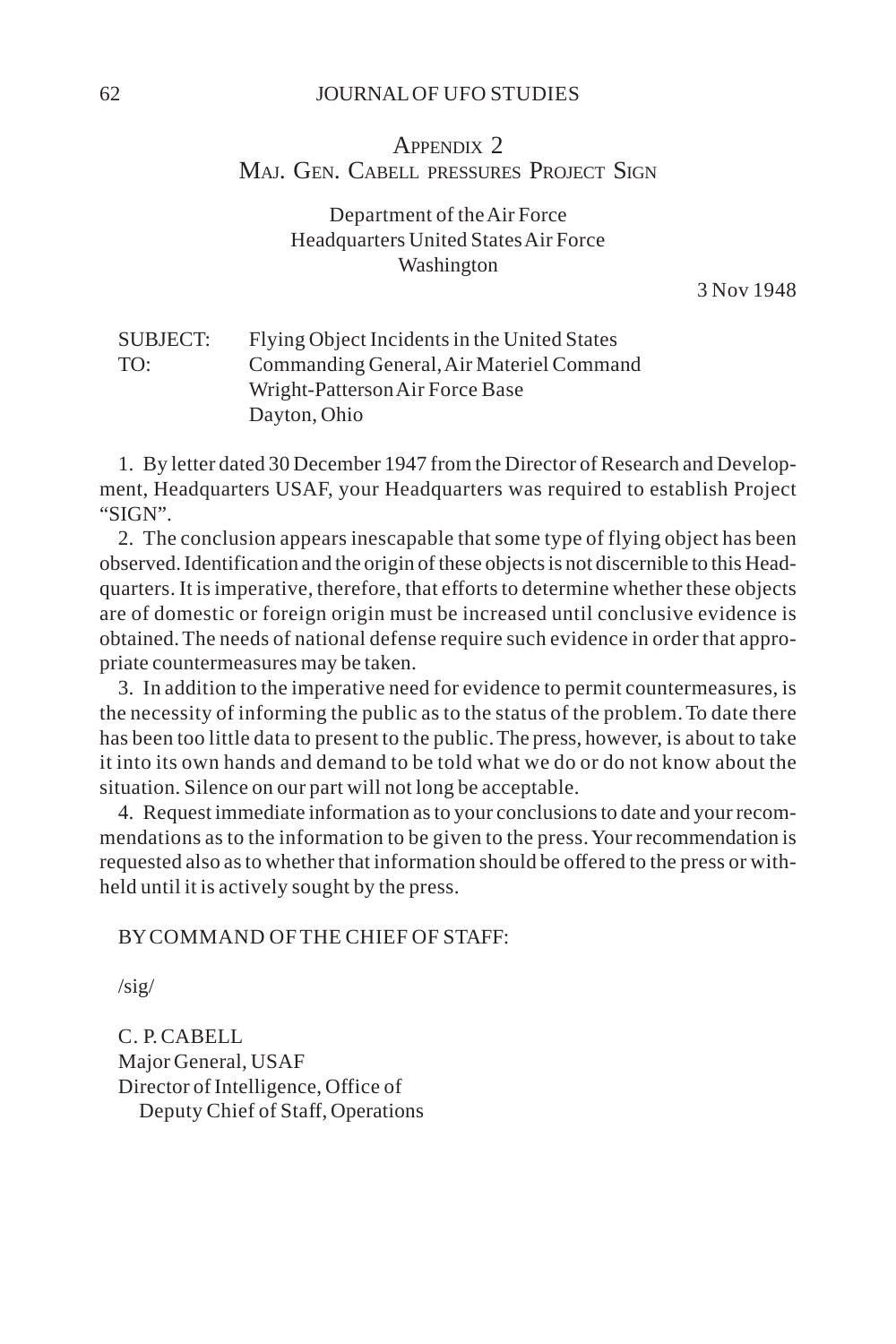#### 62 JOURNAL OF UFO STUDIES

## APPENDIX 2 MAJ. GEN. CABELL PRESSURES PROJECT SIGN

## Department of the Air Force Headquarters United States Air Force Washington

3 Nov 1948

| SUBJECT: | Flying Object Incidents in the United States |
|----------|----------------------------------------------|
| TO:      | Commanding General, Air Materiel Command     |
|          | Wright-Patterson Air Force Base              |
|          | Dayton, Ohio                                 |

1. By letter dated 30 December 1947 from the Director of Research and Development, Headquarters USAF, your Headquarters was required to establish Project "SIGN".

2. The conclusion appears inescapable that some type of flying object has been observed. Identification and the origin of these objects is not discernible to this Headquarters. It is imperative, therefore, that efforts to determine whether these objects are of domestic or foreign origin must be increased until conclusive evidence is obtained. The needs of national defense require such evidence in order that appropriate countermeasures may be taken.

3. In addition to the imperative need for evidence to permit countermeasures, is the necessity of informing the public as to the status of the problem. To date there has been too little data to present to the public. The press, however, is about to take it into its own hands and demand to be told what we do or do not know about the situation. Silence on our part will not long be acceptable.

4. Request immediate information as to your conclusions to date and your recommendations as to the information to be given to the press. Your recommendation is requested also as to whether that information should be offered to the press or withheld until it is actively sought by the press.

#### BY COMMAND OF THE CHIEF OF STAFF:

 $\sqrt{\text{sig}}$ 

C. P. CABELL Major General, USAF Director of Intelligence, Office of Deputy Chief of Staff, Operations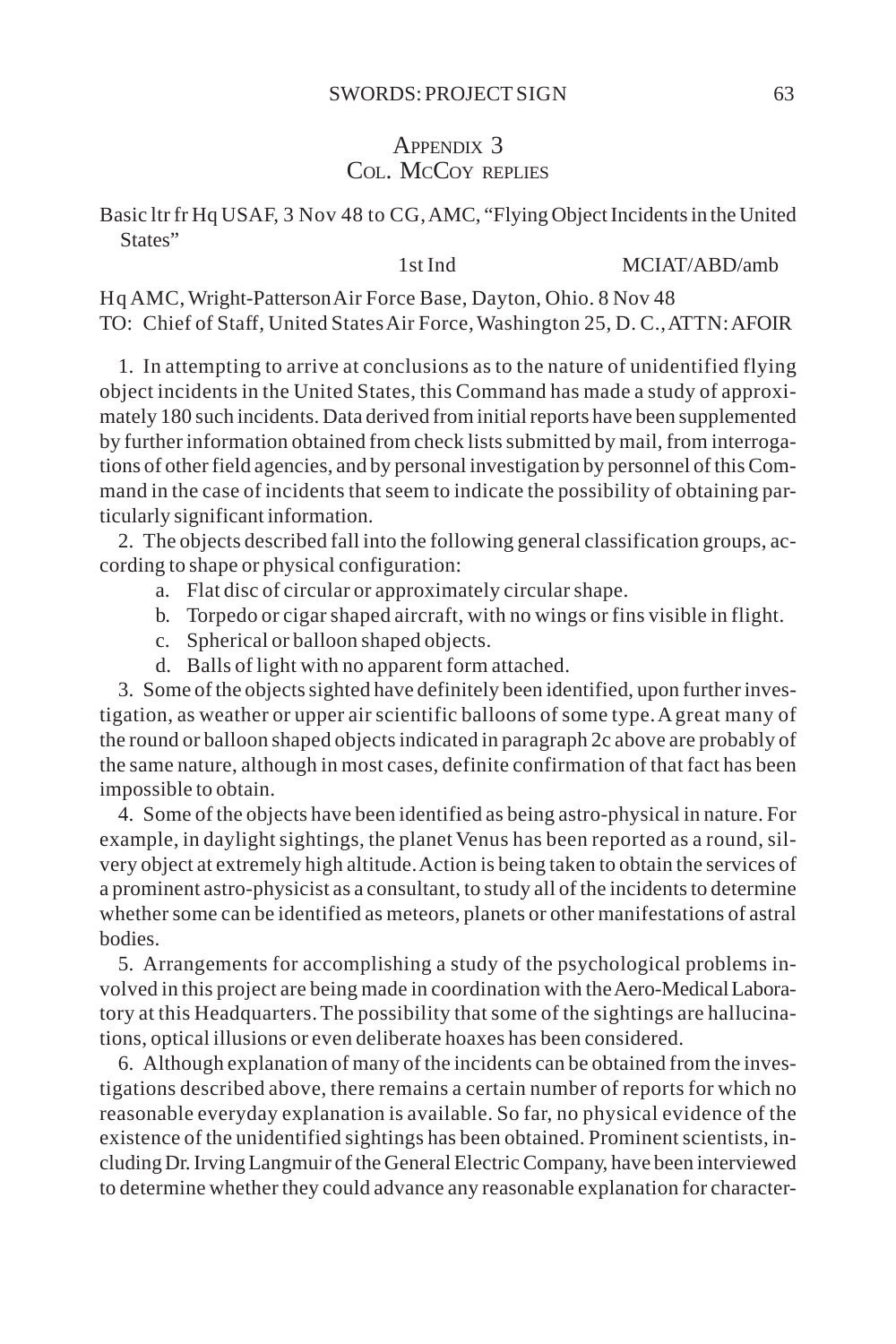## APPENDIX 3 COL. MCCOY REPLIES

Basic ltr fr Hq USAF, 3 Nov 48 to CG, AMC, "Flying Object Incidents in the United States"

#### 1st Ind MCIAT/ABD/amb

Hq AMC, Wright-Patterson Air Force Base, Dayton, Ohio. 8 Nov 48 TO: Chief of Staff, United States Air Force, Washington 25, D. C., ATTN: AFOIR

1. In attempting to arrive at conclusions as to the nature of unidentified flying object incidents in the United States, this Command has made a study of approximately 180 such incidents. Data derived from initial reports have been supplemented by further information obtained from check lists submitted by mail, from interrogations of other field agencies, and by personal investigation by personnel of this Command in the case of incidents that seem to indicate the possibility of obtaining particularly significant information.

2. The objects described fall into the following general classification groups, according to shape or physical configuration:

- a. Flat disc of circular or approximately circular shape.
- b. Torpedo or cigar shaped aircraft, with no wings or fins visible in flight.
- c. Spherical or balloon shaped objects.
- d. Balls of light with no apparent form attached.

3. Some of the objects sighted have definitely been identified, upon further investigation, as weather or upper air scientific balloons of some type. A great many of the round or balloon shaped objects indicated in paragraph 2c above are probably of the same nature, although in most cases, definite confirmation of that fact has been impossible to obtain.

4. Some of the objects have been identified as being astro-physical in nature. For example, in daylight sightings, the planet Venus has been reported as a round, silvery object at extremely high altitude. Action is being taken to obtain the services of a prominent astro-physicist as a consultant, to study all of the incidents to determine whether some can be identified as meteors, planets or other manifestations of astral bodies.

5. Arrangements for accomplishing a study of the psychological problems involved in this project are being made in coordination with the Aero-Medical Laboratory at this Headquarters. The possibility that some of the sightings are hallucinations, optical illusions or even deliberate hoaxes has been considered.

6. Although explanation of many of the incidents can be obtained from the investigations described above, there remains a certain number of reports for which no reasonable everyday explanation is available. So far, no physical evidence of the existence of the unidentified sightings has been obtained. Prominent scientists, including Dr. Irving Langmuir of the General Electric Company, have been interviewed to determine whether they could advance any reasonable explanation for character